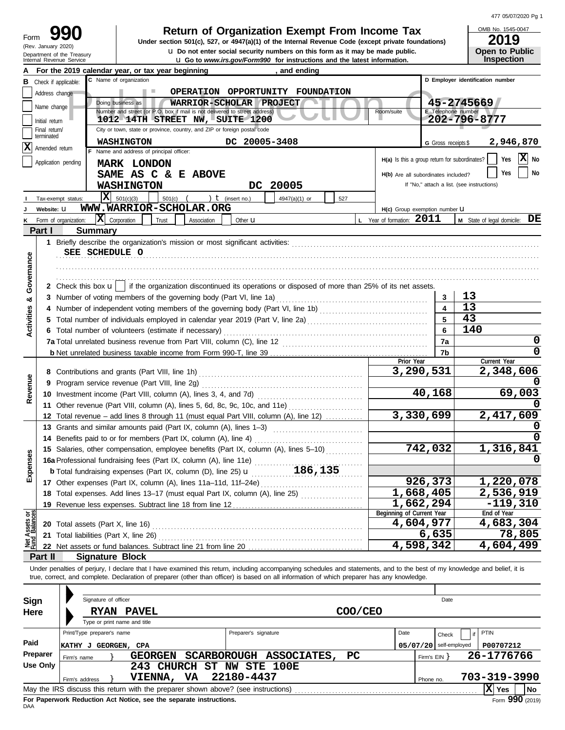| 477 05/07/2020 Pg 1 |  |
|---------------------|--|
|---------------------|--|

| ч<br>Form                                             |
|-------------------------------------------------------|
| (Rev. January 2020)                                   |
| Department of the Treasur<br>Internal Revenue Service |

# **Return of Organization Exempt From Income Tax**  $\frac{\text{OMB No. 1545-00}}{2019}$

Internal Revenue Social Security numbers on this form as it may be made public up to be not enter social security infinities on this form as it may be made public up to  $\mathbf u$  Go to *www.irs.gov/Form990* for instructions a **u** Do not enter social security numbers on this form as it may be made public. **Under section 501(c), 527, or 4947(a)(1) of the Internal Revenue Code (except private foundations)** **Open to Public<br>Inspection** 

OMB No. 1545-0047

|                                                                                  |                                                                                                                                                                                     | For the 2019 calendar year, or tax year beginning<br>and ending                                                                                                            |                                                                                 |                          |                                            |  |  |  |  |  |  |  |
|----------------------------------------------------------------------------------|-------------------------------------------------------------------------------------------------------------------------------------------------------------------------------------|----------------------------------------------------------------------------------------------------------------------------------------------------------------------------|---------------------------------------------------------------------------------|--------------------------|--------------------------------------------|--|--|--|--|--|--|--|
| в                                                                                |                                                                                                                                                                                     | C Name of organization<br>Check if applicable:                                                                                                                             |                                                                                 |                          | D Employer identification number           |  |  |  |  |  |  |  |
|                                                                                  | OPERATION OPPORTUNITY FOUNDATION<br>Address change                                                                                                                                  |                                                                                                                                                                            |                                                                                 |                          |                                            |  |  |  |  |  |  |  |
|                                                                                  | 45-2745669<br>Doing business as<br>WARRIOR-SCHOLAR PROJECT<br>Name change                                                                                                           |                                                                                                                                                                            |                                                                                 |                          |                                            |  |  |  |  |  |  |  |
|                                                                                  | Number and street (or P.O. box if mail is not delivered to street address)<br>E Telephone number<br>Room/suite<br>202-796-8777<br>1012 14TH STREET NW, SUITE 1200<br>Initial return |                                                                                                                                                                            |                                                                                 |                          |                                            |  |  |  |  |  |  |  |
|                                                                                  | City or town, state or province, country, and ZIP or foreign postal code<br>Final return/                                                                                           |                                                                                                                                                                            |                                                                                 |                          |                                            |  |  |  |  |  |  |  |
|                                                                                  | terminated                                                                                                                                                                          |                                                                                                                                                                            |                                                                                 |                          |                                            |  |  |  |  |  |  |  |
| X                                                                                | Amended return                                                                                                                                                                      | <b>WASHINGTON</b><br>DC 20005-3408                                                                                                                                         |                                                                                 | G Gross receipts \$      | 2,946,870                                  |  |  |  |  |  |  |  |
|                                                                                  |                                                                                                                                                                                     | F Name and address of principal officer:                                                                                                                                   | $H(a)$ Is this a group return for subordinates? $\begin{bmatrix} \end{bmatrix}$ |                          | X No<br>Yes                                |  |  |  |  |  |  |  |
| Application pending<br><b>MARK LONDON</b><br>H(b) Are all subordinates included? |                                                                                                                                                                                     |                                                                                                                                                                            |                                                                                 |                          |                                            |  |  |  |  |  |  |  |
|                                                                                  |                                                                                                                                                                                     | SAME AS C & E ABOVE                                                                                                                                                        |                                                                                 |                          | No<br>Yes                                  |  |  |  |  |  |  |  |
|                                                                                  |                                                                                                                                                                                     | DC 20005<br><b>WASHINGTON</b>                                                                                                                                              |                                                                                 |                          | If "No," attach a list. (see instructions) |  |  |  |  |  |  |  |
|                                                                                  |                                                                                                                                                                                     | $\mathbf{X}$ 501(c)(3)<br>501(c) $($ $)$ $($ $)$ $($ insert no.)<br>4947(a)(1) or<br>527<br>Tax-exempt status:                                                             |                                                                                 |                          |                                            |  |  |  |  |  |  |  |
|                                                                                  | Website: U                                                                                                                                                                          | WWW.WARRIOR-SCHOLAR.ORG                                                                                                                                                    | H(c) Group exemption number U                                                   |                          |                                            |  |  |  |  |  |  |  |
| κ                                                                                |                                                                                                                                                                                     | $ \mathbf{X} $ Corporation<br>Trust<br>Form of organization:<br>Association<br>Other $\mathbf u$                                                                           | L Year of formation: 2011                                                       |                          | <b>M</b> State of legal domicile: $DE$     |  |  |  |  |  |  |  |
|                                                                                  | Part I                                                                                                                                                                              | <b>Summary</b>                                                                                                                                                             |                                                                                 |                          |                                            |  |  |  |  |  |  |  |
|                                                                                  |                                                                                                                                                                                     |                                                                                                                                                                            |                                                                                 |                          |                                            |  |  |  |  |  |  |  |
|                                                                                  |                                                                                                                                                                                     | SEE SCHEDULE O                                                                                                                                                             |                                                                                 |                          |                                            |  |  |  |  |  |  |  |
|                                                                                  |                                                                                                                                                                                     |                                                                                                                                                                            |                                                                                 |                          |                                            |  |  |  |  |  |  |  |
| Governance                                                                       |                                                                                                                                                                                     |                                                                                                                                                                            |                                                                                 |                          |                                            |  |  |  |  |  |  |  |
|                                                                                  |                                                                                                                                                                                     | 2 Check this box $\mathbf{u}$ if the organization discontinued its operations or disposed of more than 25% of its net assets.                                              |                                                                                 |                          |                                            |  |  |  |  |  |  |  |
| య                                                                                |                                                                                                                                                                                     | 3 Number of voting members of the governing body (Part VI, line 1a)                                                                                                        |                                                                                 | 3                        | 13                                         |  |  |  |  |  |  |  |
|                                                                                  |                                                                                                                                                                                     |                                                                                                                                                                            |                                                                                 | $\overline{\mathbf{4}}$  | 13                                         |  |  |  |  |  |  |  |
|                                                                                  |                                                                                                                                                                                     |                                                                                                                                                                            |                                                                                 | 5                        | 43                                         |  |  |  |  |  |  |  |
| <b>Activities</b>                                                                |                                                                                                                                                                                     | 6 Total number of volunteers (estimate if necessary)                                                                                                                       |                                                                                 | 6                        | 140                                        |  |  |  |  |  |  |  |
|                                                                                  |                                                                                                                                                                                     |                                                                                                                                                                            |                                                                                 | 7a                       | 0                                          |  |  |  |  |  |  |  |
|                                                                                  |                                                                                                                                                                                     |                                                                                                                                                                            |                                                                                 | 7b                       | 0                                          |  |  |  |  |  |  |  |
|                                                                                  |                                                                                                                                                                                     |                                                                                                                                                                            | Prior Year                                                                      |                          | Current Year                               |  |  |  |  |  |  |  |
|                                                                                  |                                                                                                                                                                                     | 8 Contributions and grants (Part VIII, line 1h)                                                                                                                            | 3,290,531                                                                       |                          | 2,348,606                                  |  |  |  |  |  |  |  |
|                                                                                  | 9                                                                                                                                                                                   | Program service revenue (Part VIII, line 2g)                                                                                                                               |                                                                                 |                          |                                            |  |  |  |  |  |  |  |
| Revenue                                                                          |                                                                                                                                                                                     | 10 Investment income (Part VIII, column (A), lines 3, 4, and 7d)                                                                                                           |                                                                                 | 40,168                   | 69,003                                     |  |  |  |  |  |  |  |
|                                                                                  |                                                                                                                                                                                     | 11 Other revenue (Part VIII, column (A), lines 5, 6d, 8c, 9c, 10c, and 11e)                                                                                                |                                                                                 |                          |                                            |  |  |  |  |  |  |  |
|                                                                                  |                                                                                                                                                                                     | 12 Total revenue - add lines 8 through 11 (must equal Part VIII, column (A), line 12)                                                                                      | 3,330,699                                                                       |                          | 2,417,609                                  |  |  |  |  |  |  |  |
|                                                                                  |                                                                                                                                                                                     | 13 Grants and similar amounts paid (Part IX, column (A), lines 1-3)                                                                                                        |                                                                                 |                          |                                            |  |  |  |  |  |  |  |
|                                                                                  |                                                                                                                                                                                     | 14 Benefits paid to or for members (Part IX, column (A), line 4)                                                                                                           |                                                                                 |                          |                                            |  |  |  |  |  |  |  |
|                                                                                  |                                                                                                                                                                                     | 15 Salaries, other compensation, employee benefits (Part IX, column (A), lines 5-10)                                                                                       |                                                                                 | 742,032                  | $\overline{1,316,841}$                     |  |  |  |  |  |  |  |
|                                                                                  |                                                                                                                                                                                     | 16a Professional fundraising fees (Part IX, column (A), line 11e)                                                                                                          |                                                                                 |                          |                                            |  |  |  |  |  |  |  |
| Expenses                                                                         |                                                                                                                                                                                     | 186,135<br><b>b</b> Total fundraising expenses (Part IX, column (D), line 25) <b>u</b>                                                                                     |                                                                                 |                          |                                            |  |  |  |  |  |  |  |
|                                                                                  |                                                                                                                                                                                     | 17 Other expenses (Part IX, column (A), lines 11a-11d, 11f-24e)                                                                                                            |                                                                                 | 926,373                  | 1,220,078                                  |  |  |  |  |  |  |  |
|                                                                                  |                                                                                                                                                                                     | 18 Total expenses. Add lines 13-17 (must equal Part IX, column (A), line 25)                                                                                               | 1,668,405                                                                       |                          | 2,536,919                                  |  |  |  |  |  |  |  |
|                                                                                  |                                                                                                                                                                                     | 19 Revenue less expenses. Subtract line 18 from line 12                                                                                                                    | 1,662,294                                                                       |                          | $-119,310$                                 |  |  |  |  |  |  |  |
|                                                                                  |                                                                                                                                                                                     |                                                                                                                                                                            | Beginning of Current Year                                                       |                          | End of Year                                |  |  |  |  |  |  |  |
| Net Assets or<br>Fund Balances                                                   |                                                                                                                                                                                     | 20 Total assets (Part X, line 16)                                                                                                                                          | 4,604,977                                                                       |                          | 4,683,304                                  |  |  |  |  |  |  |  |
|                                                                                  |                                                                                                                                                                                     | 21 Total liabilities (Part X, line 26)                                                                                                                                     |                                                                                 | 6,635                    | 78,805                                     |  |  |  |  |  |  |  |
|                                                                                  |                                                                                                                                                                                     |                                                                                                                                                                            | 4,598,342                                                                       |                          | 4,604,499                                  |  |  |  |  |  |  |  |
|                                                                                  | Part II                                                                                                                                                                             | <b>Signature Block</b>                                                                                                                                                     |                                                                                 |                          |                                            |  |  |  |  |  |  |  |
|                                                                                  |                                                                                                                                                                                     | Under penalties of perjury, I declare that I have examined this return, including accompanying schedules and statements, and to the best of my knowledge and belief, it is |                                                                                 |                          |                                            |  |  |  |  |  |  |  |
|                                                                                  |                                                                                                                                                                                     | true, correct, and complete. Declaration of preparer (other than officer) is based on all information of which preparer has any knowledge.                                 |                                                                                 |                          |                                            |  |  |  |  |  |  |  |
|                                                                                  |                                                                                                                                                                                     |                                                                                                                                                                            |                                                                                 |                          |                                            |  |  |  |  |  |  |  |
| Sign                                                                             |                                                                                                                                                                                     | Signature of officer                                                                                                                                                       |                                                                                 | Date                     |                                            |  |  |  |  |  |  |  |
| Here                                                                             |                                                                                                                                                                                     | <b>RYAN PAVEL</b><br>COO/CEO                                                                                                                                               |                                                                                 |                          |                                            |  |  |  |  |  |  |  |
|                                                                                  |                                                                                                                                                                                     | Type or print name and title                                                                                                                                               |                                                                                 |                          |                                            |  |  |  |  |  |  |  |
|                                                                                  |                                                                                                                                                                                     | Print/Type preparer's name<br>Preparer's signature                                                                                                                         | Date                                                                            | Check                    | <b>PTIN</b>                                |  |  |  |  |  |  |  |
| Paid                                                                             |                                                                                                                                                                                     | KATHY J GEORGEN, CPA                                                                                                                                                       |                                                                                 | $05/07/20$ self-employed | P00707212                                  |  |  |  |  |  |  |  |
|                                                                                  | Preparer                                                                                                                                                                            | SCARBOROUGH ASSOCIATES,<br>PC<br><b>GEORGEN</b><br>Firm's name                                                                                                             |                                                                                 | Firm's EIN }             | 26-1776766                                 |  |  |  |  |  |  |  |
|                                                                                  | <b>Use Only</b>                                                                                                                                                                     | 243 CHURCH ST NW STE 100E                                                                                                                                                  |                                                                                 |                          |                                            |  |  |  |  |  |  |  |
|                                                                                  |                                                                                                                                                                                     | 22180-4437<br>VIENNA, VA<br>Firm's address                                                                                                                                 |                                                                                 | Phone no.                | 703-319-3990                               |  |  |  |  |  |  |  |
|                                                                                  |                                                                                                                                                                                     | May the IRS discuss this return with the preparer shown above? (see instructions)                                                                                          |                                                                                 |                          | $ X $ Yes<br>  No                          |  |  |  |  |  |  |  |
|                                                                                  |                                                                                                                                                                                     |                                                                                                                                                                            |                                                                                 |                          |                                            |  |  |  |  |  |  |  |

| Sign     |                                                                                                    | Signature of officer         |                                                                    |                       |                      |                         |         |      |              | Date                     |  |            |                  |
|----------|----------------------------------------------------------------------------------------------------|------------------------------|--------------------------------------------------------------------|-----------------------|----------------------|-------------------------|---------|------|--------------|--------------------------|--|------------|------------------|
| Here     |                                                                                                    | <b>RYAN</b>                  | <b>PAVEL</b>                                                       |                       |                      |                         | COO/CEO |      |              |                          |  |            |                  |
|          |                                                                                                    | Type or print name and title |                                                                    |                       |                      |                         |         |      |              |                          |  |            |                  |
|          |                                                                                                    | Print/Type preparer's name   |                                                                    |                       | Preparer's signature |                         |         | Date |              | Check                    |  | PTIN       |                  |
| Paid     | KATHY J                                                                                            |                              | GEORGEN, CPA                                                       |                       |                      |                         |         |      |              | $05/07/20$ self-employed |  | P00707212  |                  |
| Preparer | Firm's name                                                                                        |                              | GEORGEN                                                            |                       |                      | SCARBOROUGH ASSOCIATES, | PC.     |      | Firm's $EIN$ |                          |  | 26-1776766 |                  |
| Use Only |                                                                                                    |                              | 243                                                                | CHURCH ST NW STE 100E |                      |                         |         |      |              |                          |  |            |                  |
|          |                                                                                                    | Firm's address               | <b>VIENNA,</b>                                                     | VA.                   | 22180-4437           |                         |         |      | Phone no.    |                          |  |            | 703-319-3990     |
|          | X Yes<br>l No<br>May the IRS discuss this return with the preparer shown above? (see instructions) |                              |                                                                    |                       |                      |                         |         |      |              |                          |  |            |                  |
|          |                                                                                                    |                              | For Paperwork Reduction Act Notice, see the separate instructions. |                       |                      |                         |         |      |              |                          |  |            | Form $990(2019)$ |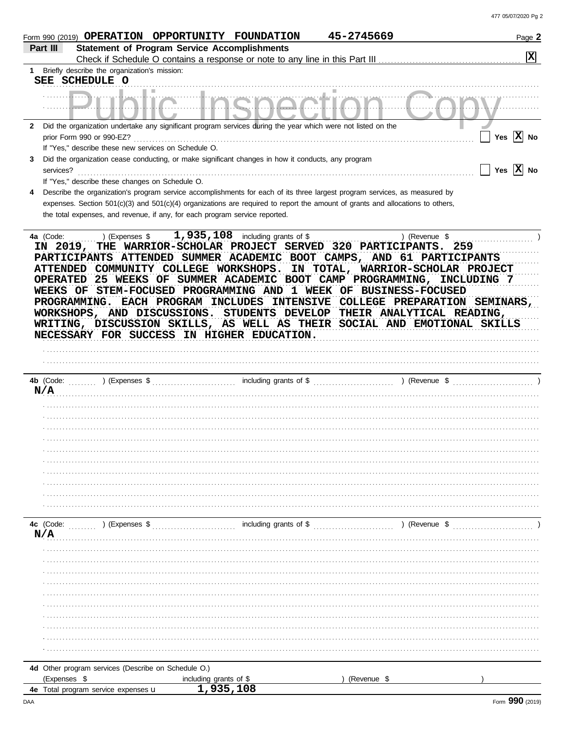|           | 45-2745669<br>Form 990 (2019) OPERATION OPPORTUNITY FOUNDATION<br><b>Statement of Program Service Accomplishments</b><br>Part III                                                                                                                                                                                                                                                                                                                                                                                                                                                                                 | Page 2 |
|-----------|-------------------------------------------------------------------------------------------------------------------------------------------------------------------------------------------------------------------------------------------------------------------------------------------------------------------------------------------------------------------------------------------------------------------------------------------------------------------------------------------------------------------------------------------------------------------------------------------------------------------|--------|
|           | Check if Schedule O contains a response or note to any line in this Part III                                                                                                                                                                                                                                                                                                                                                                                                                                                                                                                                      | X      |
| $1 \quad$ | Briefly describe the organization's mission:<br>SEE SCHEDULE O                                                                                                                                                                                                                                                                                                                                                                                                                                                                                                                                                    |        |
|           |                                                                                                                                                                                                                                                                                                                                                                                                                                                                                                                                                                                                                   |        |
|           |                                                                                                                                                                                                                                                                                                                                                                                                                                                                                                                                                                                                                   |        |
|           | 2 Did the organization undertake any significant program services during the year which were not listed on the                                                                                                                                                                                                                                                                                                                                                                                                                                                                                                    |        |
|           | Yes $ X $ No<br>prior Form 990 or 990-EZ?                                                                                                                                                                                                                                                                                                                                                                                                                                                                                                                                                                         |        |
| 3         | If "Yes," describe these new services on Schedule O.<br>Did the organization cease conducting, or make significant changes in how it conducts, any program                                                                                                                                                                                                                                                                                                                                                                                                                                                        |        |
|           | Yes $ X $ No<br>services?                                                                                                                                                                                                                                                                                                                                                                                                                                                                                                                                                                                         |        |
|           | If "Yes," describe these changes on Schedule O.                                                                                                                                                                                                                                                                                                                                                                                                                                                                                                                                                                   |        |
| 4         | Describe the organization's program service accomplishments for each of its three largest program services, as measured by                                                                                                                                                                                                                                                                                                                                                                                                                                                                                        |        |
|           | expenses. Section $501(c)(3)$ and $501(c)(4)$ organizations are required to report the amount of grants and allocations to others,                                                                                                                                                                                                                                                                                                                                                                                                                                                                                |        |
|           | the total expenses, and revenue, if any, for each program service reported.                                                                                                                                                                                                                                                                                                                                                                                                                                                                                                                                       |        |
|           | PARTICIPANTS ATTENDED SUMMER ACADEMIC BOOT CAMPS, AND 61 PARTICIPANTS<br>IN TOTAL, WARRIOR-SCHOLAR PROJECT<br>ATTENDED COMMUNITY COLLEGE WORKSHOPS.<br>25 WEEKS OF SUMMER ACADEMIC BOOT CAMP PROGRAMMING, INCLUDING 7<br><b>OPERATED</b><br>STEM-FOCUSED PROGRAMMING AND 1 WEEK OF BUSINESS-FOCUSED<br>WEEKS OF<br>PROGRAMMING. EACH PROGRAM INCLUDES<br><b>INTENSIVE</b><br>COLLEGE PREPARATION SEMINARS,<br>WORKSHOPS, AND DISCUSSIONS. STUDENTS DEVELOP<br>THEIR ANALYTICAL READING,<br>WRITING, DISCUSSION SKILLS, AS WELL AS THEIR SOCIAL AND EMOTIONAL SKILLS<br>NECESSARY FOR SUCCESS IN HIGHER EDUCATION. |        |
|           | including grants of \$<br>) (Revenue \$<br>4b (Code:<br>) (Expenses \$                                                                                                                                                                                                                                                                                                                                                                                                                                                                                                                                            |        |
| N/A       |                                                                                                                                                                                                                                                                                                                                                                                                                                                                                                                                                                                                                   |        |
|           |                                                                                                                                                                                                                                                                                                                                                                                                                                                                                                                                                                                                                   |        |
|           |                                                                                                                                                                                                                                                                                                                                                                                                                                                                                                                                                                                                                   |        |
|           |                                                                                                                                                                                                                                                                                                                                                                                                                                                                                                                                                                                                                   |        |
|           |                                                                                                                                                                                                                                                                                                                                                                                                                                                                                                                                                                                                                   |        |
|           |                                                                                                                                                                                                                                                                                                                                                                                                                                                                                                                                                                                                                   |        |
|           |                                                                                                                                                                                                                                                                                                                                                                                                                                                                                                                                                                                                                   |        |
|           |                                                                                                                                                                                                                                                                                                                                                                                                                                                                                                                                                                                                                   |        |
|           |                                                                                                                                                                                                                                                                                                                                                                                                                                                                                                                                                                                                                   |        |
|           |                                                                                                                                                                                                                                                                                                                                                                                                                                                                                                                                                                                                                   |        |
|           | including grants of \$<br>) (Revenue \$<br>4c (Code:<br>) (Expenses \$                                                                                                                                                                                                                                                                                                                                                                                                                                                                                                                                            |        |
| N/A       |                                                                                                                                                                                                                                                                                                                                                                                                                                                                                                                                                                                                                   |        |
|           |                                                                                                                                                                                                                                                                                                                                                                                                                                                                                                                                                                                                                   |        |
|           |                                                                                                                                                                                                                                                                                                                                                                                                                                                                                                                                                                                                                   |        |
|           |                                                                                                                                                                                                                                                                                                                                                                                                                                                                                                                                                                                                                   |        |
|           |                                                                                                                                                                                                                                                                                                                                                                                                                                                                                                                                                                                                                   |        |
|           |                                                                                                                                                                                                                                                                                                                                                                                                                                                                                                                                                                                                                   |        |
|           |                                                                                                                                                                                                                                                                                                                                                                                                                                                                                                                                                                                                                   |        |
|           |                                                                                                                                                                                                                                                                                                                                                                                                                                                                                                                                                                                                                   |        |
|           |                                                                                                                                                                                                                                                                                                                                                                                                                                                                                                                                                                                                                   |        |
|           |                                                                                                                                                                                                                                                                                                                                                                                                                                                                                                                                                                                                                   |        |
|           | 4d Other program services (Describe on Schedule O.)                                                                                                                                                                                                                                                                                                                                                                                                                                                                                                                                                               |        |
|           | (Expenses \$<br>(Revenue \$<br>including grants of \$                                                                                                                                                                                                                                                                                                                                                                                                                                                                                                                                                             |        |
|           | 1,935,108<br>4e Total program service expenses u                                                                                                                                                                                                                                                                                                                                                                                                                                                                                                                                                                  |        |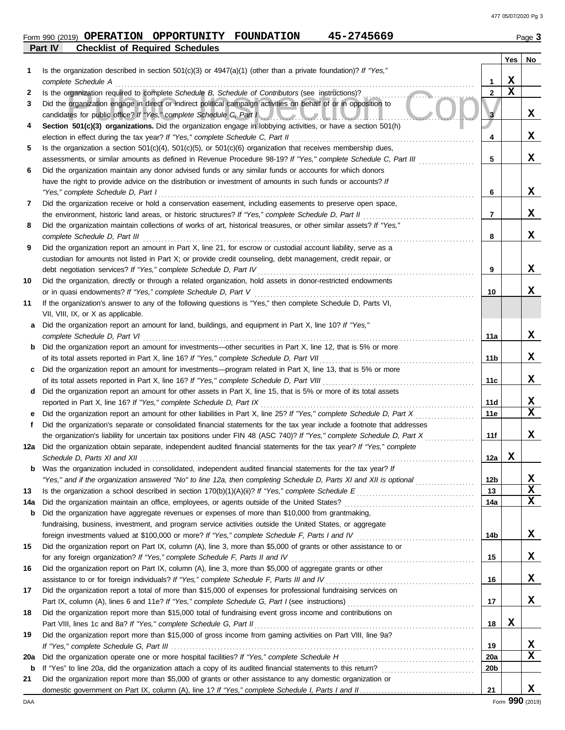## **Part IV Checklist of Required Schedules Form 990 (2019) OPERATION OPPORTUNITY FOUNDATION 45-2745669** Page 3

|        |                                                                                                                                                                                              |                 | Yes         | No          |
|--------|----------------------------------------------------------------------------------------------------------------------------------------------------------------------------------------------|-----------------|-------------|-------------|
| 1      | Is the organization described in section $501(c)(3)$ or $4947(a)(1)$ (other than a private foundation)? If "Yes,"                                                                            |                 |             |             |
|        | complete Schedule A                                                                                                                                                                          | 1               | X           |             |
| 2      | Is the organization required to complete Schedule B, Schedule of Contributors (see instructions)?                                                                                            | $\overline{2}$  | $\mathbf x$ |             |
| 3      | Did the organization engage in direct or indirect political campaign activities on behalf of or in opposition to<br>candidates for public office? If "Yes," complete Schedule C, Part I      | $\mathbf{3}$    |             | x           |
| 4      | Section 501(c)(3) organizations. Did the organization engage in lobbying activities, or have a section 501(h)                                                                                |                 |             |             |
|        | election in effect during the tax year? If "Yes," complete Schedule C, Part II                                                                                                               | 4               |             | x           |
| 5      | Is the organization a section $501(c)(4)$ , $501(c)(5)$ , or $501(c)(6)$ organization that receives membership dues,                                                                         |                 |             |             |
|        | assessments, or similar amounts as defined in Revenue Procedure 98-19? If "Yes," complete Schedule C, Part III                                                                               | 5               |             | X           |
| 6      | Did the organization maintain any donor advised funds or any similar funds or accounts for which donors                                                                                      |                 |             |             |
|        | have the right to provide advice on the distribution or investment of amounts in such funds or accounts? If                                                                                  |                 |             |             |
|        | "Yes," complete Schedule D, Part I                                                                                                                                                           | 6               |             | X           |
| 7      | Did the organization receive or hold a conservation easement, including easements to preserve open space,                                                                                    |                 |             |             |
|        | the environment, historic land areas, or historic structures? If "Yes," complete Schedule D, Part II                                                                                         | 7               |             | x           |
| 8      | Did the organization maintain collections of works of art, historical treasures, or other similar assets? If "Yes,"                                                                          |                 |             |             |
|        | complete Schedule D, Part III                                                                                                                                                                | 8               |             | X           |
| 9      | Did the organization report an amount in Part X, line 21, for escrow or custodial account liability, serve as a                                                                              |                 |             |             |
|        | custodian for amounts not listed in Part X; or provide credit counseling, debt management, credit repair, or                                                                                 |                 |             |             |
|        | debt negotiation services? If "Yes," complete Schedule D, Part IV                                                                                                                            | 9               |             | X           |
| 10     | Did the organization, directly or through a related organization, hold assets in donor-restricted endowments                                                                                 |                 |             |             |
|        | or in quasi endowments? If "Yes," complete Schedule D, Part V                                                                                                                                | 10              |             | x           |
| 11     | If the organization's answer to any of the following questions is "Yes," then complete Schedule D, Parts VI,                                                                                 |                 |             |             |
|        | VII, VIII, IX, or X as applicable.                                                                                                                                                           |                 |             |             |
| а      | Did the organization report an amount for land, buildings, and equipment in Part X, line 10? If "Yes,"                                                                                       |                 |             |             |
|        | complete Schedule D, Part VI                                                                                                                                                                 | 11a             |             | x           |
| b      | Did the organization report an amount for investments—other securities in Part X, line 12, that is 5% or more                                                                                |                 |             |             |
|        | of its total assets reported in Part X, line 16? If "Yes," complete Schedule D, Part VII                                                                                                     | 11 b            |             | X           |
| c      | Did the organization report an amount for investments—program related in Part X, line 13, that is 5% or more                                                                                 |                 |             |             |
|        | of its total assets reported in Part X, line 16? If "Yes," complete Schedule D, Part VIII                                                                                                    | 11c             |             | x           |
| d      | Did the organization report an amount for other assets in Part X, line 15, that is 5% or more of its total assets                                                                            |                 |             | X           |
|        | reported in Part X, line 16? If "Yes," complete Schedule D, Part IX<br>Did the organization report an amount for other liabilities in Part X, line 25? If "Yes," complete Schedule D, Part X | 11d<br>11e      |             | $\mathbf x$ |
| е<br>f | Did the organization's separate or consolidated financial statements for the tax year include a footnote that addresses                                                                      |                 |             |             |
|        | the organization's liability for uncertain tax positions under FIN 48 (ASC 740)? If "Yes," complete Schedule D, Part X                                                                       | 11f             |             | x           |
|        | 12a Did the organization obtain separate, independent audited financial statements for the tax year? If "Yes," complete                                                                      |                 |             |             |
|        | Schedule D, Parts XI and XII                                                                                                                                                                 | 12a             | X           |             |
|        | Was the organization included in consolidated, independent audited financial statements for the tax year? If                                                                                 |                 |             |             |
|        | "Yes," and if the organization answered "No" to line 12a, then completing Schedule D, Parts XI and XII is optional                                                                           | 12 <sub>b</sub> |             | х           |
| 13     |                                                                                                                                                                                              | 13              |             | X           |
| 14a    | Did the organization maintain an office, employees, or agents outside of the United States?                                                                                                  | 14a             |             | $\mathbf x$ |
| b      | Did the organization have aggregate revenues or expenses of more than \$10,000 from grantmaking,                                                                                             |                 |             |             |
|        | fundraising, business, investment, and program service activities outside the United States, or aggregate                                                                                    |                 |             |             |
|        | foreign investments valued at \$100,000 or more? If "Yes," complete Schedule F, Parts I and IV                                                                                               | 14b             |             | x           |
| 15     | Did the organization report on Part IX, column (A), line 3, more than \$5,000 of grants or other assistance to or                                                                            |                 |             |             |
|        | for any foreign organization? If "Yes," complete Schedule F, Parts II and IV                                                                                                                 | 15              |             | x           |
| 16     | Did the organization report on Part IX, column (A), line 3, more than \$5,000 of aggregate grants or other                                                                                   |                 |             |             |
|        | assistance to or for foreign individuals? If "Yes," complete Schedule F, Parts III and IV                                                                                                    | 16              |             | x           |
| 17     | Did the organization report a total of more than \$15,000 of expenses for professional fundraising services on                                                                               |                 |             |             |
|        |                                                                                                                                                                                              | 17              |             | x           |
| 18     | Did the organization report more than \$15,000 total of fundraising event gross income and contributions on                                                                                  |                 |             |             |
|        | Part VIII, lines 1c and 8a? If "Yes," complete Schedule G, Part II                                                                                                                           | 18              | X           |             |
| 19     | Did the organization report more than \$15,000 of gross income from gaming activities on Part VIII, line 9a?                                                                                 |                 |             |             |
|        |                                                                                                                                                                                              | 19              |             | х           |
| 20a    | Did the organization operate one or more hospital facilities? If "Yes," complete Schedule H                                                                                                  | 20a             |             | X           |
| b      | If "Yes" to line 20a, did the organization attach a copy of its audited financial statements to this return?                                                                                 | 20 <sub>b</sub> |             |             |
| 21     | Did the organization report more than \$5,000 of grants or other assistance to any domestic organization or                                                                                  |                 |             | x           |
|        |                                                                                                                                                                                              | 21              |             |             |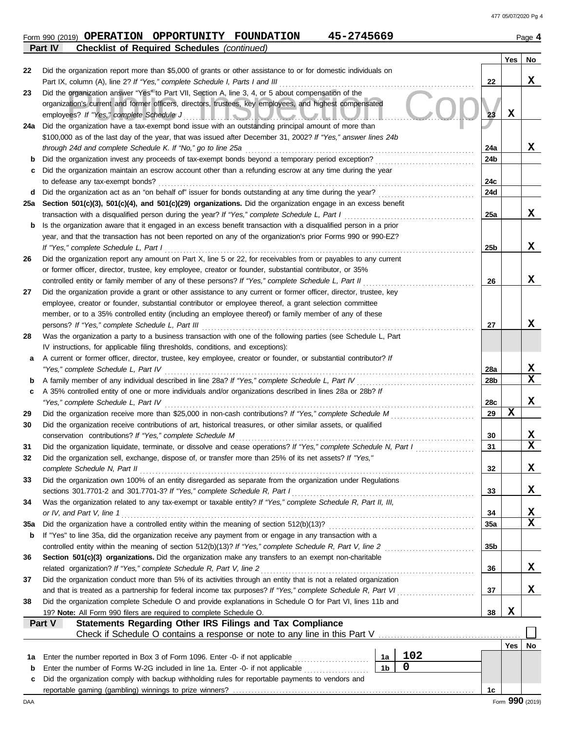|  | Form 990 (2019) OPERATION OPPORTUNITY FOUNDATION | 45-2745669 | Page 4 |
|--|--------------------------------------------------|------------|--------|
|  |                                                  |            |        |

**Part IV Checklist of Required Schedules** *(continued)*

|     |                                                                                                                                                                                                     |     | Yes        | No          |
|-----|-----------------------------------------------------------------------------------------------------------------------------------------------------------------------------------------------------|-----|------------|-------------|
| 22  | Did the organization report more than \$5,000 of grants or other assistance to or for domestic individuals on                                                                                       |     |            |             |
|     | Part IX, column (A), line 2? If "Yes," complete Schedule I, Parts I and III                                                                                                                         | 22  |            | x           |
| 23  | Did the organization answer "Yes" to Part VII, Section A, line 3, 4, or 5 about compensation of the                                                                                                 |     |            |             |
|     | organization's current and former officers, directors, trustees, key employees, and highest compensated                                                                                             |     |            |             |
|     | employees? If "Yes," complete Schedule J                                                                                                                                                            | 23  | X          |             |
| 24a | Did the organization have a tax-exempt bond issue with an outstanding principal amount of more than                                                                                                 |     |            |             |
|     | \$100,000 as of the last day of the year, that was issued after December 31, 2002? If "Yes," answer lines 24b                                                                                       |     |            |             |
|     | through 24d and complete Schedule K. If "No," go to line 25a                                                                                                                                        | 24a |            | x           |
| b   | Did the organization invest any proceeds of tax-exempt bonds beyond a temporary period exception?                                                                                                   | 24b |            |             |
| c   | Did the organization maintain an escrow account other than a refunding escrow at any time during the year                                                                                           |     |            |             |
|     | to defease any tax-exempt bonds?                                                                                                                                                                    | 24c |            |             |
| d   | Did the organization act as an "on behalf of" issuer for bonds outstanding at any time during the year?                                                                                             | 24d |            |             |
| 25a | Section 501(c)(3), 501(c)(4), and 501(c)(29) organizations. Did the organization engage in an excess benefit                                                                                        |     |            |             |
|     | transaction with a disqualified person during the year? If "Yes," complete Schedule L, Part I                                                                                                       | 25a |            | x           |
| b   | Is the organization aware that it engaged in an excess benefit transaction with a disqualified person in a prior                                                                                    |     |            |             |
|     | year, and that the transaction has not been reported on any of the organization's prior Forms 990 or 990-EZ?                                                                                        |     |            |             |
|     | If "Yes," complete Schedule L, Part I                                                                                                                                                               | 25b |            | x           |
| 26  | Did the organization report any amount on Part X, line 5 or 22, for receivables from or payables to any current                                                                                     |     |            |             |
|     | or former officer, director, trustee, key employee, creator or founder, substantial contributor, or 35%                                                                                             |     |            |             |
|     | controlled entity or family member of any of these persons? If "Yes," complete Schedule L, Part II                                                                                                  | 26  |            | X           |
| 27  | Did the organization provide a grant or other assistance to any current or former officer, director, trustee, key                                                                                   |     |            |             |
|     | employee, creator or founder, substantial contributor or employee thereof, a grant selection committee                                                                                              |     |            |             |
|     | member, or to a 35% controlled entity (including an employee thereof) or family member of any of these                                                                                              |     |            | x           |
|     | persons? If "Yes," complete Schedule L, Part III                                                                                                                                                    | 27  |            |             |
| 28  | Was the organization a party to a business transaction with one of the following parties (see Schedule L, Part                                                                                      |     |            |             |
|     | IV instructions, for applicable filing thresholds, conditions, and exceptions):<br>A current or former officer, director, trustee, key employee, creator or founder, or substantial contributor? If |     |            |             |
| a   | "Yes," complete Schedule L, Part IV                                                                                                                                                                 | 28a |            | X           |
| b   | A family member of any individual described in line 28a? If "Yes," complete Schedule L, Part IV                                                                                                     | 28b |            | $\mathbf x$ |
| c   | A 35% controlled entity of one or more individuals and/or organizations described in lines 28a or 28b? If                                                                                           |     |            |             |
|     | "Yes," complete Schedule L, Part IV                                                                                                                                                                 | 28c |            | x           |
| 29  | Did the organization receive more than \$25,000 in non-cash contributions? If "Yes," complete Schedule M                                                                                            | 29  | X          |             |
| 30  | Did the organization receive contributions of art, historical treasures, or other similar assets, or qualified                                                                                      |     |            |             |
|     | conservation contributions? If "Yes," complete Schedule M                                                                                                                                           | 30  |            | x           |
| 31  | Did the organization liquidate, terminate, or dissolve and cease operations? If "Yes," complete Schedule N, Part I                                                                                  | 31  |            | $\mathbf x$ |
| 32  | Did the organization sell, exchange, dispose of, or transfer more than 25% of its net assets? If "Yes,"                                                                                             |     |            |             |
|     | complete Schedule N, Part II                                                                                                                                                                        | 32  |            | х           |
| 33  | Did the organization own 100% of an entity disregarded as separate from the organization under Regulations                                                                                          |     |            |             |
|     | sections 301.7701-2 and 301.7701-3? If "Yes," complete Schedule R, Part I                                                                                                                           | 33  |            | X           |
| 34  | Was the organization related to any tax-exempt or taxable entity? If "Yes," complete Schedule R, Part II, III,                                                                                      |     |            |             |
|     | or IV, and Part V, line 1                                                                                                                                                                           | 34  |            | X           |
| 35a |                                                                                                                                                                                                     | 35a |            | $\mathbf x$ |
| b   | If "Yes" to line 35a, did the organization receive any payment from or engage in any transaction with a                                                                                             |     |            |             |
|     | controlled entity within the meaning of section 512(b)(13)? If "Yes," complete Schedule R, Part V, line 2                                                                                           | 35b |            |             |
| 36  | Section 501(c)(3) organizations. Did the organization make any transfers to an exempt non-charitable                                                                                                |     |            |             |
|     | related organization? If "Yes," complete Schedule R, Part V, line 2                                                                                                                                 | 36  |            | X,          |
| 37  | Did the organization conduct more than 5% of its activities through an entity that is not a related organization                                                                                    |     |            |             |
|     | and that is treated as a partnership for federal income tax purposes? If "Yes," complete Schedule R, Part VI                                                                                        | 37  |            | X           |
| 38  | Did the organization complete Schedule O and provide explanations in Schedule O for Part VI, lines 11b and                                                                                          |     |            |             |
|     | 19? Note: All Form 990 filers are required to complete Schedule O.                                                                                                                                  | 38  | X          |             |
|     | Statements Regarding Other IRS Filings and Tax Compliance<br>Part V                                                                                                                                 |     |            |             |
|     |                                                                                                                                                                                                     |     |            |             |
|     |                                                                                                                                                                                                     |     | <b>Yes</b> | No          |
| 1a  | 102<br>Enter the number reported in Box 3 of Form 1096. Enter -0- if not applicable [1] [1] [1] [1] [1] [1] Enter the number reported in Box 3 of Form 1096. Enter -0- if not applicable<br>1a      |     |            |             |
| b   | 0<br>1 <sub>b</sub><br>Enter the number of Forms W-2G included in line 1a. Enter -0- if not applicable                                                                                              |     |            |             |
| c   | Did the organization comply with backup withholding rules for reportable payments to vendors and                                                                                                    |     |            |             |
|     |                                                                                                                                                                                                     | 1c  |            |             |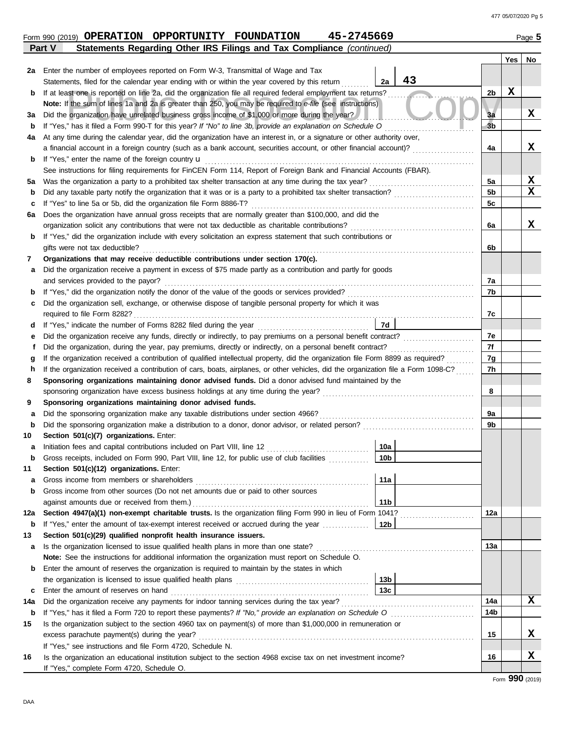|          | 45-2745669<br>Form 990 (2019) OPERATION OPPORTUNITY FOUNDATION                                                                                                                                               |                      |     | Page 5      |  |  |  |  |  |
|----------|--------------------------------------------------------------------------------------------------------------------------------------------------------------------------------------------------------------|----------------------|-----|-------------|--|--|--|--|--|
|          | Statements Regarding Other IRS Filings and Tax Compliance (continued)<br>Part V                                                                                                                              |                      |     |             |  |  |  |  |  |
|          |                                                                                                                                                                                                              |                      | Yes | No          |  |  |  |  |  |
|          | 2a Enter the number of employees reported on Form W-3, Transmittal of Wage and Tax<br>43                                                                                                                     |                      |     |             |  |  |  |  |  |
|          | Statements, filed for the calendar year ending with or within the year covered by this return<br>2a                                                                                                          |                      |     |             |  |  |  |  |  |
|          | If at least one is reported on line 2a, did the organization file all required federal employment tax returns?<br>b                                                                                          |                      |     |             |  |  |  |  |  |
|          | Note: If the sum of lines 1a and 2a is greater than 250, you may be required to e-file (see instructions)                                                                                                    |                      |     |             |  |  |  |  |  |
| за       | Did the organization have unrelated business gross income of \$1,000 or more during the year?<br>If "Yes," has it filed a Form 990-T for this year? If "No" to line 3b, provide an explanation on Schedule O | 3a<br>3 <sub>b</sub> |     | X           |  |  |  |  |  |
| b<br>4a  | At any time during the calendar year, did the organization have an interest in, or a signature or other authority over,                                                                                      |                      |     |             |  |  |  |  |  |
|          | a financial account in a foreign country (such as a bank account, securities account, or other financial account)?                                                                                           | 4a                   |     | X           |  |  |  |  |  |
| b        | If "Yes," enter the name of the foreign country u                                                                                                                                                            |                      |     |             |  |  |  |  |  |
|          | See instructions for filing requirements for FinCEN Form 114, Report of Foreign Bank and Financial Accounts (FBAR).                                                                                          |                      |     |             |  |  |  |  |  |
| 5а       |                                                                                                                                                                                                              | 5a                   |     | х           |  |  |  |  |  |
| b        | Did any taxable party notify the organization that it was or is a party to a prohibited tax shelter transaction?                                                                                             | 5b                   |     | $\mathbf x$ |  |  |  |  |  |
| c        | If "Yes" to line 5a or 5b, did the organization file Form 8886-T?                                                                                                                                            | 5c                   |     |             |  |  |  |  |  |
| 6a       | Does the organization have annual gross receipts that are normally greater than \$100,000, and did the                                                                                                       |                      |     |             |  |  |  |  |  |
|          | organization solicit any contributions that were not tax deductible as charitable contributions?                                                                                                             | 6a                   |     | X           |  |  |  |  |  |
| b        | If "Yes," did the organization include with every solicitation an express statement that such contributions or                                                                                               |                      |     |             |  |  |  |  |  |
|          | gifts were not tax deductible?                                                                                                                                                                               | 6b                   |     |             |  |  |  |  |  |
| 7        | Organizations that may receive deductible contributions under section 170(c).                                                                                                                                |                      |     |             |  |  |  |  |  |
| а        | Did the organization receive a payment in excess of \$75 made partly as a contribution and partly for goods                                                                                                  |                      |     |             |  |  |  |  |  |
|          | and services provided to the payor?                                                                                                                                                                          | 7a                   |     |             |  |  |  |  |  |
| b        | If "Yes," did the organization notify the donor of the value of the goods or services provided?                                                                                                              | 7b                   |     |             |  |  |  |  |  |
| c        | Did the organization sell, exchange, or otherwise dispose of tangible personal property for which it was                                                                                                     |                      |     |             |  |  |  |  |  |
|          |                                                                                                                                                                                                              | 7c                   |     |             |  |  |  |  |  |
| d        | 7d                                                                                                                                                                                                           |                      |     |             |  |  |  |  |  |
| е        | Did the organization receive any funds, directly or indirectly, to pay premiums on a personal benefit contract?                                                                                              | 7e                   |     |             |  |  |  |  |  |
| f        |                                                                                                                                                                                                              | 7f                   |     |             |  |  |  |  |  |
| g        | If the organization received a contribution of qualified intellectual property, did the organization file Form 8899 as required?                                                                             |                      |     |             |  |  |  |  |  |
| h        | If the organization received a contribution of cars, boats, airplanes, or other vehicles, did the organization file a Form 1098-C?                                                                           | 7h                   |     |             |  |  |  |  |  |
| 8        | Sponsoring organizations maintaining donor advised funds. Did a donor advised fund maintained by the                                                                                                         |                      |     |             |  |  |  |  |  |
|          |                                                                                                                                                                                                              | 8                    |     |             |  |  |  |  |  |
| 9        | Sponsoring organizations maintaining donor advised funds.                                                                                                                                                    |                      |     |             |  |  |  |  |  |
| а        | Did the sponsoring organization make any taxable distributions under section 4966?                                                                                                                           | 9a                   |     |             |  |  |  |  |  |
| b        | Did the sponsoring organization make a distribution to a donor, donor advisor, or related person?                                                                                                            | 9b                   |     |             |  |  |  |  |  |
| 10       | Section 501(c)(7) organizations. Enter:                                                                                                                                                                      |                      |     |             |  |  |  |  |  |
| а        | Initiation fees and capital contributions included on Part VIII, line 12 [11][11][11][11][11][11][11][11][11][<br>10a                                                                                        |                      |     |             |  |  |  |  |  |
| b        | Gross receipts, included on Form 990, Part VIII, line 12, for public use of club facilities<br>10 <sub>b</sub>                                                                                               |                      |     |             |  |  |  |  |  |
| 11       | Section 501(c)(12) organizations. Enter:                                                                                                                                                                     |                      |     |             |  |  |  |  |  |
| a        | 11a                                                                                                                                                                                                          |                      |     |             |  |  |  |  |  |
| b        | Gross income from other sources (Do not net amounts due or paid to other sources                                                                                                                             |                      |     |             |  |  |  |  |  |
|          | against amounts due or received from them.)<br>11 <sub>b</sub><br>Section 4947(a)(1) non-exempt charitable trusts. Is the organization filing Form 990 in lieu of Form 1041?                                 |                      |     |             |  |  |  |  |  |
| 12a<br>b | If "Yes," enter the amount of tax-exempt interest received or accrued during the year<br> 12b                                                                                                                | 12a                  |     |             |  |  |  |  |  |
| 13       | Section 501(c)(29) qualified nonprofit health insurance issuers.                                                                                                                                             |                      |     |             |  |  |  |  |  |
|          | Is the organization licensed to issue qualified health plans in more than one state?                                                                                                                         | 13a                  |     |             |  |  |  |  |  |
| а        | Note: See the instructions for additional information the organization must report on Schedule O.                                                                                                            |                      |     |             |  |  |  |  |  |
| b        | Enter the amount of reserves the organization is required to maintain by the states in which                                                                                                                 |                      |     |             |  |  |  |  |  |
|          | 13 <sub>b</sub>                                                                                                                                                                                              |                      |     |             |  |  |  |  |  |
| c        | 13 <sub>c</sub><br>Enter the amount of reserves on hand                                                                                                                                                      |                      |     |             |  |  |  |  |  |
| 14a      |                                                                                                                                                                                                              | 14a                  |     | X           |  |  |  |  |  |
| b        |                                                                                                                                                                                                              | 14b                  |     |             |  |  |  |  |  |
| 15       | Is the organization subject to the section 4960 tax on payment(s) of more than \$1,000,000 in remuneration or                                                                                                |                      |     |             |  |  |  |  |  |
|          | excess parachute payment(s) during the year?                                                                                                                                                                 | 15                   |     | X           |  |  |  |  |  |
|          | If "Yes," see instructions and file Form 4720, Schedule N.                                                                                                                                                   |                      |     |             |  |  |  |  |  |
| 16       | Is the organization an educational institution subject to the section 4968 excise tax on net investment income?                                                                                              | 16                   |     | X           |  |  |  |  |  |
|          | If "Yes," complete Form 4720, Schedule O.                                                                                                                                                                    |                      |     |             |  |  |  |  |  |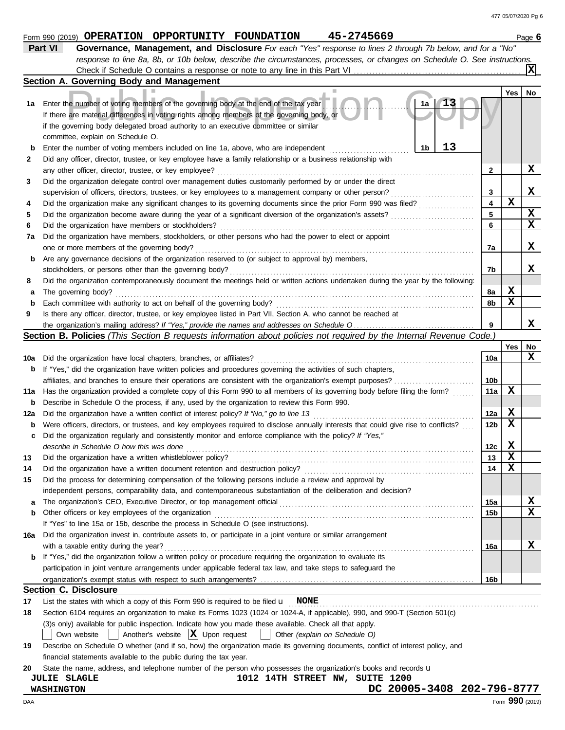|             | 45-2745669<br>Form 990 (2019) OPERATION OPPORTUNITY FOUNDATION                                                                      |                 |             | Page 6          |  |  |  |  |  |  |  |
|-------------|-------------------------------------------------------------------------------------------------------------------------------------|-----------------|-------------|-----------------|--|--|--|--|--|--|--|
|             | Part VI<br>Governance, Management, and Disclosure For each "Yes" response to lines 2 through 7b below, and for a "No"               |                 |             |                 |  |  |  |  |  |  |  |
|             | response to line 8a, 8b, or 10b below, describe the circumstances, processes, or changes on Schedule O. See instructions.           |                 |             |                 |  |  |  |  |  |  |  |
|             |                                                                                                                                     |                 |             |                 |  |  |  |  |  |  |  |
|             | Section A. Governing Body and Management                                                                                            |                 |             |                 |  |  |  |  |  |  |  |
|             |                                                                                                                                     |                 | Yes         | No              |  |  |  |  |  |  |  |
| 1a          | 1a<br>Enter the number of voting members of the governing body at the end of the tax year                                           |                 |             |                 |  |  |  |  |  |  |  |
|             | If there are material differences in voting rights among members of the governing body, or                                          |                 |             |                 |  |  |  |  |  |  |  |
|             | if the governing body delegated broad authority to an executive committee or similar                                                |                 |             |                 |  |  |  |  |  |  |  |
|             | committee, explain on Schedule O.                                                                                                   |                 |             |                 |  |  |  |  |  |  |  |
| b           | 13<br>1 <sub>b</sub><br>Enter the number of voting members included on line 1a, above, who are independent                          |                 |             |                 |  |  |  |  |  |  |  |
| 2           | Did any officer, director, trustee, or key employee have a family relationship or a business relationship with                      |                 |             |                 |  |  |  |  |  |  |  |
|             | any other officer, director, trustee, or key employee?                                                                              | $\mathbf{2}$    |             | X               |  |  |  |  |  |  |  |
| 3           | Did the organization delegate control over management duties customarily performed by or under the direct                           |                 |             |                 |  |  |  |  |  |  |  |
|             | supervision of officers, directors, trustees, or key employees to a management company or other person?                             | 3               |             | X               |  |  |  |  |  |  |  |
| 4           | Did the organization make any significant changes to its governing documents since the prior Form 990 was filed?                    | 4               | $\mathbf x$ |                 |  |  |  |  |  |  |  |
| 5           | Did the organization become aware during the year of a significant diversion of the organization's assets?                          | 5               |             | X               |  |  |  |  |  |  |  |
| 6           | Did the organization have members or stockholders?                                                                                  | 6               |             | $\mathbf x$     |  |  |  |  |  |  |  |
| 7a          | .<br>Did the organization have members, stockholders, or other persons who had the power to elect or appoint                        |                 |             |                 |  |  |  |  |  |  |  |
|             | one or more members of the governing body?                                                                                          | 7а              |             | X               |  |  |  |  |  |  |  |
| b           | Are any governance decisions of the organization reserved to (or subject to approval by) members,                                   |                 |             |                 |  |  |  |  |  |  |  |
|             | stockholders, or persons other than the governing body?                                                                             | 7b              |             | X               |  |  |  |  |  |  |  |
| 8           | Did the organization contemporaneously document the meetings held or written actions undertaken during the year by the following:   |                 |             |                 |  |  |  |  |  |  |  |
|             | The governing body?                                                                                                                 | 8а              | X           |                 |  |  |  |  |  |  |  |
| а           |                                                                                                                                     | 8b              | X           |                 |  |  |  |  |  |  |  |
| $\mathbf b$ | Each committee with authority to act on behalf of the governing body?                                                               |                 |             |                 |  |  |  |  |  |  |  |
| 9           | Is there any officer, director, trustee, or key employee listed in Part VII, Section A, who cannot be reached at                    | 9               |             | x               |  |  |  |  |  |  |  |
|             |                                                                                                                                     |                 |             |                 |  |  |  |  |  |  |  |
|             | <b>Section B. Policies</b> (This Section B requests information about policies not required by the Internal Revenue Code.)          |                 |             |                 |  |  |  |  |  |  |  |
|             |                                                                                                                                     |                 | Yes         | No<br>X         |  |  |  |  |  |  |  |
| 10a         | Did the organization have local chapters, branches, or affiliates?                                                                  | 10a             |             |                 |  |  |  |  |  |  |  |
| b           | If "Yes," did the organization have written policies and procedures governing the activities of such chapters,                      |                 |             |                 |  |  |  |  |  |  |  |
|             | affiliates, and branches to ensure their operations are consistent with the organization's exempt purposes?                         | 10b             |             |                 |  |  |  |  |  |  |  |
| 11a         | Has the organization provided a complete copy of this Form 990 to all members of its governing body before filing the form?         | 11a             | X           |                 |  |  |  |  |  |  |  |
| b           | Describe in Schedule O the process, if any, used by the organization to review this Form 990.                                       |                 |             |                 |  |  |  |  |  |  |  |
| 12a         | Did the organization have a written conflict of interest policy? If "No," go to line 13                                             | 12a             | X           |                 |  |  |  |  |  |  |  |
| b           | Were officers, directors, or trustees, and key employees required to disclose annually interests that could give rise to conflicts? | 12b             | X           |                 |  |  |  |  |  |  |  |
| с           | Did the organization regularly and consistently monitor and enforce compliance with the policy? If "Yes,"                           |                 |             |                 |  |  |  |  |  |  |  |
|             | describe in Schedule O how this was done                                                                                            | 12 <sub>c</sub> | $\mathbf x$ |                 |  |  |  |  |  |  |  |
| 13          | Did the organization have a written whistleblower policy?                                                                           | 13              | X           |                 |  |  |  |  |  |  |  |
| 14          | Did the organization have a written document retention and destruction policy?                                                      | 14              | х           |                 |  |  |  |  |  |  |  |
| 15          | Did the process for determining compensation of the following persons include a review and approval by                              |                 |             |                 |  |  |  |  |  |  |  |
|             | independent persons, comparability data, and contemporaneous substantiation of the deliberation and decision?                       |                 |             |                 |  |  |  |  |  |  |  |
| а           | The organization's CEO, Executive Director, or top management official                                                              | 15a             |             | X               |  |  |  |  |  |  |  |
| b           | Other officers or key employees of the organization                                                                                 | 15b             |             | X               |  |  |  |  |  |  |  |
|             | If "Yes" to line 15a or 15b, describe the process in Schedule O (see instructions).                                                 |                 |             |                 |  |  |  |  |  |  |  |
| 16a         | Did the organization invest in, contribute assets to, or participate in a joint venture or similar arrangement                      |                 |             |                 |  |  |  |  |  |  |  |
|             | with a taxable entity during the year?                                                                                              | 16a             |             | x               |  |  |  |  |  |  |  |
| b           | If "Yes," did the organization follow a written policy or procedure requiring the organization to evaluate its                      |                 |             |                 |  |  |  |  |  |  |  |
|             | participation in joint venture arrangements under applicable federal tax law, and take steps to safeguard the                       |                 |             |                 |  |  |  |  |  |  |  |
|             |                                                                                                                                     | 16b             |             |                 |  |  |  |  |  |  |  |
|             | <b>Section C. Disclosure</b>                                                                                                        |                 |             |                 |  |  |  |  |  |  |  |
| 17          | List the states with which a copy of this Form 990 is required to be filed $\mathbf u$ NONE                                         |                 |             |                 |  |  |  |  |  |  |  |
| 18          | Section 6104 requires an organization to make its Forms 1023 (1024 or 1024-A, if applicable), 990, and 990-T (Section 501(c)        |                 |             |                 |  |  |  |  |  |  |  |
|             | (3)s only) available for public inspection. Indicate how you made these available. Check all that apply.                            |                 |             |                 |  |  |  |  |  |  |  |
|             | Another's website $ \mathbf{X} $ Upon request<br>Own website<br>Other (explain on Schedule O)                                       |                 |             |                 |  |  |  |  |  |  |  |
| 19          | Describe on Schedule O whether (and if so, how) the organization made its governing documents, conflict of interest policy, and     |                 |             |                 |  |  |  |  |  |  |  |
|             | financial statements available to the public during the tax year.                                                                   |                 |             |                 |  |  |  |  |  |  |  |
| 20          | State the name, address, and telephone number of the person who possesses the organization's books and records u                    |                 |             |                 |  |  |  |  |  |  |  |
|             | 1012 14TH STREET NW, SUITE 1200<br><b>JULIE SLAGLE</b>                                                                              |                 |             |                 |  |  |  |  |  |  |  |
|             | DC 20005-3408 202-796-8777<br><b>WASHINGTON</b>                                                                                     |                 |             |                 |  |  |  |  |  |  |  |
| DAA         |                                                                                                                                     |                 |             | Form 990 (2019) |  |  |  |  |  |  |  |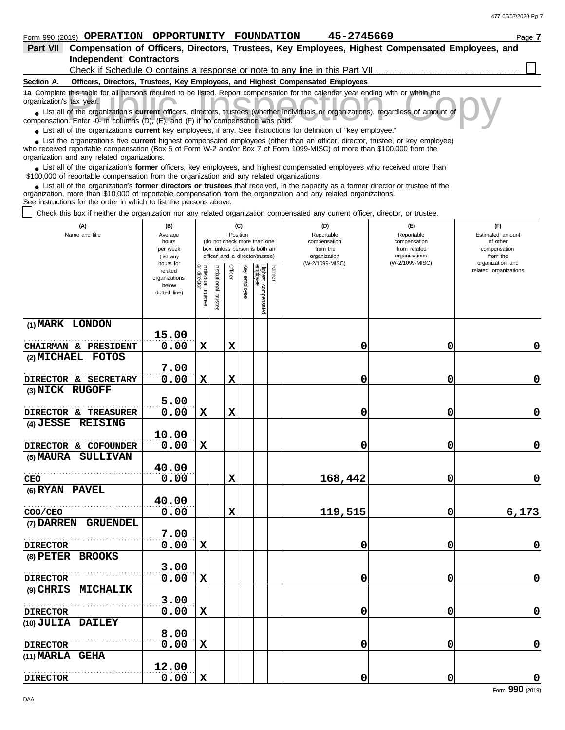## **Independent Contractors Part VII Compensation of Officers, Directors, Trustees, Key Employees, Highest Compensated Employees, and**

Check if Schedule O contains a response or note to any line in this Part VII

### **Section A. Officers, Directors, Trustees, Key Employees, and Highest Compensated Employees**

**1a** Complete this table for all persons required to be listed. Report compensation for the calendar year ending with or within the organization's tax year.

this table for all persons required to be listed. Report compensation for the calendar year ending with or within the tax year.<br>
of the organization's **current** officers, directors, trustees (whether individuals or organiz ■ List all of the organization's **current** officers, directors, trustees (whether individuals or organizations), regardless of amount of compensation. Enter -0- in columns (D), (E), and (F) if no compensation was paid.

● List all of the organization's **current** key employees, if any. See instructions for definition of "key employee."

who received reportable compensation (Box 5 of Form W-2 and/or Box 7 of Form 1099-MISC) of more than \$100,000 from the organization and any related organizations. ■ List the organization's five **current** highest compensated employees (other than an officer, director, trustee, or key employee)<br> **•** Preceived reportable compensation (Box 5 of Form W.2 and/or Box 7 of Form 1000 MISC)

■ List all of the organization's **former** officers, key employees, and highest compensated employees who received more than<br> **•** 00,000 of reportable compensation from the ergonization and any related ergonizations \$100,000 of reportable compensation from the organization and any related organizations.

■ List all of the organization's **former directors or trustees** that received, in the capacity as a former director or trustee of the<br>paization, more than \$10,000 of reportable compensation from the organization and any r organization, more than \$10,000 of reportable compensation from the organization and any related organizations. See instructions for the order in which to list the persons above.

Check this box if neither the organization nor any related organization compensated any current officer, director, or trustee.

| (A)<br>Name and title                      | (C)<br>(B)<br>Position<br>Average<br>(do not check more than one<br>hours<br>per week<br>box, unless person is both an<br>officer and a director/trustee)<br>(list any<br>hours for |                                   |                      |             |                 |                                 |        | (D)<br>Reportable<br>compensation<br>from the<br>organization<br>(W-2/1099-MISC) | (E)<br>Reportable<br>compensation<br>from related<br>organizations<br>(W-2/1099-MISC) | (F)<br>Estimated amount<br>of other<br>compensation<br>from the<br>organization and |
|--------------------------------------------|-------------------------------------------------------------------------------------------------------------------------------------------------------------------------------------|-----------------------------------|----------------------|-------------|-----------------|---------------------------------|--------|----------------------------------------------------------------------------------|---------------------------------------------------------------------------------------|-------------------------------------------------------------------------------------|
|                                            | related<br>organizations<br>below<br>dotted line)                                                                                                                                   | Individual trustee<br>or director | nstitutional trustee | Officer     | Ķey<br>employee | Highest compensated<br>employee | Former |                                                                                  |                                                                                       | related organizations                                                               |
| (1) MARK LONDON                            |                                                                                                                                                                                     |                                   |                      |             |                 |                                 |        |                                                                                  |                                                                                       |                                                                                     |
| CHAIRMAN & PRESIDENT                       | 15.00<br>0.00                                                                                                                                                                       | $\mathbf x$                       |                      | $\mathbf x$ |                 |                                 |        | 0                                                                                | 0                                                                                     | 0                                                                                   |
| (2) MICHAEL FOTOS                          |                                                                                                                                                                                     |                                   |                      |             |                 |                                 |        |                                                                                  |                                                                                       |                                                                                     |
|                                            | 7.00                                                                                                                                                                                |                                   |                      |             |                 |                                 |        |                                                                                  |                                                                                       |                                                                                     |
| DIRECTOR & SECRETARY<br>(3) NICK RUGOFF    | 0.00                                                                                                                                                                                | $\mathbf x$                       |                      | $\mathbf x$ |                 |                                 |        | 0                                                                                | 0                                                                                     | $\mathbf 0$                                                                         |
|                                            | 5.00                                                                                                                                                                                |                                   |                      |             |                 |                                 |        |                                                                                  |                                                                                       |                                                                                     |
| DIRECTOR & TREASURER                       | 0.00                                                                                                                                                                                | $\mathbf x$                       |                      | $\mathbf x$ |                 |                                 |        | 0                                                                                | 0                                                                                     | $\mathbf 0$                                                                         |
| (4) JESSE REISING                          |                                                                                                                                                                                     |                                   |                      |             |                 |                                 |        |                                                                                  |                                                                                       |                                                                                     |
|                                            | 10.00                                                                                                                                                                               |                                   |                      |             |                 |                                 |        |                                                                                  |                                                                                       |                                                                                     |
| DIRECTOR & COFOUNDER<br>(5) MAURA SULLIVAN | 0.00                                                                                                                                                                                | $\mathbf x$                       |                      |             |                 |                                 |        | 0                                                                                | 0                                                                                     | $\mathbf 0$                                                                         |
|                                            | 40.00                                                                                                                                                                               |                                   |                      |             |                 |                                 |        |                                                                                  |                                                                                       |                                                                                     |
| CEO                                        | 0.00                                                                                                                                                                                |                                   |                      | $\mathbf x$ |                 |                                 |        | 168,442                                                                          | 0                                                                                     | $\mathbf 0$                                                                         |
| (6) RYAN PAVEL                             |                                                                                                                                                                                     |                                   |                      |             |                 |                                 |        |                                                                                  |                                                                                       |                                                                                     |
|                                            | 40.00                                                                                                                                                                               |                                   |                      |             |                 |                                 |        |                                                                                  |                                                                                       |                                                                                     |
| COO/CEO                                    | 0.00                                                                                                                                                                                |                                   |                      | $\mathbf x$ |                 |                                 |        | 119,515                                                                          | 0                                                                                     | 6,173                                                                               |
| (7) DARREN<br>GRUENDEL                     | 7.00                                                                                                                                                                                |                                   |                      |             |                 |                                 |        |                                                                                  |                                                                                       |                                                                                     |
| <b>DIRECTOR</b>                            | 0.00                                                                                                                                                                                | $\mathbf x$                       |                      |             |                 |                                 |        | 0                                                                                | 0                                                                                     | $\mathbf 0$                                                                         |
| (8) PETER BROOKS                           |                                                                                                                                                                                     |                                   |                      |             |                 |                                 |        |                                                                                  |                                                                                       |                                                                                     |
|                                            | 3.00                                                                                                                                                                                |                                   |                      |             |                 |                                 |        |                                                                                  |                                                                                       |                                                                                     |
| <b>DIRECTOR</b>                            | 0.00                                                                                                                                                                                | $\mathbf x$                       |                      |             |                 |                                 |        | 0                                                                                | 0                                                                                     | $\pmb{0}$                                                                           |
| $(9)$ CHRIS<br><b>MICHALIK</b>             | 3.00                                                                                                                                                                                |                                   |                      |             |                 |                                 |        |                                                                                  |                                                                                       |                                                                                     |
| <b>DIRECTOR</b>                            | 0.00                                                                                                                                                                                | $\mathbf x$                       |                      |             |                 |                                 |        | 0                                                                                | 0                                                                                     | $\mathbf 0$                                                                         |
| (10) JULIA DAILEY                          |                                                                                                                                                                                     |                                   |                      |             |                 |                                 |        |                                                                                  |                                                                                       |                                                                                     |
|                                            | 8.00                                                                                                                                                                                |                                   |                      |             |                 |                                 |        |                                                                                  |                                                                                       |                                                                                     |
| <b>DIRECTOR</b>                            | 0.00                                                                                                                                                                                | $\mathbf x$                       |                      |             |                 |                                 |        | 0                                                                                | 0                                                                                     | $\mathbf 0$                                                                         |
| (11) MARLA GEHA                            |                                                                                                                                                                                     |                                   |                      |             |                 |                                 |        |                                                                                  |                                                                                       |                                                                                     |
| <b>DIRECTOR</b>                            | 12.00<br>0.00                                                                                                                                                                       | $\mathbf x$                       |                      |             |                 |                                 |        | 0                                                                                | 0                                                                                     | 0                                                                                   |
|                                            |                                                                                                                                                                                     |                                   |                      |             |                 |                                 |        |                                                                                  |                                                                                       | Form 990 (2019)                                                                     |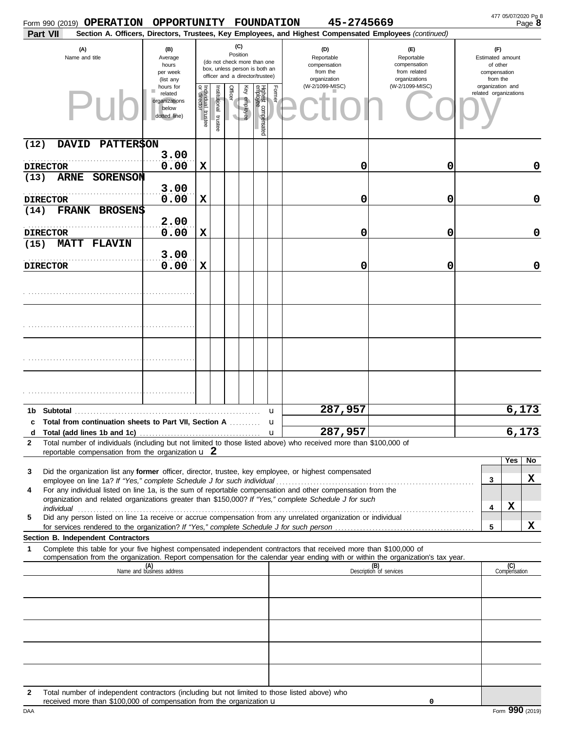| Form 990 (2019) OPERATION                                                                                                                                                                                                                                                                                                               | OPPORTUNITY FOUNDATION                                         |                                      |                       |                                     |                 |                                                                                                 |             | 45-2745669                                                    |                                                                                                                                                                              | 477 05/07/2020 Pg 8                                                                 | Page 8 |  |
|-----------------------------------------------------------------------------------------------------------------------------------------------------------------------------------------------------------------------------------------------------------------------------------------------------------------------------------------|----------------------------------------------------------------|--------------------------------------|-----------------------|-------------------------------------|-----------------|-------------------------------------------------------------------------------------------------|-------------|---------------------------------------------------------------|------------------------------------------------------------------------------------------------------------------------------------------------------------------------------|-------------------------------------------------------------------------------------|--------|--|
| <b>Part VII</b><br>(A)<br>Name and title                                                                                                                                                                                                                                                                                                | (B)<br>Average<br>hours<br>per week<br>(list any               |                                      |                       | (C)<br>Position                     |                 | (do not check more than one<br>box, unless person is both an<br>officer and a director/trustee) |             | (D)<br>Reportable<br>compensation<br>from the<br>organization | Section A. Officers, Directors, Trustees, Key Employees, and Highest Compensated Employees (continued)<br>(E)<br>Reportable<br>compensation<br>from related<br>organizations | (F)<br>Estimated amount<br>of other<br>compensation<br>from the<br>organization and |        |  |
|                                                                                                                                                                                                                                                                                                                                         | hours for<br>related<br>organizations<br>below<br>dotted line) | Individual<br>or director<br>trustee | Institutional trustee | Officer<br>$\overline{\phantom{a}}$ | Ķey<br>employee | Highest compensated<br>employee                                                                 | Former      | (W-2/1099-MISC)                                               | (W-2/1099-MISC)                                                                                                                                                              | related organizations                                                               |        |  |
| <b>DAVID</b><br><b>PATTER\$ON</b><br>(12)                                                                                                                                                                                                                                                                                               |                                                                |                                      |                       |                                     |                 |                                                                                                 |             |                                                               |                                                                                                                                                                              |                                                                                     |        |  |
| <b>DIRECTOR</b>                                                                                                                                                                                                                                                                                                                         | 3.00<br>0.00                                                   | $\mathbf x$                          |                       |                                     |                 |                                                                                                 |             | 0                                                             | 0                                                                                                                                                                            |                                                                                     | 0      |  |
| <b>ARNE</b><br>SORENSON<br>(13)                                                                                                                                                                                                                                                                                                         |                                                                |                                      |                       |                                     |                 |                                                                                                 |             |                                                               |                                                                                                                                                                              |                                                                                     |        |  |
| <b>DIRECTOR</b>                                                                                                                                                                                                                                                                                                                         | 3.00<br>0.00                                                   | $\mathbf x$                          |                       |                                     |                 |                                                                                                 |             | 0                                                             | 0                                                                                                                                                                            |                                                                                     | 0      |  |
| <b>FRANK BROSENS</b><br>(14)                                                                                                                                                                                                                                                                                                            |                                                                |                                      |                       |                                     |                 |                                                                                                 |             |                                                               |                                                                                                                                                                              |                                                                                     |        |  |
| <b>DIRECTOR</b>                                                                                                                                                                                                                                                                                                                         | 2.00<br>0.00                                                   | $\mathbf x$                          |                       |                                     |                 |                                                                                                 |             | 0                                                             | 0                                                                                                                                                                            |                                                                                     | 0      |  |
| <b>MATT</b><br><b>FLAVIN</b><br>(15)                                                                                                                                                                                                                                                                                                    |                                                                |                                      |                       |                                     |                 |                                                                                                 |             |                                                               |                                                                                                                                                                              |                                                                                     |        |  |
| <b>DIRECTOR</b>                                                                                                                                                                                                                                                                                                                         | 3.00<br>0.00                                                   | $\mathbf x$                          |                       |                                     |                 |                                                                                                 |             | 0                                                             | 0                                                                                                                                                                            |                                                                                     | 0      |  |
|                                                                                                                                                                                                                                                                                                                                         |                                                                |                                      |                       |                                     |                 |                                                                                                 |             |                                                               |                                                                                                                                                                              |                                                                                     |        |  |
|                                                                                                                                                                                                                                                                                                                                         |                                                                |                                      |                       |                                     |                 |                                                                                                 |             |                                                               |                                                                                                                                                                              |                                                                                     |        |  |
|                                                                                                                                                                                                                                                                                                                                         |                                                                |                                      |                       |                                     |                 |                                                                                                 |             |                                                               |                                                                                                                                                                              |                                                                                     |        |  |
|                                                                                                                                                                                                                                                                                                                                         |                                                                |                                      |                       |                                     |                 |                                                                                                 |             |                                                               |                                                                                                                                                                              |                                                                                     |        |  |
|                                                                                                                                                                                                                                                                                                                                         |                                                                |                                      |                       |                                     |                 |                                                                                                 |             |                                                               |                                                                                                                                                                              |                                                                                     |        |  |
|                                                                                                                                                                                                                                                                                                                                         |                                                                |                                      |                       |                                     |                 |                                                                                                 | u           | 287,957                                                       |                                                                                                                                                                              |                                                                                     | 6,173  |  |
| c Total from continuation sheets to Part VII. Section A                                                                                                                                                                                                                                                                                 |                                                                |                                      |                       |                                     |                 |                                                                                                 | u           |                                                               |                                                                                                                                                                              |                                                                                     |        |  |
| Total number of individuals (including but not limited to those listed above) who received more than \$100,000 of<br>2                                                                                                                                                                                                                  |                                                                |                                      |                       |                                     |                 |                                                                                                 | $\mathbf u$ | 287,957                                                       |                                                                                                                                                                              |                                                                                     | 6,173  |  |
| reportable compensation from the organization $\mathbf u$ 2                                                                                                                                                                                                                                                                             |                                                                |                                      |                       |                                     |                 |                                                                                                 |             |                                                               |                                                                                                                                                                              | Yes                                                                                 | No     |  |
| Did the organization list any former officer, director, trustee, key employee, or highest compensated<br>3                                                                                                                                                                                                                              |                                                                |                                      |                       |                                     |                 |                                                                                                 |             |                                                               |                                                                                                                                                                              |                                                                                     | X      |  |
| For any individual listed on line 1a, is the sum of reportable compensation and other compensation from the<br>4                                                                                                                                                                                                                        |                                                                |                                      |                       |                                     |                 |                                                                                                 |             |                                                               |                                                                                                                                                                              | 3                                                                                   |        |  |
| organization and related organizations greater than \$150,000? If "Yes," complete Schedule J for such<br>individual with a construction of the construction of the construction of the construction of the construction of the construction of the construction of the construction of the construction of the construction of the cons |                                                                |                                      |                       |                                     |                 |                                                                                                 |             |                                                               |                                                                                                                                                                              | X<br>4                                                                              |        |  |
| Did any person listed on line 1a receive or accrue compensation from any unrelated organization or individual<br>5                                                                                                                                                                                                                      |                                                                |                                      |                       |                                     |                 |                                                                                                 |             |                                                               |                                                                                                                                                                              | 5                                                                                   | X      |  |
| Section B. Independent Contractors                                                                                                                                                                                                                                                                                                      |                                                                |                                      |                       |                                     |                 |                                                                                                 |             |                                                               |                                                                                                                                                                              |                                                                                     |        |  |
| Complete this table for your five highest compensated independent contractors that received more than \$100,000 of<br>1                                                                                                                                                                                                                 |                                                                |                                      |                       |                                     |                 |                                                                                                 |             |                                                               |                                                                                                                                                                              |                                                                                     |        |  |
| compensation from the organization. Report compensation for the calendar year ending with or within the organization's tax year.<br>(A)<br>Name and business address                                                                                                                                                                    |                                                                |                                      |                       |                                     |                 |                                                                                                 |             | (B)<br>Description of services                                | (C)<br>Compensation                                                                                                                                                          |                                                                                     |        |  |
|                                                                                                                                                                                                                                                                                                                                         |                                                                |                                      |                       |                                     |                 |                                                                                                 |             |                                                               |                                                                                                                                                                              |                                                                                     |        |  |
|                                                                                                                                                                                                                                                                                                                                         |                                                                |                                      |                       |                                     |                 |                                                                                                 |             |                                                               |                                                                                                                                                                              |                                                                                     |        |  |
|                                                                                                                                                                                                                                                                                                                                         |                                                                |                                      |                       |                                     |                 |                                                                                                 |             |                                                               |                                                                                                                                                                              |                                                                                     |        |  |
|                                                                                                                                                                                                                                                                                                                                         |                                                                |                                      |                       |                                     |                 |                                                                                                 |             |                                                               |                                                                                                                                                                              |                                                                                     |        |  |
|                                                                                                                                                                                                                                                                                                                                         |                                                                |                                      |                       |                                     |                 |                                                                                                 |             |                                                               |                                                                                                                                                                              |                                                                                     |        |  |
| $\mathbf{2}$<br>Total number of independent contractors (including but not limited to those listed above) who<br>received more than \$100,000 of compensation from the organization $\mathbf u$                                                                                                                                         |                                                                |                                      |                       |                                     |                 |                                                                                                 |             |                                                               | 0                                                                                                                                                                            |                                                                                     |        |  |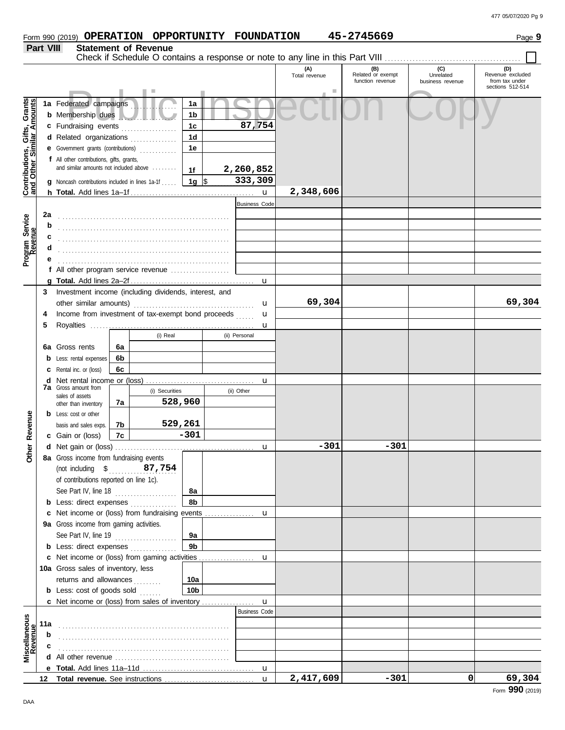### Form 990 (2019) **OPERATION OPPORTUNITY FOUNDATION** 45-2745669 Page 9 **OPERATION OPPORTUNITY FOUNDATION 45-2745669**

|                                                           | Part VIII                                               |                                                                |    | <b>Statement of Revenue</b> |                 |  |                      |              | Check if Schedule O contains a response or note to any line in this Part VIII |                                              |                                      |                                                               |
|-----------------------------------------------------------|---------------------------------------------------------|----------------------------------------------------------------|----|-----------------------------|-----------------|--|----------------------|--------------|-------------------------------------------------------------------------------|----------------------------------------------|--------------------------------------|---------------------------------------------------------------|
|                                                           |                                                         |                                                                |    |                             |                 |  |                      |              | (A)<br>Total revenue                                                          | (B)<br>Related or exempt<br>function revenue | (C)<br>Unrelated<br>business revenue | (D)<br>Revenue excluded<br>from tax under<br>sections 512-514 |
| Contributions, Gifts, Grants<br>and Other Similar Amounts |                                                         | 1a Federated campaigns<br><b>b</b> Membership dues             |    |                             | 1a<br>1b        |  |                      |              | ш                                                                             |                                              |                                      |                                                               |
|                                                           |                                                         | c Fundraising events                                           |    |                             | 1c              |  | 87,754               |              |                                                                               |                                              |                                      |                                                               |
|                                                           |                                                         | d Related organizations                                        |    |                             | 1d              |  |                      |              |                                                                               |                                              |                                      |                                                               |
|                                                           |                                                         | <b>e</b> Government grants (contributions)                     |    |                             | 1e              |  |                      |              |                                                                               |                                              |                                      |                                                               |
|                                                           |                                                         | f All other contributions, gifts, grants,                      |    |                             |                 |  |                      |              |                                                                               |                                              |                                      |                                                               |
|                                                           |                                                         | and similar amounts not included above                         |    |                             | 1f              |  | 2,260,852            |              |                                                                               |                                              |                                      |                                                               |
|                                                           |                                                         | Noncash contributions included in lines 1a-1f                  |    |                             | 1g $\vert$ \$   |  | 333,309              |              |                                                                               |                                              |                                      |                                                               |
|                                                           |                                                         |                                                                |    |                             |                 |  |                      | u            | 2,348,606                                                                     |                                              |                                      |                                                               |
|                                                           |                                                         |                                                                |    |                             |                 |  | <b>Business Code</b> |              |                                                                               |                                              |                                      |                                                               |
|                                                           | 2a                                                      |                                                                |    |                             |                 |  |                      |              |                                                                               |                                              |                                      |                                                               |
| Program Service<br>Revenue                                | b                                                       |                                                                |    |                             |                 |  |                      |              |                                                                               |                                              |                                      |                                                               |
|                                                           |                                                         |                                                                |    |                             |                 |  |                      |              |                                                                               |                                              |                                      |                                                               |
|                                                           |                                                         |                                                                |    |                             |                 |  |                      |              |                                                                               |                                              |                                      |                                                               |
|                                                           |                                                         |                                                                |    |                             |                 |  |                      |              |                                                                               |                                              |                                      |                                                               |
|                                                           |                                                         | f All other program service revenue                            |    |                             |                 |  |                      |              |                                                                               |                                              |                                      |                                                               |
|                                                           |                                                         |                                                                |    |                             |                 |  |                      | u            |                                                                               |                                              |                                      |                                                               |
|                                                           | 3                                                       | Investment income (including dividends, interest, and          |    |                             |                 |  |                      |              | 69,304                                                                        |                                              |                                      | 69,304                                                        |
|                                                           | Income from investment of tax-exempt bond proceeds<br>4 |                                                                |    |                             |                 |  | u<br>u               |              |                                                                               |                                              |                                      |                                                               |
|                                                           | 5                                                       |                                                                |    |                             |                 |  |                      | u            |                                                                               |                                              |                                      |                                                               |
|                                                           |                                                         |                                                                |    | (i) Real                    |                 |  | (ii) Personal        |              |                                                                               |                                              |                                      |                                                               |
|                                                           | 6а                                                      | Gross rents                                                    | 6а |                             |                 |  |                      |              |                                                                               |                                              |                                      |                                                               |
|                                                           | b                                                       | Less: rental expenses                                          | 6b |                             |                 |  |                      |              |                                                                               |                                              |                                      |                                                               |
|                                                           | c                                                       | Rental inc. or (loss)                                          | 6с |                             |                 |  |                      |              |                                                                               |                                              |                                      |                                                               |
|                                                           | d                                                       | Net rental income or (loss)                                    |    |                             |                 |  |                      | u            |                                                                               |                                              |                                      |                                                               |
|                                                           |                                                         | 7a Gross amount from                                           |    | (i) Securities              |                 |  | (ii) Other           |              |                                                                               |                                              |                                      |                                                               |
|                                                           |                                                         | sales of assets<br>other than inventory                        | 7a | 528,960                     |                 |  |                      |              |                                                                               |                                              |                                      |                                                               |
|                                                           |                                                         | <b>b</b> Less: cost or other                                   |    |                             |                 |  |                      |              |                                                                               |                                              |                                      |                                                               |
| Revenue                                                   |                                                         | basis and sales exps.                                          | 7b | 529,261                     |                 |  |                      |              |                                                                               |                                              |                                      |                                                               |
|                                                           |                                                         | c Gain or (loss)                                               | 7c |                             | $-301$          |  |                      |              |                                                                               |                                              |                                      |                                                               |
| <b>Other</b>                                              |                                                         |                                                                |    |                             |                 |  |                      | u            | $-301$                                                                        | $-301$                                       |                                      |                                                               |
|                                                           |                                                         | 8a Gross income from fundraising events<br>(not including $\$$ |    | 87,754                      |                 |  |                      |              |                                                                               |                                              |                                      |                                                               |
|                                                           |                                                         | of contributions reported on line 1c).                         |    |                             |                 |  |                      |              |                                                                               |                                              |                                      |                                                               |
|                                                           |                                                         | See Part IV, line 18                                           |    |                             | 8a              |  |                      |              |                                                                               |                                              |                                      |                                                               |
|                                                           |                                                         | <b>b</b> Less: direct expenses                                 |    |                             | 8b              |  |                      |              |                                                                               |                                              |                                      |                                                               |
|                                                           |                                                         | c Net income or (loss) from fundraising events                 |    |                             |                 |  |                      | u            |                                                                               |                                              |                                      |                                                               |
|                                                           |                                                         | 9a Gross income from gaming activities.                        |    |                             |                 |  |                      |              |                                                                               |                                              |                                      |                                                               |
|                                                           |                                                         | See Part IV, line 19<br><b>b</b> Less: direct expenses         |    | .                           | 9a<br>9b        |  |                      |              |                                                                               |                                              |                                      |                                                               |
|                                                           |                                                         | c Net income or (loss) from gaming activities                  |    |                             |                 |  |                      | u            |                                                                               |                                              |                                      |                                                               |
|                                                           |                                                         | 10a Gross sales of inventory, less                             |    |                             |                 |  |                      |              |                                                                               |                                              |                                      |                                                               |
|                                                           |                                                         | returns and allowances                                         |    |                             | 10a             |  |                      |              |                                                                               |                                              |                                      |                                                               |
|                                                           |                                                         | <b>b</b> Less: cost of goods sold                              |    |                             | 10 <sub>b</sub> |  |                      |              |                                                                               |                                              |                                      |                                                               |
|                                                           |                                                         | c Net income or (loss) from sales of inventory                 |    |                             |                 |  |                      | u            |                                                                               |                                              |                                      |                                                               |
|                                                           |                                                         |                                                                |    |                             |                 |  | <b>Business Code</b> |              |                                                                               |                                              |                                      |                                                               |
|                                                           | 11a                                                     |                                                                |    |                             |                 |  |                      |              |                                                                               |                                              |                                      |                                                               |
|                                                           | b                                                       |                                                                |    |                             |                 |  |                      |              |                                                                               |                                              |                                      |                                                               |
| Miscellaneous<br>Revenue                                  |                                                         |                                                                |    |                             |                 |  |                      |              |                                                                               |                                              |                                      |                                                               |
|                                                           | d                                                       |                                                                |    |                             |                 |  |                      |              |                                                                               |                                              |                                      |                                                               |
|                                                           |                                                         |                                                                |    |                             |                 |  |                      | $\mathbf u$  |                                                                               |                                              |                                      |                                                               |
|                                                           | 12                                                      |                                                                |    |                             |                 |  |                      | $\mathbf{u}$ | 2,417,609                                                                     | $-301$                                       | 0                                    | 69,304                                                        |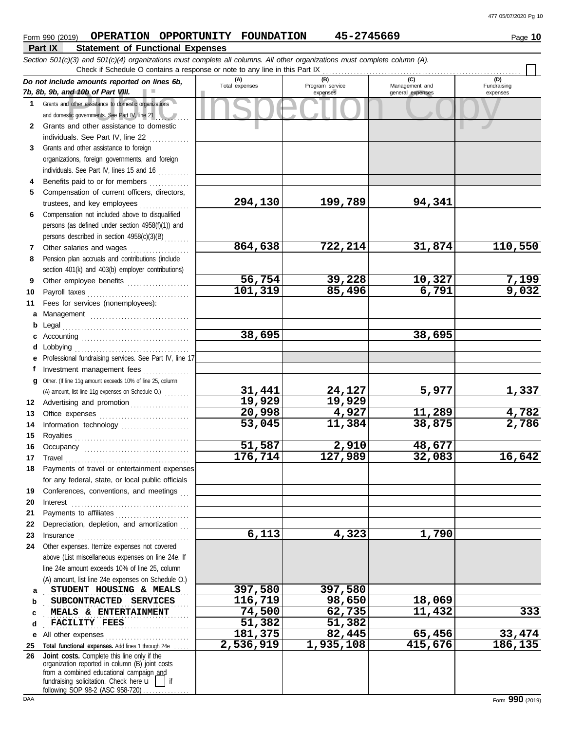## **Part IX Statement of Functional Expenses Form 990 (2019) OPERATION OPPORTUNITY FOUNDATION 45-2745669** Page 10

|              | Section 501(c)(3) and 501(c)(4) organizations must complete all columns. All other organizations must complete column (A).                                                                                                                                |                       |                                    |                                    |                         |
|--------------|-----------------------------------------------------------------------------------------------------------------------------------------------------------------------------------------------------------------------------------------------------------|-----------------------|------------------------------------|------------------------------------|-------------------------|
|              | Check if Schedule O contains a response or note to any line in this Part IX                                                                                                                                                                               |                       |                                    | (C)                                | (D)                     |
|              | Do not include amounts reported on lines 6b,<br>7b, 8b, 9b, and 10b of Part VIII.                                                                                                                                                                         | (A)<br>Total expenses | (B)<br>Program service<br>expenses | Management and<br>general expenses | Fundraising<br>expenses |
| $\mathbf{1}$ | Grants and other assistance to domestic organizations                                                                                                                                                                                                     |                       |                                    |                                    |                         |
|              | and domestic governments. See Part IV, line 21                                                                                                                                                                                                            |                       |                                    |                                    |                         |
| $\mathbf{2}$ | Grants and other assistance to domestic                                                                                                                                                                                                                   |                       |                                    |                                    |                         |
|              | individuals. See Part IV, line 22                                                                                                                                                                                                                         |                       |                                    |                                    |                         |
| 3            | Grants and other assistance to foreign                                                                                                                                                                                                                    |                       |                                    |                                    |                         |
|              | organizations, foreign governments, and foreign                                                                                                                                                                                                           |                       |                                    |                                    |                         |
|              | individuals. See Part IV, lines 15 and 16                                                                                                                                                                                                                 |                       |                                    |                                    |                         |
| 4            | Benefits paid to or for members                                                                                                                                                                                                                           |                       |                                    |                                    |                         |
| 5            | Compensation of current officers, directors,                                                                                                                                                                                                              |                       |                                    |                                    |                         |
|              | trustees, and key employees                                                                                                                                                                                                                               | 294,130               | 199,789                            | 94,341                             |                         |
| 6            | Compensation not included above to disqualified                                                                                                                                                                                                           |                       |                                    |                                    |                         |
|              | persons (as defined under section 4958(f)(1)) and                                                                                                                                                                                                         |                       |                                    |                                    |                         |
|              | persons described in section 4958(c)(3)(B)                                                                                                                                                                                                                |                       |                                    |                                    |                         |
| 7            | Other salaries and wages                                                                                                                                                                                                                                  | 864,638               | 722,214                            | 31,874                             | 110,550                 |
| 8            | Pension plan accruals and contributions (include                                                                                                                                                                                                          |                       |                                    |                                    |                         |
|              | section 401(k) and 403(b) employer contributions)                                                                                                                                                                                                         |                       |                                    |                                    |                         |
| 9            | Other employee benefits                                                                                                                                                                                                                                   | 56,754                | 39,228                             | 10,327                             | 7,199                   |
| 10           |                                                                                                                                                                                                                                                           | 101, 319              | 85,496                             | 6,791                              | 9,032                   |
| 11           | Fees for services (nonemployees):                                                                                                                                                                                                                         |                       |                                    |                                    |                         |
| a            | Management                                                                                                                                                                                                                                                |                       |                                    |                                    |                         |
| b            |                                                                                                                                                                                                                                                           | 38,695                |                                    | 38,695                             |                         |
| d            | Lobbying                                                                                                                                                                                                                                                  |                       |                                    |                                    |                         |
| е            | Professional fundraising services. See Part IV, line 17                                                                                                                                                                                                   |                       |                                    |                                    |                         |
| f            | Investment management fees                                                                                                                                                                                                                                |                       |                                    |                                    |                         |
| g            | Other. (If line 11g amount exceeds 10% of line 25, column                                                                                                                                                                                                 |                       |                                    |                                    |                         |
|              | (A) amount, list line 11g expenses on Schedule O.)                                                                                                                                                                                                        | 31,441                | 24,127                             | 5,977                              | <u>1,337</u>            |
| 12           | Advertising and promotion                                                                                                                                                                                                                                 | 19,929                | 19,929                             |                                    |                         |
| 13           |                                                                                                                                                                                                                                                           | 20,998                | 4,927                              | 11,289                             | 4,782                   |
| 14           | Information technology                                                                                                                                                                                                                                    | 53,045                | 11,384                             | 38,875                             | 2,786                   |
| 15           |                                                                                                                                                                                                                                                           |                       |                                    |                                    |                         |
| 16           |                                                                                                                                                                                                                                                           | 51,587                | 2,910                              | 48,677                             |                         |
| 17           |                                                                                                                                                                                                                                                           | 176,714               | 127,989                            | 32,083                             | 16,642                  |
| 18           | Payments of travel or entertainment expenses                                                                                                                                                                                                              |                       |                                    |                                    |                         |
|              | for any federal, state, or local public officials                                                                                                                                                                                                         |                       |                                    |                                    |                         |
| 19           | Conferences, conventions, and meetings                                                                                                                                                                                                                    |                       |                                    |                                    |                         |
| 20           | $\textbf{Interest} \hspace{0.05in} \ldots \hspace{0.05in} \ldots \hspace{0.05in} \ldots \hspace{0.05in} \ldots \hspace{0.05in} \ldots \hspace{0.05in} \ldots \hspace{0.05in} \ldots \hspace{0.05in} \ldots \hspace{0.05in} \ldots \hspace{0.05in} \ldots$ |                       |                                    |                                    |                         |
| 21           | Payments to affiliates                                                                                                                                                                                                                                    |                       |                                    |                                    |                         |
| 22           | Depreciation, depletion, and amortization                                                                                                                                                                                                                 | 6,113                 |                                    |                                    |                         |
| 23           |                                                                                                                                                                                                                                                           |                       | 4,323                              | 1,790                              |                         |
| 24           | Other expenses. Itemize expenses not covered<br>above (List miscellaneous expenses on line 24e. If                                                                                                                                                        |                       |                                    |                                    |                         |
|              | line 24e amount exceeds 10% of line 25, column                                                                                                                                                                                                            |                       |                                    |                                    |                         |
|              | (A) amount, list line 24e expenses on Schedule O.)                                                                                                                                                                                                        |                       |                                    |                                    |                         |
| а            | STUDENT HOUSING & MEALS                                                                                                                                                                                                                                   | 397,580               | 397,580                            |                                    |                         |
| b            | SUBCONTRACTED SERVICES                                                                                                                                                                                                                                    | 116,719               | 98,650                             | 18,069                             |                         |
| c            | MEALS & ENTERTAINMENT                                                                                                                                                                                                                                     | 74,500                | 62,735                             | 11,432                             | 333                     |
| d            | FACILITY FEES                                                                                                                                                                                                                                             | 51,382                | 51,382                             |                                    |                         |
| е            | All other expenses                                                                                                                                                                                                                                        | 181,375               | 82,445                             | 65,456                             | 33,474                  |
| 25           | Total functional expenses. Add lines 1 through 24e                                                                                                                                                                                                        | 2,536,919             | 1,935,108                          | 415,676                            | 186,135                 |
| 26           | Joint costs. Complete this line only if the                                                                                                                                                                                                               |                       |                                    |                                    |                         |
|              | organization reported in column (B) joint costs<br>from a combined educational campaign and                                                                                                                                                               |                       |                                    |                                    |                         |
|              | fundraising solicitation. Check here u<br>$\overline{\phantom{a}}$ if                                                                                                                                                                                     |                       |                                    |                                    |                         |
|              | following SOP 98-2 (ASC 958-720)                                                                                                                                                                                                                          |                       |                                    |                                    |                         |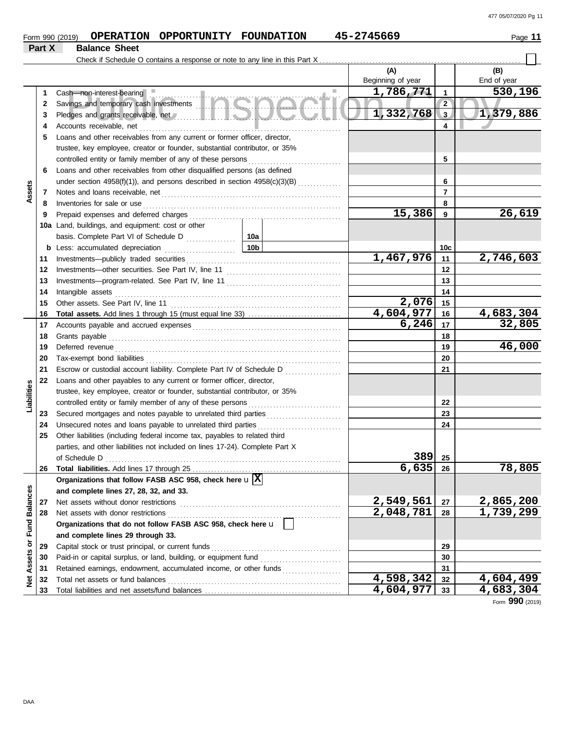|                      |          | OPERATION OPPORTUNITY FOUNDATION<br>Form 990 (2019)                                                                                                                                                                                  | 45-2745669             |                | Page 11     |
|----------------------|----------|--------------------------------------------------------------------------------------------------------------------------------------------------------------------------------------------------------------------------------------|------------------------|----------------|-------------|
|                      | Part X   | <b>Balance Sheet</b>                                                                                                                                                                                                                 |                        |                |             |
|                      |          |                                                                                                                                                                                                                                      |                        |                |             |
|                      |          |                                                                                                                                                                                                                                      | (A)                    |                | (B)         |
|                      |          |                                                                                                                                                                                                                                      | Beginning of year      |                | End of year |
|                      | 1.       | Cash-non-interest-bearing                                                                                                                                                                                                            | 1,786,771              | $\mathbf{1}$   | 530,196     |
|                      | 2        | Savings and temporary cash investments                                                                                                                                                                                               |                        | $\overline{2}$ |             |
|                      | 3        | Pledges and grants receivable, net //www.allender.com/sections/sections/sections/sections/sections/                                                                                                                                  | 1,332,768              | 3 <sub>z</sub> | 1,379,886   |
|                      | 4        |                                                                                                                                                                                                                                      |                        | 4              |             |
|                      | 5        | Loans and other receivables from any current or former officer, director,                                                                                                                                                            |                        |                |             |
|                      |          | trustee, key employee, creator or founder, substantial contributor, or 35%                                                                                                                                                           |                        |                |             |
|                      |          |                                                                                                                                                                                                                                      |                        | 5              |             |
|                      | 6        | Loans and other receivables from other disqualified persons (as defined                                                                                                                                                              |                        |                |             |
|                      |          | under section 4958(f)(1)), and persons described in section 4958(c)(3)(B)                                                                                                                                                            |                        | 6              |             |
| Assets               | 7        | Notes and loans receivable, net manufactured and contact and loans receivable, net manufactured and contact and                                                                                                                      |                        | $\overline{7}$ |             |
|                      | 8        | Inventories for sale or use <i>communication</i> and the state of the state or use of the state or use of the state or the state or the state or the state or the state or the state of the state or the state or the state or the   |                        | 8              |             |
|                      | 9        |                                                                                                                                                                                                                                      | 15,386                 | 9              | 26,619      |
|                      |          | 10a Land, buildings, and equipment: cost or other                                                                                                                                                                                    |                        |                |             |
|                      |          |                                                                                                                                                                                                                                      |                        |                |             |
|                      |          |                                                                                                                                                                                                                                      |                        | 10c            |             |
|                      | 11       |                                                                                                                                                                                                                                      | $\overline{1,467,976}$ | 11             | 2,746,603   |
|                      | 12       |                                                                                                                                                                                                                                      |                        | 12             |             |
|                      | 13       |                                                                                                                                                                                                                                      |                        | 13             |             |
|                      | 14       | Intangible assets                                                                                                                                                                                                                    |                        | 14             |             |
|                      | 15       |                                                                                                                                                                                                                                      | 2,076                  | 15             |             |
|                      | 16       |                                                                                                                                                                                                                                      | 4,604,977              | 16             | 4,683,304   |
|                      | 17       |                                                                                                                                                                                                                                      | 6,246                  | 17             | 32,805      |
|                      | 18       |                                                                                                                                                                                                                                      |                        | 18             |             |
|                      | 19       | Deferred revenue <b>contract and the contract of the contract of the contract of the contract of the contract of the contract of the contract of the contract of the contract of the contract of the contract of the contract of</b> |                        | 19             | 46,000      |
|                      | 20       |                                                                                                                                                                                                                                      |                        | 20             |             |
|                      | 21       | Escrow or custodial account liability. Complete Part IV of Schedule D                                                                                                                                                                |                        | 21             |             |
|                      | 22       | Loans and other payables to any current or former officer, director,                                                                                                                                                                 |                        |                |             |
| Liabilities          |          | trustee, key employee, creator or founder, substantial contributor, or 35%                                                                                                                                                           |                        |                |             |
|                      |          |                                                                                                                                                                                                                                      |                        | 22             |             |
|                      | 23       |                                                                                                                                                                                                                                      |                        | 23<br>24       |             |
|                      | 24<br>25 | Other liabilities (including federal income tax, payables to related third                                                                                                                                                           |                        |                |             |
|                      |          | parties, and other liabilities not included on lines 17-24). Complete Part X                                                                                                                                                         |                        |                |             |
|                      |          | of Schedule D                                                                                                                                                                                                                        | 389                    | 25             |             |
|                      | 26       |                                                                                                                                                                                                                                      | 6,635                  | 26             | 78,805      |
|                      |          | Organizations that follow FASB ASC 958, check here $\mathbf{u} \mathbf{X} $                                                                                                                                                          |                        |                |             |
|                      |          | and complete lines 27, 28, 32, and 33.                                                                                                                                                                                               |                        |                |             |
|                      | 27       | Net assets without donor restrictions                                                                                                                                                                                                | 2,549,561              | 27             | 2,865,200   |
|                      | 28       | Net assets with donor restrictions                                                                                                                                                                                                   | 2,048,781              | 28             | 1,739,299   |
| <b>Fund Balances</b> |          | Organizations that do not follow FASB ASC 958, check here u                                                                                                                                                                          |                        |                |             |
|                      |          | and complete lines 29 through 33.                                                                                                                                                                                                    |                        |                |             |
|                      | 29       | Capital stock or trust principal, or current funds                                                                                                                                                                                   |                        | 29             |             |
|                      | 30       | Paid-in or capital surplus, or land, building, or equipment fund                                                                                                                                                                     |                        | 30             |             |
|                      | 31       | Retained earnings, endowment, accumulated income, or other funds                                                                                                                                                                     |                        | 31             |             |
| Net Assets or        | 32       | Total net assets or fund balances                                                                                                                                                                                                    | 4,598,342              | 32             | 4,604,499   |
|                      | 33       |                                                                                                                                                                                                                                      | 4,604,977              | 33             | 4,683,304   |

Form **990** (2019)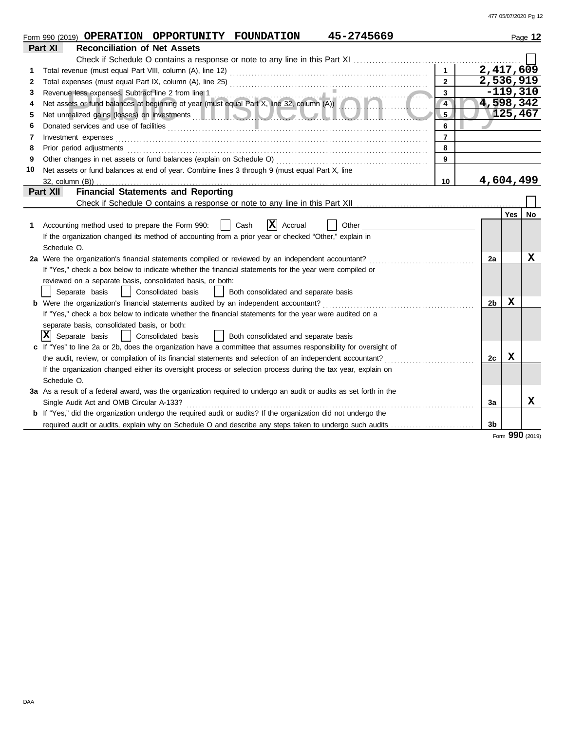|    | 45-2745669<br>Form 990 (2019) OPERATION OPPORTUNITY FOUNDATION                                                                                                                                                                      |                |           |            | Page 12 |
|----|-------------------------------------------------------------------------------------------------------------------------------------------------------------------------------------------------------------------------------------|----------------|-----------|------------|---------|
|    | Part XI<br><b>Reconciliation of Net Assets</b>                                                                                                                                                                                      |                |           |            |         |
|    |                                                                                                                                                                                                                                     |                |           |            |         |
| 1. |                                                                                                                                                                                                                                     | $\mathbf{1}$   | 2,417,609 |            |         |
| 2  |                                                                                                                                                                                                                                     | $\overline{2}$ | 2,536,919 |            |         |
| 3  | Revenue less expenses. Subtract line 2 from line 1<br>Revenue less expenses. Subtract line 2 from line 1<br>Net assets or fund balances at beginning of year (must equal Part X, line 32, column (A))                               | 3              |           | $-119,310$ |         |
| 4  |                                                                                                                                                                                                                                     | $\overline{4}$ | 4,598,342 |            |         |
| 5  |                                                                                                                                                                                                                                     | 5 <sub>1</sub> |           | 125,467    |         |
| 6  | Donated services and use of facilities <b>constructs</b> and the service of the service of the service of the service of the service of the service of the service of the service of the service of the service of the service of t | 6              |           |            |         |
| 7  | Investment expenses                                                                                                                                                                                                                 | $\overline{7}$ |           |            |         |
| 8  | Prior period adjustments                                                                                                                                                                                                            | 8              |           |            |         |
| 9  | Other changes in net assets or fund balances (explain on Schedule O)                                                                                                                                                                | 9              |           |            |         |
| 10 | Net assets or fund balances at end of year. Combine lines 3 through 9 (must equal Part X, line                                                                                                                                      |                |           |            |         |
|    | 32. column (B))                                                                                                                                                                                                                     | 10             | 4,604,499 |            |         |
|    | <b>Financial Statements and Reporting</b><br>Part XII                                                                                                                                                                               |                |           |            |         |
|    |                                                                                                                                                                                                                                     |                |           |            |         |
|    |                                                                                                                                                                                                                                     |                |           | <b>Yes</b> | No      |
| 1  | ΙxΙ<br>Accounting method used to prepare the Form 990:<br>Accrual<br>Cash<br>Other                                                                                                                                                  |                |           |            |         |
|    | If the organization changed its method of accounting from a prior year or checked "Other," explain in                                                                                                                               |                |           |            |         |
|    | Schedule O.                                                                                                                                                                                                                         |                |           |            |         |
|    | 2a Were the organization's financial statements compiled or reviewed by an independent accountant?                                                                                                                                  |                | 2a        |            | х       |
|    | If "Yes," check a box below to indicate whether the financial statements for the year were compiled or                                                                                                                              |                |           |            |         |
|    | reviewed on a separate basis, consolidated basis, or both:                                                                                                                                                                          |                |           |            |         |
|    | Separate basis<br>  Consolidated basis<br>  Both consolidated and separate basis                                                                                                                                                    |                |           |            |         |
|    | b Were the organization's financial statements audited by an independent accountant?                                                                                                                                                |                | 2b        | X          |         |
|    | If "Yes," check a box below to indicate whether the financial statements for the year were audited on a                                                                                                                             |                |           |            |         |
|    | separate basis, consolidated basis, or both:                                                                                                                                                                                        |                |           |            |         |
|    | IXI<br>Separate basis<br>Consolidated basis<br>  Both consolidated and separate basis<br>$\perp$                                                                                                                                    |                |           |            |         |
|    | c If "Yes" to line 2a or 2b, does the organization have a committee that assumes responsibility for oversight of                                                                                                                    |                |           |            |         |
|    | the audit, review, or compilation of its financial statements and selection of an independent accountant?                                                                                                                           |                | 2c        | X          |         |
|    | If the organization changed either its oversight process or selection process during the tax year, explain on                                                                                                                       |                |           |            |         |
|    | Schedule O.                                                                                                                                                                                                                         |                |           |            |         |
|    | 3a As a result of a federal award, was the organization required to undergo an audit or audits as set forth in the                                                                                                                  |                |           |            |         |
|    | Single Audit Act and OMB Circular A-133?                                                                                                                                                                                            |                | За        |            | X.      |
|    | <b>b</b> If "Yes," did the organization undergo the required audit or audits? If the organization did not undergo the                                                                                                               |                |           |            |         |
|    | required audit or audits, explain why on Schedule O and describe any steps taken to undergo such audits                                                                                                                             |                | 3b        |            |         |

Form **990** (2019)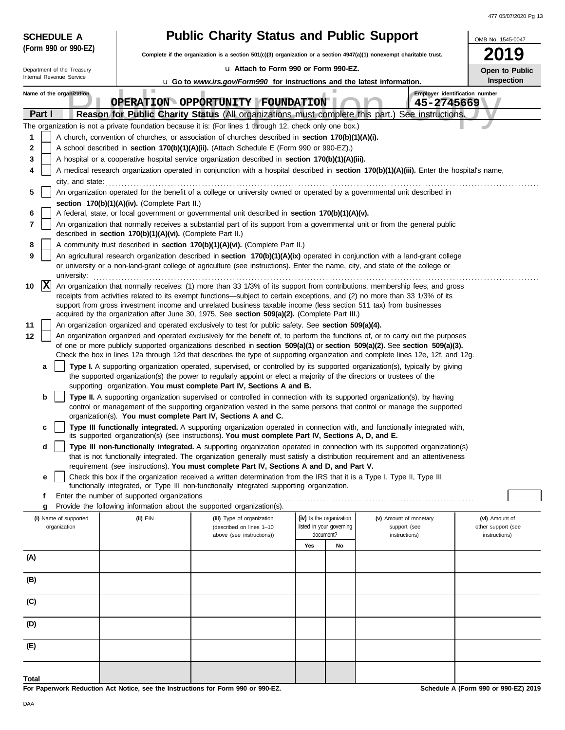| 477 05/07/2020 Pg 13 |  |
|----------------------|--|

| <b>SCHEDULE A</b>                                                                                                                                                                                                                                                                                                                                                                                                                                                                                     |                                                            | <b>Public Charity Status and Public Support</b>                                                                                                                                                                      |                                                      |                                                                                                                                                                                                                                                                | OMB No. 1545-0047                    |  |  |  |  |
|-------------------------------------------------------------------------------------------------------------------------------------------------------------------------------------------------------------------------------------------------------------------------------------------------------------------------------------------------------------------------------------------------------------------------------------------------------------------------------------------------------|------------------------------------------------------------|----------------------------------------------------------------------------------------------------------------------------------------------------------------------------------------------------------------------|------------------------------------------------------|----------------------------------------------------------------------------------------------------------------------------------------------------------------------------------------------------------------------------------------------------------------|--------------------------------------|--|--|--|--|
| (Form 990 or 990-EZ)                                                                                                                                                                                                                                                                                                                                                                                                                                                                                  |                                                            | Complete if the organization is a section 501(c)(3) organization or a section 4947(a)(1) nonexempt charitable trust.                                                                                                 |                                                      |                                                                                                                                                                                                                                                                | <b>2019</b>                          |  |  |  |  |
| Department of the Treasury                                                                                                                                                                                                                                                                                                                                                                                                                                                                            |                                                            | La Attach to Form 990 or Form 990-EZ.                                                                                                                                                                                |                                                      |                                                                                                                                                                                                                                                                | Open to Public                       |  |  |  |  |
| Internal Revenue Service                                                                                                                                                                                                                                                                                                                                                                                                                                                                              |                                                            | <b>u</b> Go to www.irs.gov/Form990 for instructions and the latest information.                                                                                                                                      |                                                      |                                                                                                                                                                                                                                                                | <b>Inspection</b>                    |  |  |  |  |
| Name of the organization                                                                                                                                                                                                                                                                                                                                                                                                                                                                              | <b>In</b><br>٦                                             | OPERATION OPPORTUNITY FOUNDATION                                                                                                                                                                                     |                                                      | 45-2745669                                                                                                                                                                                                                                                     | Employer identification number       |  |  |  |  |
| Part I                                                                                                                                                                                                                                                                                                                                                                                                                                                                                                |                                                            |                                                                                                                                                                                                                      |                                                      | Reason for Public Charity Status (All organizations must complete this part.) See instructions.                                                                                                                                                                |                                      |  |  |  |  |
|                                                                                                                                                                                                                                                                                                                                                                                                                                                                                                       |                                                            | The organization is not a private foundation because it is: (For lines 1 through 12, check only one box.)                                                                                                            |                                                      |                                                                                                                                                                                                                                                                |                                      |  |  |  |  |
| 1<br>2                                                                                                                                                                                                                                                                                                                                                                                                                                                                                                |                                                            | A church, convention of churches, or association of churches described in section 170(b)(1)(A)(i).<br>A school described in section 170(b)(1)(A)(ii). (Attach Schedule E (Form 990 or 990-EZ).)                      |                                                      |                                                                                                                                                                                                                                                                |                                      |  |  |  |  |
| 3                                                                                                                                                                                                                                                                                                                                                                                                                                                                                                     |                                                            | A hospital or a cooperative hospital service organization described in section 170(b)(1)(A)(iii).                                                                                                                    |                                                      |                                                                                                                                                                                                                                                                |                                      |  |  |  |  |
| 4                                                                                                                                                                                                                                                                                                                                                                                                                                                                                                     |                                                            |                                                                                                                                                                                                                      |                                                      | A medical research organization operated in conjunction with a hospital described in section 170(b)(1)(A)(iii). Enter the hospital's name,                                                                                                                     |                                      |  |  |  |  |
| city, and state:<br>5                                                                                                                                                                                                                                                                                                                                                                                                                                                                                 |                                                            | An organization operated for the benefit of a college or university owned or operated by a governmental unit described in                                                                                            |                                                      |                                                                                                                                                                                                                                                                |                                      |  |  |  |  |
|                                                                                                                                                                                                                                                                                                                                                                                                                                                                                                       | section 170(b)(1)(A)(iv). (Complete Part II.)              |                                                                                                                                                                                                                      |                                                      |                                                                                                                                                                                                                                                                |                                      |  |  |  |  |
| 6                                                                                                                                                                                                                                                                                                                                                                                                                                                                                                     |                                                            | A federal, state, or local government or governmental unit described in section 170(b)(1)(A)(v).                                                                                                                     |                                                      |                                                                                                                                                                                                                                                                |                                      |  |  |  |  |
| 7                                                                                                                                                                                                                                                                                                                                                                                                                                                                                                     | described in section 170(b)(1)(A)(vi). (Complete Part II.) |                                                                                                                                                                                                                      |                                                      | An organization that normally receives a substantial part of its support from a governmental unit or from the general public                                                                                                                                   |                                      |  |  |  |  |
| 8                                                                                                                                                                                                                                                                                                                                                                                                                                                                                                     |                                                            | A community trust described in section 170(b)(1)(A)(vi). (Complete Part II.)                                                                                                                                         |                                                      |                                                                                                                                                                                                                                                                |                                      |  |  |  |  |
| 9<br>university:                                                                                                                                                                                                                                                                                                                                                                                                                                                                                      |                                                            | or university or a non-land-grant college of agriculture (see instructions). Enter the name, city, and state of the college or                                                                                       |                                                      | An agricultural research organization described in section 170(b)(1)(A)(ix) operated in conjunction with a land-grant college                                                                                                                                  |                                      |  |  |  |  |
| $ {\bf X} $<br>An organization that normally receives: (1) more than 33 1/3% of its support from contributions, membership fees, and gross<br>10<br>receipts from activities related to its exempt functions—subject to certain exceptions, and (2) no more than 33 1/3% of its<br>support from gross investment income and unrelated business taxable income (less section 511 tax) from businesses<br>acquired by the organization after June 30, 1975. See section 509(a)(2). (Complete Part III.) |                                                            |                                                                                                                                                                                                                      |                                                      |                                                                                                                                                                                                                                                                |                                      |  |  |  |  |
| 11                                                                                                                                                                                                                                                                                                                                                                                                                                                                                                    |                                                            | An organization organized and operated exclusively to test for public safety. See section 509(a)(4).                                                                                                                 |                                                      |                                                                                                                                                                                                                                                                |                                      |  |  |  |  |
| 12                                                                                                                                                                                                                                                                                                                                                                                                                                                                                                    |                                                            |                                                                                                                                                                                                                      |                                                      | An organization organized and operated exclusively for the benefit of, to perform the functions of, or to carry out the purposes                                                                                                                               |                                      |  |  |  |  |
|                                                                                                                                                                                                                                                                                                                                                                                                                                                                                                       |                                                            |                                                                                                                                                                                                                      |                                                      | of one or more publicly supported organizations described in section 509(a)(1) or section 509(a)(2). See section 509(a)(3).                                                                                                                                    |                                      |  |  |  |  |
| a                                                                                                                                                                                                                                                                                                                                                                                                                                                                                                     |                                                            |                                                                                                                                                                                                                      |                                                      | Check the box in lines 12a through 12d that describes the type of supporting organization and complete lines 12e, 12f, and 12g.<br>Type I. A supporting organization operated, supervised, or controlled by its supported organization(s), typically by giving |                                      |  |  |  |  |
|                                                                                                                                                                                                                                                                                                                                                                                                                                                                                                       |                                                            | the supported organization(s) the power to regularly appoint or elect a majority of the directors or trustees of the<br>supporting organization. You must complete Part IV, Sections A and B.                        |                                                      |                                                                                                                                                                                                                                                                |                                      |  |  |  |  |
| b                                                                                                                                                                                                                                                                                                                                                                                                                                                                                                     |                                                            |                                                                                                                                                                                                                      |                                                      | Type II. A supporting organization supervised or controlled in connection with its supported organization(s), by having                                                                                                                                        |                                      |  |  |  |  |
|                                                                                                                                                                                                                                                                                                                                                                                                                                                                                                       |                                                            | organization(s). You must complete Part IV, Sections A and C.                                                                                                                                                        |                                                      | control or management of the supporting organization vested in the same persons that control or manage the supported                                                                                                                                           |                                      |  |  |  |  |
| c                                                                                                                                                                                                                                                                                                                                                                                                                                                                                                     |                                                            | its supported organization(s) (see instructions). You must complete Part IV, Sections A, D, and E.                                                                                                                   |                                                      | Type III functionally integrated. A supporting organization operated in connection with, and functionally integrated with,                                                                                                                                     |                                      |  |  |  |  |
| d                                                                                                                                                                                                                                                                                                                                                                                                                                                                                                     |                                                            |                                                                                                                                                                                                                      |                                                      | Type III non-functionally integrated. A supporting organization operated in connection with its supported organization(s)<br>that is not functionally integrated. The organization generally must satisfy a distribution requirement and an attentiveness      |                                      |  |  |  |  |
|                                                                                                                                                                                                                                                                                                                                                                                                                                                                                                       |                                                            | requirement (see instructions). You must complete Part IV, Sections A and D, and Part V.                                                                                                                             |                                                      |                                                                                                                                                                                                                                                                |                                      |  |  |  |  |
| е                                                                                                                                                                                                                                                                                                                                                                                                                                                                                                     |                                                            | Check this box if the organization received a written determination from the IRS that it is a Type I, Type II, Type III<br>functionally integrated, or Type III non-functionally integrated supporting organization. |                                                      |                                                                                                                                                                                                                                                                |                                      |  |  |  |  |
| f                                                                                                                                                                                                                                                                                                                                                                                                                                                                                                     | Enter the number of supported organizations                |                                                                                                                                                                                                                      |                                                      |                                                                                                                                                                                                                                                                |                                      |  |  |  |  |
| g                                                                                                                                                                                                                                                                                                                                                                                                                                                                                                     |                                                            | Provide the following information about the supported organization(s).                                                                                                                                               |                                                      |                                                                                                                                                                                                                                                                |                                      |  |  |  |  |
| (i) Name of supported<br>organization                                                                                                                                                                                                                                                                                                                                                                                                                                                                 | (ii) EIN                                                   | (iii) Type of organization<br>(described on lines 1-10                                                                                                                                                               | (iv) Is the organization<br>listed in your governing | (v) Amount of monetary<br>support (see                                                                                                                                                                                                                         | (vi) Amount of<br>other support (see |  |  |  |  |
|                                                                                                                                                                                                                                                                                                                                                                                                                                                                                                       |                                                            | above (see instructions))                                                                                                                                                                                            | document?                                            | instructions)                                                                                                                                                                                                                                                  | instructions)                        |  |  |  |  |
| (A)                                                                                                                                                                                                                                                                                                                                                                                                                                                                                                   |                                                            |                                                                                                                                                                                                                      | No<br>Yes                                            |                                                                                                                                                                                                                                                                |                                      |  |  |  |  |
|                                                                                                                                                                                                                                                                                                                                                                                                                                                                                                       |                                                            |                                                                                                                                                                                                                      |                                                      |                                                                                                                                                                                                                                                                |                                      |  |  |  |  |
| (B)                                                                                                                                                                                                                                                                                                                                                                                                                                                                                                   |                                                            |                                                                                                                                                                                                                      |                                                      |                                                                                                                                                                                                                                                                |                                      |  |  |  |  |
| (C)                                                                                                                                                                                                                                                                                                                                                                                                                                                                                                   |                                                            |                                                                                                                                                                                                                      |                                                      |                                                                                                                                                                                                                                                                |                                      |  |  |  |  |
| (D)                                                                                                                                                                                                                                                                                                                                                                                                                                                                                                   |                                                            |                                                                                                                                                                                                                      |                                                      |                                                                                                                                                                                                                                                                |                                      |  |  |  |  |
| (E)                                                                                                                                                                                                                                                                                                                                                                                                                                                                                                   |                                                            |                                                                                                                                                                                                                      |                                                      |                                                                                                                                                                                                                                                                |                                      |  |  |  |  |
|                                                                                                                                                                                                                                                                                                                                                                                                                                                                                                       |                                                            |                                                                                                                                                                                                                      |                                                      |                                                                                                                                                                                                                                                                |                                      |  |  |  |  |
| Total                                                                                                                                                                                                                                                                                                                                                                                                                                                                                                 |                                                            |                                                                                                                                                                                                                      |                                                      |                                                                                                                                                                                                                                                                |                                      |  |  |  |  |
|                                                                                                                                                                                                                                                                                                                                                                                                                                                                                                       |                                                            | For Paperwork Reduction Act Notice, see the Instructions for Form 990 or 990-EZ.                                                                                                                                     |                                                      |                                                                                                                                                                                                                                                                | Schedule A (Form 990 or 990-EZ) 2019 |  |  |  |  |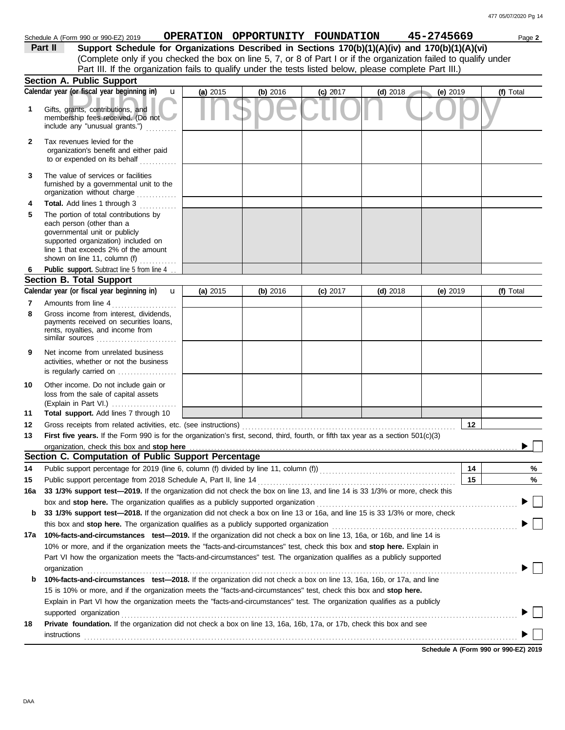|              | Schedule A (Form 990 or 990-EZ) 2019                                                                                                                                                                                                                               |          | OPERATION OPPORTUNITY FOUNDATION |            |            | 45-2745669 | Page 2    |
|--------------|--------------------------------------------------------------------------------------------------------------------------------------------------------------------------------------------------------------------------------------------------------------------|----------|----------------------------------|------------|------------|------------|-----------|
|              | Support Schedule for Organizations Described in Sections 170(b)(1)(A)(iv) and 170(b)(1)(A)(vi)<br>Part II                                                                                                                                                          |          |                                  |            |            |            |           |
|              | (Complete only if you checked the box on line 5, 7, or 8 of Part I or if the organization failed to qualify under                                                                                                                                                  |          |                                  |            |            |            |           |
|              | Part III. If the organization fails to qualify under the tests listed below, please complete Part III.)                                                                                                                                                            |          |                                  |            |            |            |           |
|              | <b>Section A. Public Support</b>                                                                                                                                                                                                                                   |          |                                  |            |            |            |           |
|              | Calendar year (or fiscal year beginning in)<br>$\mathbf{u}$                                                                                                                                                                                                        | (a) 2015 | (b) 2016                         | $(c)$ 2017 | $(d)$ 2018 | (e) $2019$ | (f) Total |
| 1            | Gifts, grants, contributions, and<br>membership fees received. (Do not<br>include any "unusual grants.")                                                                                                                                                           |          |                                  |            |            |            |           |
| $\mathbf{2}$ | Tax revenues levied for the<br>organization's benefit and either paid<br>to or expended on its behalf                                                                                                                                                              |          |                                  |            |            |            |           |
| 3            | The value of services or facilities<br>furnished by a governmental unit to the<br>organization without charge                                                                                                                                                      |          |                                  |            |            |            |           |
| 4            | Total. Add lines 1 through 3                                                                                                                                                                                                                                       |          |                                  |            |            |            |           |
| 5            | The portion of total contributions by<br>each person (other than a<br>governmental unit or publicly<br>supported organization) included on<br>line 1 that exceeds 2% of the amount<br>shown on line 11, column (f) $\ldots$                                        |          |                                  |            |            |            |           |
| 6.           | Public support. Subtract line 5 from line 4.                                                                                                                                                                                                                       |          |                                  |            |            |            |           |
|              | <b>Section B. Total Support</b>                                                                                                                                                                                                                                    |          |                                  |            |            |            |           |
|              | Calendar year (or fiscal year beginning in)<br>$\mathbf{u}$                                                                                                                                                                                                        | (a) 2015 | (b) 2016                         | (c) 2017   | $(d)$ 2018 | (e) $2019$ | (f) Total |
| 7            |                                                                                                                                                                                                                                                                    |          |                                  |            |            |            |           |
| 8            | Gross income from interest, dividends,<br>payments received on securities loans,<br>rents, royalties, and income from                                                                                                                                              |          |                                  |            |            |            |           |
| 9            | Net income from unrelated business<br>activities, whether or not the business<br>is regularly carried on                                                                                                                                                           |          |                                  |            |            |            |           |
| 10           | Other income. Do not include gain or<br>loss from the sale of capital assets                                                                                                                                                                                       |          |                                  |            |            |            |           |
| 11           | Total support. Add lines 7 through 10                                                                                                                                                                                                                              |          |                                  |            |            |            |           |
| 12           |                                                                                                                                                                                                                                                                    |          |                                  |            |            | 12         |           |
| 13           | First five years. If the Form 990 is for the organization's first, second, third, fourth, or fifth tax year as a section 501(c)(3)                                                                                                                                 |          |                                  |            |            |            |           |
|              | organization, check this box and stop here                                                                                                                                                                                                                         |          |                                  |            |            |            | ▶         |
|              | Section C. Computation of Public Support Percentage                                                                                                                                                                                                                |          |                                  |            |            |            |           |
| 14           |                                                                                                                                                                                                                                                                    |          |                                  |            |            | 14         | %         |
| 15           |                                                                                                                                                                                                                                                                    |          |                                  |            |            | 15         | %         |
| 16a          | 33 1/3% support test-2019. If the organization did not check the box on line 13, and line 14 is 33 1/3% or more, check this                                                                                                                                        |          |                                  |            |            |            |           |
|              | box and stop here. The organization qualifies as a publicly supported organization [11] content content content and stop here. The organization content of the state of the state of the state of the state of the state of th                                     |          |                                  |            |            |            |           |
| b            | 33 1/3% support test-2018. If the organization did not check a box on line 13 or 16a, and line 15 is 33 1/3% or more, check                                                                                                                                        |          |                                  |            |            |            |           |
|              |                                                                                                                                                                                                                                                                    |          |                                  |            |            |            |           |
| 17а          | 10%-facts-and-circumstances test-2019. If the organization did not check a box on line 13, 16a, or 16b, and line 14 is                                                                                                                                             |          |                                  |            |            |            |           |
|              | 10% or more, and if the organization meets the "facts-and-circumstances" test, check this box and stop here. Explain in<br>Part VI how the organization meets the "facts-and-circumstances" test. The organization qualifies as a publicly supported               |          |                                  |            |            |            |           |
|              |                                                                                                                                                                                                                                                                    |          |                                  |            |            |            |           |
|              | organization                                                                                                                                                                                                                                                       |          |                                  |            |            |            |           |
| b            | 10%-facts-and-circumstances test-2018. If the organization did not check a box on line 13, 16a, 16b, or 17a, and line                                                                                                                                              |          |                                  |            |            |            |           |
|              | 15 is 10% or more, and if the organization meets the "facts-and-circumstances" test, check this box and stop here.<br>Explain in Part VI how the organization meets the "facts-and-circumstances" test. The organization qualifies as a publicly                   |          |                                  |            |            |            |           |
|              |                                                                                                                                                                                                                                                                    |          |                                  |            |            |            |           |
| 18           | supported organization contains and contains a supported organization contains a supported organization contains a supported organization<br>Private foundation. If the organization did not check a box on line 13, 16a, 16b, 17a, or 17b, check this box and see |          |                                  |            |            |            |           |
|              | instructions                                                                                                                                                                                                                                                       |          |                                  |            |            |            |           |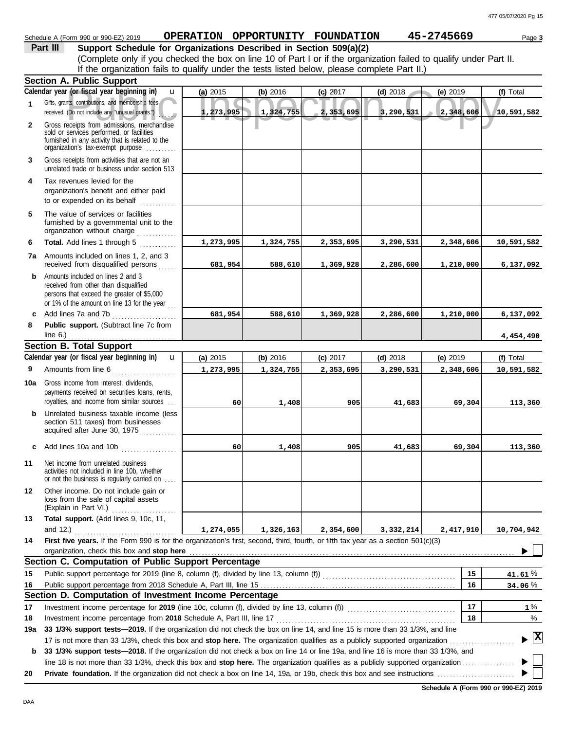## Schedule A (Form 990 or 990-EZ) 2019 **OPERATION OPPORTUNITY FOUNDATION 45-2745669** Page 3

## **Part III Support Schedule for Organizations Described in Section 509(a)(2)**

(Complete only if you checked the box on line 10 of Part I or if the organization failed to qualify under Part II. If the organization fails to qualify under the tests listed below, please complete Part II.)

|              | <b>Section A. Public Support</b>                                                                                                                                                  |           |           |            |            |            |                                    |
|--------------|-----------------------------------------------------------------------------------------------------------------------------------------------------------------------------------|-----------|-----------|------------|------------|------------|------------------------------------|
|              | Calendar year (or fiscal year beginning in)<br>u                                                                                                                                  | (a) 2015  | (b) 2016  | $(c)$ 2017 | $(d)$ 2018 | (e) 2019   | (f) Total                          |
| $\mathbf{1}$ | Gifts, grants, contributions, and membership fees<br>received. (Do not include any "unusual grants.")                                                                             | 1,273,995 | 1,324,755 | 2,353,695  | 3,290,531  | 2,348,606  | 10,591,582                         |
| $\mathbf{2}$ | Gross receipts from admissions, merchandise<br>sold or services performed, or facilities<br>furnished in any activity that is related to the<br>organization's tax-exempt purpose |           |           |            |            |            |                                    |
| 3            | Gross receipts from activities that are not an<br>unrelated trade or business under section 513                                                                                   |           |           |            |            |            |                                    |
| 4            | Tax revenues levied for the<br>organization's benefit and either paid<br>to or expended on its behalf<br>in a shekarar 19                                                         |           |           |            |            |            |                                    |
| 5            | The value of services or facilities<br>furnished by a governmental unit to the<br>organization without charge                                                                     |           |           |            |            |            |                                    |
| 6            | Total. Add lines 1 through 5                                                                                                                                                      | 1,273,995 | 1,324,755 | 2,353,695  | 3,290,531  | 2,348,606  | 10,591,582                         |
| 7a           | Amounts included on lines 1, 2, and 3<br>received from disqualified persons                                                                                                       | 681,954   | 588,610   | 1,369,928  | 2,286,600  | 1,210,000  | 6,137,092                          |
| b            | Amounts included on lines 2 and 3<br>received from other than disqualified<br>persons that exceed the greater of \$5,000<br>or 1% of the amount on line 13 for the year           |           |           |            |            |            |                                    |
| c            | Add lines 7a and 7b                                                                                                                                                               | 681,954   | 588,610   | 1,369,928  | 2,286,600  | 1,210,000  | 6,137,092                          |
| 8            | Public support. (Subtract line 7c from                                                                                                                                            |           |           |            |            |            |                                    |
|              | line $6.$ )                                                                                                                                                                       |           |           |            |            |            | 4,454,490                          |
|              | <b>Section B. Total Support</b><br>Calendar year (or fiscal year beginning in)                                                                                                    |           |           |            |            |            |                                    |
|              | $\mathbf{u}$                                                                                                                                                                      | (a) 2015  | (b) 2016  | $(c)$ 2017 | $(d)$ 2018 | $(e)$ 2019 | (f) Total                          |
| 9            | Amounts from line 6<br><u> 1990 - James Barnett, politik e</u>                                                                                                                    | 1,273,995 | 1,324,755 | 2,353,695  | 3,290,531  | 2,348,606  | 10,591,582                         |
| 10a          | Gross income from interest, dividends,<br>payments received on securities loans, rents,<br>royalties, and income from similar sources                                             | 60        | 1,408     | 905        | 41,683     | 69,304     | 113,360                            |
| b            | Unrelated business taxable income (less<br>section 511 taxes) from businesses<br>acquired after June 30, 1975                                                                     |           |           |            |            |            |                                    |
| c            |                                                                                                                                                                                   | 60        | 1,408     | 905        | 41,683     | 69,304     | 113,360                            |
| 11           | Net income from unrelated business<br>activities not included in line 10b, whether<br>or not the business is regularly carried on                                                 |           |           |            |            |            |                                    |
| 12           | Other income. Do not include gain or<br>loss from the sale of capital assets<br>(Explain in Part VI.)                                                                             |           |           |            |            |            |                                    |
| 13           | Total support. (Add lines 9, 10c, 11,                                                                                                                                             |           |           |            |            |            |                                    |
| 14           | and 12.)<br>First five years. If the Form 990 is for the organization's first, second, third, fourth, or fifth tax year as a section 501(c)(3)                                    | 1,274,055 | 1,326,163 | 2,354,600  | 3,332,214  | 2,417,910  | 10,704,942                         |
|              | organization, check this box and stop here                                                                                                                                        |           |           |            |            |            |                                    |
|              | Section C. Computation of Public Support Percentage                                                                                                                               |           |           |            |            |            |                                    |
| 15           |                                                                                                                                                                                   |           |           |            |            | 15         | 41.61%                             |
| 16           |                                                                                                                                                                                   |           |           |            |            | 16         | 34.06%                             |
|              | Section D. Computation of Investment Income Percentage                                                                                                                            |           |           |            |            |            |                                    |
| 17           |                                                                                                                                                                                   |           |           |            |            | 17         | $1\%$                              |
| 18           | Investment income percentage from 2018 Schedule A, Part III, line 17                                                                                                              |           |           |            |            | 18         | %                                  |
| 19a          | 33 1/3% support tests-2019. If the organization did not check the box on line 14, and line 15 is more than 33 1/3%, and line                                                      |           |           |            |            |            |                                    |
|              | 17 is not more than 33 1/3%, check this box and stop here. The organization qualifies as a publicly supported organization.                                                       |           |           |            |            |            | $\blacktriangleright$ $\mathbf{X}$ |
| b            | 33 1/3% support tests-2018. If the organization did not check a box on line 14 or line 19a, and line 16 is more than 33 1/3%, and                                                 |           |           |            |            |            |                                    |
|              | line 18 is not more than 33 1/3%, check this box and stop here. The organization qualifies as a publicly supported organization                                                   |           |           |            |            |            |                                    |
| 20           |                                                                                                                                                                                   |           |           |            |            |            |                                    |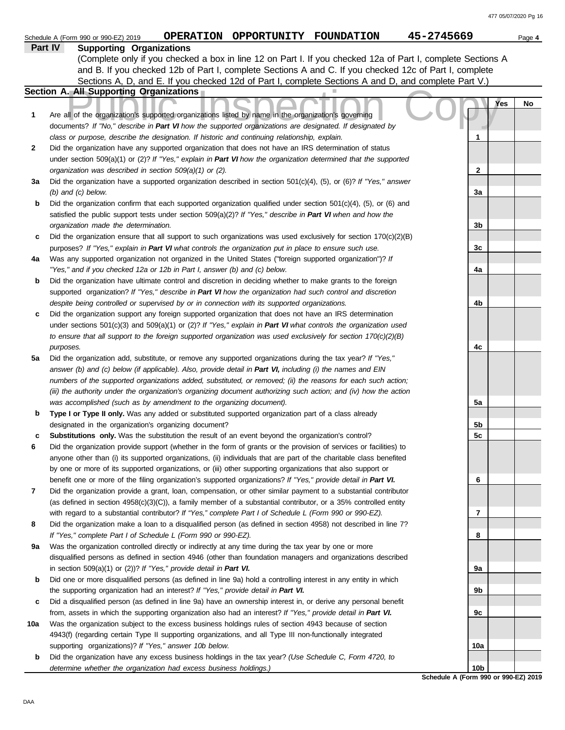|     | OPERATION OPPORTUNITY FOUNDATION<br>Schedule A (Form 990 or 990-EZ) 2019                                                 | 45-2745669                        | Page 4    |
|-----|--------------------------------------------------------------------------------------------------------------------------|-----------------------------------|-----------|
|     | Part IV<br><b>Supporting Organizations</b>                                                                               |                                   |           |
|     | (Complete only if you checked a box in line 12 on Part I. If you checked 12a of Part I, complete Sections A              |                                   |           |
|     | and B. If you checked 12b of Part I, complete Sections A and C. If you checked 12c of Part I, complete                   |                                   |           |
|     | Sections A, D, and E. If you checked 12d of Part I, complete Sections A and D, and complete Part V.)                     |                                   |           |
|     | Section A. All Supporting Organizations                                                                                  |                                   |           |
|     |                                                                                                                          |                                   | Yes<br>No |
| 1   | Are all of the organization's supported organizations listed by name in the organization's governing                     |                                   |           |
|     | documents? If "No," describe in Part VI how the supported organizations are designated. If designated by                 |                                   |           |
|     | class or purpose, describe the designation. If historic and continuing relationship, explain.                            | 1                                 |           |
| 2   | Did the organization have any supported organization that does not have an IRS determination of status                   |                                   |           |
|     | under section 509(a)(1) or (2)? If "Yes," explain in Part VI how the organization determined that the supported          |                                   |           |
|     | organization was described in section 509(a)(1) or (2).                                                                  | $\mathbf{2}$                      |           |
| За  | Did the organization have a supported organization described in section $501(c)(4)$ , (5), or (6)? If "Yes," answer      |                                   |           |
|     | $(b)$ and $(c)$ below.                                                                                                   | За                                |           |
| b   | Did the organization confirm that each supported organization qualified under section $501(c)(4)$ , $(5)$ , or $(6)$ and |                                   |           |
|     | satisfied the public support tests under section 509(a)(2)? If "Yes," describe in Part VI when and how the               |                                   |           |
|     | organization made the determination.                                                                                     | 3b                                |           |
| c   | Did the organization ensure that all support to such organizations was used exclusively for section $170(c)(2)(B)$       |                                   |           |
|     | purposes? If "Yes," explain in Part VI what controls the organization put in place to ensure such use.                   | 3c                                |           |
| 4a  | Was any supported organization not organized in the United States ("foreign supported organization")? If                 |                                   |           |
|     | "Yes," and if you checked 12a or 12b in Part I, answer (b) and (c) below.                                                | 4a                                |           |
| b   | Did the organization have ultimate control and discretion in deciding whether to make grants to the foreign              |                                   |           |
|     | supported organization? If "Yes," describe in Part VI how the organization had such control and discretion               |                                   |           |
|     | despite being controlled or supervised by or in connection with its supported organizations.                             | 4b                                |           |
| c   | Did the organization support any foreign supported organization that does not have an IRS determination                  |                                   |           |
|     | under sections $501(c)(3)$ and $509(a)(1)$ or (2)? If "Yes," explain in Part VI what controls the organization used      |                                   |           |
|     | to ensure that all support to the foreign supported organization was used exclusively for section $170(c)(2)(B)$         |                                   |           |
|     | purposes.                                                                                                                | 4c                                |           |
| 5a  | Did the organization add, substitute, or remove any supported organizations during the tax year? If "Yes,"               |                                   |           |
|     | answer (b) and (c) below (if applicable). Also, provide detail in Part VI, including (i) the names and EIN               |                                   |           |
|     | numbers of the supported organizations added, substituted, or removed; (ii) the reasons for each such action;            |                                   |           |
|     | (iii) the authority under the organization's organizing document authorizing such action; and (iv) how the action        |                                   |           |
|     | was accomplished (such as by amendment to the organizing document).                                                      | 5a                                |           |
| b   | Type I or Type II only. Was any added or substituted supported organization part of a class already                      |                                   |           |
|     | designated in the organization's organizing document?                                                                    | 5b                                |           |
|     | <b>Substitutions only.</b> Was the substitution the result of an event beyond the organization's control?                | 5c                                |           |
| 6   | Did the organization provide support (whether in the form of grants or the provision of services or facilities) to       |                                   |           |
|     | anyone other than (i) its supported organizations, (ii) individuals that are part of the charitable class benefited      |                                   |           |
|     | by one or more of its supported organizations, or (iii) other supporting organizations that also support or              |                                   |           |
|     | benefit one or more of the filing organization's supported organizations? If "Yes," provide detail in Part VI.           | 6                                 |           |
| 7   | Did the organization provide a grant, loan, compensation, or other similar payment to a substantial contributor          |                                   |           |
|     | (as defined in section $4958(c)(3)(C)$ ), a family member of a substantial contributor, or a 35% controlled entity       |                                   |           |
|     | with regard to a substantial contributor? If "Yes," complete Part I of Schedule L (Form 990 or 990-EZ).                  | 7                                 |           |
| 8   | Did the organization make a loan to a disqualified person (as defined in section 4958) not described in line 7?          |                                   |           |
|     | If "Yes," complete Part I of Schedule L (Form 990 or 990-EZ).                                                            | 8                                 |           |
| 9а  | Was the organization controlled directly or indirectly at any time during the tax year by one or more                    |                                   |           |
|     | disqualified persons as defined in section 4946 (other than foundation managers and organizations described              |                                   |           |
|     | in section $509(a)(1)$ or (2))? If "Yes," provide detail in Part VI.                                                     | 9а                                |           |
| b   | Did one or more disqualified persons (as defined in line 9a) hold a controlling interest in any entity in which          |                                   |           |
|     | the supporting organization had an interest? If "Yes," provide detail in Part VI.                                        | 9b                                |           |
| c   | Did a disqualified person (as defined in line 9a) have an ownership interest in, or derive any personal benefit          |                                   |           |
|     | from, assets in which the supporting organization also had an interest? If "Yes," provide detail in Part VI.             | 9с                                |           |
| 10a | Was the organization subject to the excess business holdings rules of section 4943 because of section                    |                                   |           |
|     | 4943(f) (regarding certain Type II supporting organizations, and all Type III non-functionally integrated                |                                   |           |
|     | supporting organizations)? If "Yes," answer 10b below.                                                                   | 10a                               |           |
| b   | Did the organization have any excess business holdings in the tax year? (Use Schedule C, Form 4720, to                   |                                   |           |
|     | determine whether the organization had excess business holdings.)                                                        | 10 <sub>b</sub>                   |           |
|     |                                                                                                                          | <b>Cohodule</b><br>000<br>$A$ $E$ | (0.00E)   |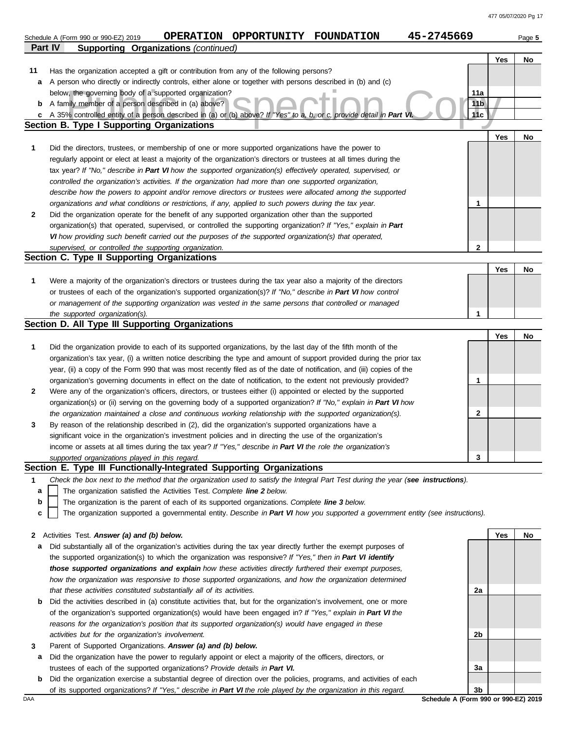|         | Schedule A (Form 990 or 990-EZ) 2019                                   |  | OPERATION OPPORTUNITY FOUNDATION                                                                                                                                                                                        | 45-2745669                                                                                                                        |                        |     | Page 5 |
|---------|------------------------------------------------------------------------|--|-------------------------------------------------------------------------------------------------------------------------------------------------------------------------------------------------------------------------|-----------------------------------------------------------------------------------------------------------------------------------|------------------------|-----|--------|
| Part IV | <b>Supporting Organizations (continued)</b>                            |  |                                                                                                                                                                                                                         |                                                                                                                                   |                        |     |        |
|         |                                                                        |  |                                                                                                                                                                                                                         |                                                                                                                                   |                        | Yes | No     |
| 11      |                                                                        |  | Has the organization accepted a gift or contribution from any of the following persons?                                                                                                                                 |                                                                                                                                   |                        |     |        |
| а       |                                                                        |  | A person who directly or indirectly controls, either alone or together with persons described in (b) and (c)                                                                                                            |                                                                                                                                   |                        |     |        |
|         | below, the governing body of a supported organization?                 |  |                                                                                                                                                                                                                         |                                                                                                                                   | 11a                    |     |        |
|         | <b>b</b> A family member of a person described in (a) above?           |  |                                                                                                                                                                                                                         |                                                                                                                                   | 11 <sub>b</sub><br>11c |     |        |
| c       | <b>Section B. Type I Supporting Organizations</b>                      |  | A 35% controlled entity of a person described in (a) or (b) above? If "Yes" to a, b, or c, provide detail in Part VI                                                                                                    |                                                                                                                                   |                        |     |        |
|         |                                                                        |  |                                                                                                                                                                                                                         |                                                                                                                                   |                        | Yes | No     |
| 1       |                                                                        |  | Did the directors, trustees, or membership of one or more supported organizations have the power to                                                                                                                     |                                                                                                                                   |                        |     |        |
|         |                                                                        |  | regularly appoint or elect at least a majority of the organization's directors or trustees at all times during the                                                                                                      |                                                                                                                                   |                        |     |        |
|         |                                                                        |  | tax year? If "No," describe in Part VI how the supported organization(s) effectively operated, supervised, or                                                                                                           |                                                                                                                                   |                        |     |        |
|         |                                                                        |  | controlled the organization's activities. If the organization had more than one supported organization,                                                                                                                 |                                                                                                                                   |                        |     |        |
|         |                                                                        |  | describe how the powers to appoint and/or remove directors or trustees were allocated among the supported                                                                                                               |                                                                                                                                   |                        |     |        |
|         |                                                                        |  | organizations and what conditions or restrictions, if any, applied to such powers during the tax year.                                                                                                                  |                                                                                                                                   | 1                      |     |        |
| 2       |                                                                        |  | Did the organization operate for the benefit of any supported organization other than the supported                                                                                                                     |                                                                                                                                   |                        |     |        |
|         |                                                                        |  | organization(s) that operated, supervised, or controlled the supporting organization? If "Yes," explain in Part                                                                                                         |                                                                                                                                   |                        |     |        |
|         |                                                                        |  | VI how providing such benefit carried out the purposes of the supported organization(s) that operated,                                                                                                                  |                                                                                                                                   |                        |     |        |
|         | supervised, or controlled the supporting organization.                 |  |                                                                                                                                                                                                                         |                                                                                                                                   | $\mathbf 2$            |     |        |
|         | Section C. Type II Supporting Organizations                            |  |                                                                                                                                                                                                                         |                                                                                                                                   |                        |     |        |
|         |                                                                        |  |                                                                                                                                                                                                                         |                                                                                                                                   |                        | Yes | No     |
| 1       |                                                                        |  | Were a majority of the organization's directors or trustees during the tax year also a majority of the directors                                                                                                        |                                                                                                                                   |                        |     |        |
|         |                                                                        |  | or trustees of each of the organization's supported organization(s)? If "No," describe in Part VI how control<br>or management of the supporting organization was vested in the same persons that controlled or managed |                                                                                                                                   |                        |     |        |
|         | the supported organization(s).                                         |  |                                                                                                                                                                                                                         |                                                                                                                                   | 1                      |     |        |
|         | Section D. All Type III Supporting Organizations                       |  |                                                                                                                                                                                                                         |                                                                                                                                   |                        |     |        |
|         |                                                                        |  |                                                                                                                                                                                                                         |                                                                                                                                   |                        | Yes | No     |
| 1       |                                                                        |  | Did the organization provide to each of its supported organizations, by the last day of the fifth month of the                                                                                                          |                                                                                                                                   |                        |     |        |
|         |                                                                        |  | organization's tax year, (i) a written notice describing the type and amount of support provided during the prior tax                                                                                                   |                                                                                                                                   |                        |     |        |
|         |                                                                        |  | year, (ii) a copy of the Form 990 that was most recently filed as of the date of notification, and (iii) copies of the                                                                                                  |                                                                                                                                   |                        |     |        |
|         |                                                                        |  | organization's governing documents in effect on the date of notification, to the extent not previously provided?                                                                                                        |                                                                                                                                   | 1                      |     |        |
| 2       |                                                                        |  | Were any of the organization's officers, directors, or trustees either (i) appointed or elected by the supported                                                                                                        |                                                                                                                                   |                        |     |        |
|         |                                                                        |  | organization(s) or (ii) serving on the governing body of a supported organization? If "No," explain in Part VI how                                                                                                      |                                                                                                                                   |                        |     |        |
|         |                                                                        |  | the organization maintained a close and continuous working relationship with the supported organization(s).                                                                                                             |                                                                                                                                   | 2                      |     |        |
| 3       |                                                                        |  | By reason of the relationship described in (2), did the organization's supported organizations have a                                                                                                                   |                                                                                                                                   |                        |     |        |
|         |                                                                        |  | significant voice in the organization's investment policies and in directing the use of the organization's                                                                                                              |                                                                                                                                   |                        |     |        |
|         |                                                                        |  | income or assets at all times during the tax year? If "Yes," describe in Part VI the role the organization's                                                                                                            |                                                                                                                                   |                        |     |        |
|         | supported organizations played in this regard.                         |  | Section E. Type III Functionally-Integrated Supporting Organizations                                                                                                                                                    |                                                                                                                                   | 3                      |     |        |
| 1       |                                                                        |  |                                                                                                                                                                                                                         | Check the box next to the method that the organization used to satisfy the Integral Part Test during the year (see instructions). |                        |     |        |
| a       |                                                                        |  | The organization satisfied the Activities Test. Complete line 2 below.                                                                                                                                                  |                                                                                                                                   |                        |     |        |
| b       |                                                                        |  | The organization is the parent of each of its supported organizations. Complete line 3 below.                                                                                                                           |                                                                                                                                   |                        |     |        |
| с       |                                                                        |  |                                                                                                                                                                                                                         | The organization supported a governmental entity. Describe in Part VI how you supported a government entity (see instructions).   |                        |     |        |
|         |                                                                        |  |                                                                                                                                                                                                                         |                                                                                                                                   |                        |     |        |
|         | 2 Activities Test. Answer (a) and (b) below.                           |  |                                                                                                                                                                                                                         |                                                                                                                                   |                        | Yes | No     |
| а       |                                                                        |  | Did substantially all of the organization's activities during the tax year directly further the exempt purposes of                                                                                                      |                                                                                                                                   |                        |     |        |
|         |                                                                        |  | the supported organization(s) to which the organization was responsive? If "Yes," then in Part VI identify                                                                                                              |                                                                                                                                   |                        |     |        |
|         |                                                                        |  | those supported organizations and explain how these activities directly furthered their exempt purposes,                                                                                                                |                                                                                                                                   |                        |     |        |
|         |                                                                        |  | how the organization was responsive to those supported organizations, and how the organization determined                                                                                                               |                                                                                                                                   |                        |     |        |
|         | that these activities constituted substantially all of its activities. |  |                                                                                                                                                                                                                         |                                                                                                                                   | 2a                     |     |        |
| b       |                                                                        |  | Did the activities described in (a) constitute activities that, but for the organization's involvement, one or more                                                                                                     |                                                                                                                                   |                        |     |        |
|         |                                                                        |  | of the organization's supported organization(s) would have been engaged in? If "Yes," explain in Part VI the                                                                                                            |                                                                                                                                   |                        |     |        |
|         |                                                                        |  | reasons for the organization's position that its supported organization(s) would have engaged in these                                                                                                                  |                                                                                                                                   |                        |     |        |
|         | activities but for the organization's involvement.                     |  |                                                                                                                                                                                                                         |                                                                                                                                   | 2b                     |     |        |
| 3       | Parent of Supported Organizations. Answer (a) and (b) below.           |  |                                                                                                                                                                                                                         |                                                                                                                                   |                        |     |        |
| а       |                                                                        |  | Did the organization have the power to regularly appoint or elect a majority of the officers, directors, or<br>trustees of each of the supported organizations? Provide details in Part VI.                             |                                                                                                                                   | За                     |     |        |
| b       |                                                                        |  | Did the organization exercise a substantial degree of direction over the policies, programs, and activities of each                                                                                                     |                                                                                                                                   |                        |     |        |
|         |                                                                        |  | of its supported organizations? If "Yes," describe in Part VI the role played by the organization in this regard.                                                                                                       |                                                                                                                                   | 3b                     |     |        |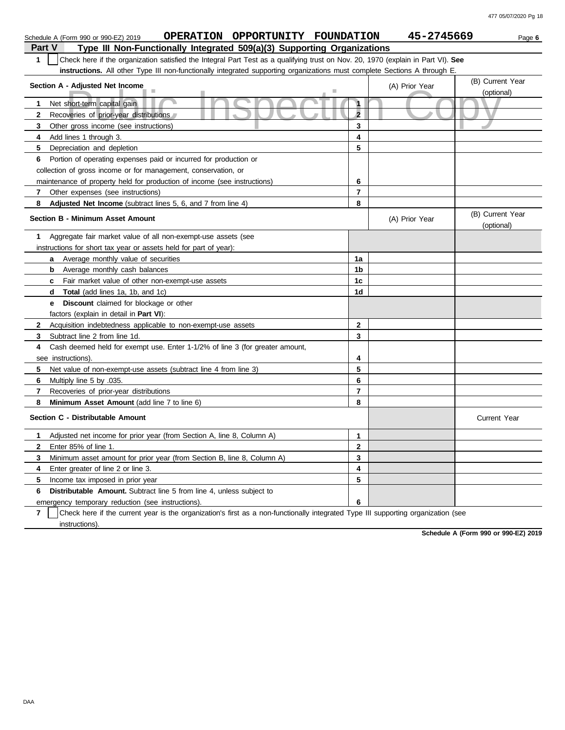| OPERATION OPPORTUNITY FOUNDATION<br>Schedule A (Form 990 or 990-EZ) 2019                                                              |                | 45-2745669     | Page 6                         |
|---------------------------------------------------------------------------------------------------------------------------------------|----------------|----------------|--------------------------------|
| Part V<br>Type III Non-Functionally Integrated 509(a)(3) Supporting Organizations                                                     |                |                |                                |
| Check here if the organization satisfied the Integral Part Test as a qualifying trust on Nov. 20, 1970 (explain in Part VI). See<br>1 |                |                |                                |
| instructions. All other Type III non-functionally integrated supporting organizations must complete Sections A through E.             |                |                |                                |
| Section A - Adjusted Net Income                                                                                                       |                | (A) Prior Year | (B) Current Year<br>(optional) |
| Net short-term capital gain<br>1                                                                                                      | $\mathbf{1}$   |                |                                |
| Recoveries of prior-year distributions<br>2                                                                                           | $\overline{2}$ |                |                                |
| 3<br>Other gross income (see instructions)                                                                                            | 3              |                |                                |
| Add lines 1 through 3.<br>4                                                                                                           | 4              |                |                                |
| 5<br>Depreciation and depletion                                                                                                       | 5              |                |                                |
| Portion of operating expenses paid or incurred for production or<br>6                                                                 |                |                |                                |
| collection of gross income or for management, conservation, or                                                                        |                |                |                                |
| maintenance of property held for production of income (see instructions)                                                              | 6              |                |                                |
| Other expenses (see instructions)<br>7                                                                                                | $\overline{7}$ |                |                                |
| 8<br>Adjusted Net Income (subtract lines 5, 6, and 7 from line 4)                                                                     | 8              |                |                                |
| <b>Section B - Minimum Asset Amount</b>                                                                                               |                | (A) Prior Year | (B) Current Year<br>(optional) |
| Aggregate fair market value of all non-exempt-use assets (see<br>1                                                                    |                |                |                                |
| instructions for short tax year or assets held for part of year):                                                                     |                |                |                                |
| <b>a</b> Average monthly value of securities                                                                                          | 1a             |                |                                |
| Average monthly cash balances<br>b                                                                                                    | 1b             |                |                                |
| Fair market value of other non-exempt-use assets<br>c                                                                                 | 1c             |                |                                |
| Total (add lines 1a, 1b, and 1c)<br>d                                                                                                 | 1d             |                |                                |
| <b>Discount</b> claimed for blockage or other<br>е                                                                                    |                |                |                                |
| factors (explain in detail in Part VI):                                                                                               |                |                |                                |
| Acquisition indebtedness applicable to non-exempt-use assets<br>2                                                                     | $\mathbf{2}$   |                |                                |
| 3<br>Subtract line 2 from line 1d.                                                                                                    | 3              |                |                                |
| Cash deemed held for exempt use. Enter 1-1/2% of line 3 (for greater amount,<br>4                                                     |                |                |                                |
| see instructions).                                                                                                                    | 4              |                |                                |
| 5<br>Net value of non-exempt-use assets (subtract line 4 from line 3)                                                                 | 5              |                |                                |
| 6<br>Multiply line 5 by .035.                                                                                                         | 6              |                |                                |
| 7<br>Recoveries of prior-year distributions                                                                                           | $\overline{7}$ |                |                                |
| 8<br>Minimum Asset Amount (add line 7 to line 6)                                                                                      | 8              |                |                                |
| Section C - Distributable Amount                                                                                                      |                |                | <b>Current Year</b>            |
| Adjusted net income for prior year (from Section A, line 8, Column A)                                                                 | 1              |                |                                |
| 2<br>Enter 85% of line 1.                                                                                                             | $\mathbf 2$    |                |                                |
| Minimum asset amount for prior year (from Section B, line 8, Column A)<br>3                                                           | 3              |                |                                |
| 4<br>Enter greater of line 2 or line 3.                                                                                               | 4              |                |                                |
| 5<br>Income tax imposed in prior year                                                                                                 | 5              |                |                                |
| 6<br><b>Distributable Amount.</b> Subtract line 5 from line 4, unless subject to                                                      |                |                |                                |
| emergency temporary reduction (see instructions).                                                                                     | 6              |                |                                |
|                                                                                                                                       |                |                |                                |

**7** | Check here if the current year is the organization's first as a non-functionally integrated Type III supporting organization (see instructions).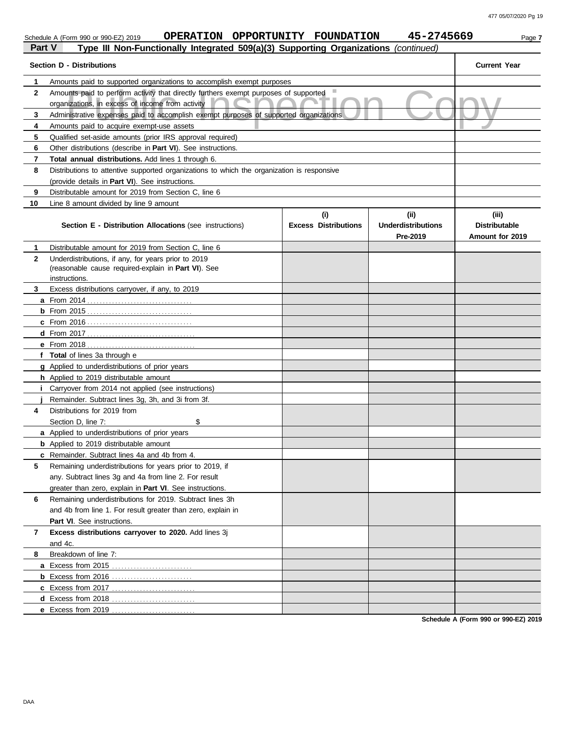|              | OPERATION OPPORTUNITY FOUNDATION<br>Schedule A (Form 990 or 990-EZ) 2019                                                                 |                             | 45-2745669                            | Page 7                                  |
|--------------|------------------------------------------------------------------------------------------------------------------------------------------|-----------------------------|---------------------------------------|-----------------------------------------|
| Part V       | Type III Non-Functionally Integrated 509(a)(3) Supporting Organizations (continued)                                                      |                             |                                       |                                         |
|              | <b>Section D - Distributions</b>                                                                                                         |                             |                                       | <b>Current Year</b>                     |
| 1            | Amounts paid to supported organizations to accomplish exempt purposes                                                                    |                             |                                       |                                         |
| $\mathbf{2}$ | Amounts paid to perform activity that directly furthers exempt purposes of supported<br>organizations, in excess of income from activity |                             |                                       |                                         |
| 3            | Administrative expenses paid to accomplish exempt purposes of supported organizations                                                    |                             |                                       |                                         |
| 4            | Amounts paid to acquire exempt-use assets                                                                                                |                             |                                       |                                         |
| 5            | Qualified set-aside amounts (prior IRS approval required)                                                                                |                             |                                       |                                         |
| 6            | Other distributions (describe in Part VI). See instructions.                                                                             |                             |                                       |                                         |
| 7            | Total annual distributions. Add lines 1 through 6.                                                                                       |                             |                                       |                                         |
| 8            | Distributions to attentive supported organizations to which the organization is responsive                                               |                             |                                       |                                         |
|              | (provide details in Part VI). See instructions.                                                                                          |                             |                                       |                                         |
| 9            | Distributable amount for 2019 from Section C, line 6                                                                                     |                             |                                       |                                         |
| 10           | Line 8 amount divided by line 9 amount                                                                                                   |                             |                                       |                                         |
|              |                                                                                                                                          | (i)                         | (ii)                                  | (iii)                                   |
|              | Section E - Distribution Allocations (see instructions)                                                                                  | <b>Excess Distributions</b> | <b>Underdistributions</b><br>Pre-2019 | <b>Distributable</b><br>Amount for 2019 |
| 1            | Distributable amount for 2019 from Section C, line 6                                                                                     |                             |                                       |                                         |
| $\mathbf{2}$ | Underdistributions, if any, for years prior to 2019<br>(reasonable cause required-explain in Part VI). See                               |                             |                                       |                                         |
|              | instructions.                                                                                                                            |                             |                                       |                                         |
| 3            | Excess distributions carryover, if any, to 2019                                                                                          |                             |                                       |                                         |
|              |                                                                                                                                          |                             |                                       |                                         |
|              |                                                                                                                                          |                             |                                       |                                         |
|              |                                                                                                                                          |                             |                                       |                                         |
|              |                                                                                                                                          |                             |                                       |                                         |
|              |                                                                                                                                          |                             |                                       |                                         |
|              | f Total of lines 3a through e                                                                                                            |                             |                                       |                                         |
|              | g Applied to underdistributions of prior years                                                                                           |                             |                                       |                                         |
|              | h Applied to 2019 distributable amount                                                                                                   |                             |                                       |                                         |
|              | <i>i</i> Carryover from 2014 not applied (see instructions)                                                                              |                             |                                       |                                         |
| 4            | Remainder. Subtract lines 3g, 3h, and 3i from 3f.<br>Distributions for 2019 from                                                         |                             |                                       |                                         |
|              | Section D, line 7:<br>\$                                                                                                                 |                             |                                       |                                         |
|              | a Applied to underdistributions of prior years                                                                                           |                             |                                       |                                         |
|              | <b>b</b> Applied to 2019 distributable amount                                                                                            |                             |                                       |                                         |
|              | c Remainder. Subtract lines 4a and 4b from 4.                                                                                            |                             |                                       |                                         |
| 5            | Remaining underdistributions for years prior to 2019, if                                                                                 |                             |                                       |                                         |
|              | any. Subtract lines 3g and 4a from line 2. For result                                                                                    |                             |                                       |                                         |
|              | greater than zero, explain in Part VI. See instructions.                                                                                 |                             |                                       |                                         |
| 6            | Remaining underdistributions for 2019. Subtract lines 3h                                                                                 |                             |                                       |                                         |
|              | and 4b from line 1. For result greater than zero, explain in                                                                             |                             |                                       |                                         |
|              | Part VI. See instructions.                                                                                                               |                             |                                       |                                         |
| 7            | Excess distributions carryover to 2020. Add lines 3j                                                                                     |                             |                                       |                                         |
|              | and 4c.                                                                                                                                  |                             |                                       |                                         |
| 8            | Breakdown of line 7:                                                                                                                     |                             |                                       |                                         |
|              |                                                                                                                                          |                             |                                       |                                         |
|              | <b>b</b> Excess from 2016                                                                                                                |                             |                                       |                                         |
|              |                                                                                                                                          |                             |                                       |                                         |
|              |                                                                                                                                          |                             |                                       |                                         |
|              | e Excess from 2019                                                                                                                       |                             |                                       |                                         |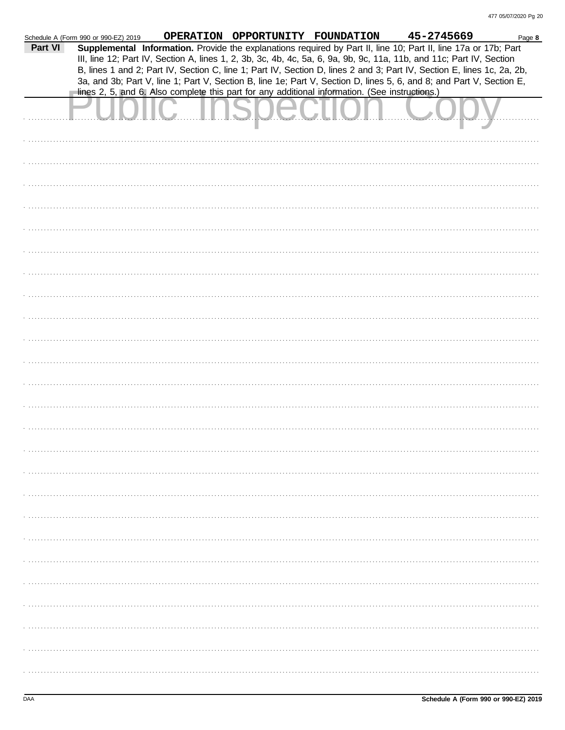|         | Schedule A (Form 990 or 990-EZ) 2019 | OPERATION OPPORTUNITY FOUNDATION |                                                                                                                                                                                                                                         | 45-2745669 | Page 8 |
|---------|--------------------------------------|----------------------------------|-----------------------------------------------------------------------------------------------------------------------------------------------------------------------------------------------------------------------------------------|------------|--------|
| Part VI |                                      |                                  | Supplemental Information. Provide the explanations required by Part II, line 10; Part II, line 17a or 17b; Part<br>III, line 12; Part IV, Section A, lines 1, 2, 3b, 3c, 4b, 4c, 5a, 6, 9a, 9b, 9c, 11a, 11b, and 11c; Part IV, Section |            |        |
|         |                                      |                                  | B, lines 1 and 2; Part IV, Section C, line 1; Part IV, Section D, lines 2 and 3; Part IV, Section E, lines 1c, 2a, 2b,                                                                                                                  |            |        |
|         |                                      |                                  | 3a, and 3b; Part V, line 1; Part V, Section B, line 1e; Part V, Section D, lines 5, 6, and 8; and Part V, Section E,<br>lines 2, 5, and 6. Also complete this part for any additional information. (See instructions.)                  |            |        |
|         |                                      |                                  |                                                                                                                                                                                                                                         |            |        |
|         |                                      |                                  |                                                                                                                                                                                                                                         |            |        |
|         |                                      |                                  |                                                                                                                                                                                                                                         |            |        |
|         |                                      |                                  |                                                                                                                                                                                                                                         |            |        |
|         |                                      |                                  |                                                                                                                                                                                                                                         |            |        |
|         |                                      |                                  |                                                                                                                                                                                                                                         |            |        |
|         |                                      |                                  |                                                                                                                                                                                                                                         |            |        |
|         |                                      |                                  |                                                                                                                                                                                                                                         |            |        |
|         |                                      |                                  |                                                                                                                                                                                                                                         |            |        |
|         |                                      |                                  |                                                                                                                                                                                                                                         |            |        |
|         |                                      |                                  |                                                                                                                                                                                                                                         |            |        |
|         |                                      |                                  |                                                                                                                                                                                                                                         |            |        |
|         |                                      |                                  |                                                                                                                                                                                                                                         |            |        |
|         |                                      |                                  |                                                                                                                                                                                                                                         |            |        |
|         |                                      |                                  |                                                                                                                                                                                                                                         |            |        |
|         |                                      |                                  |                                                                                                                                                                                                                                         |            |        |
|         |                                      |                                  |                                                                                                                                                                                                                                         |            |        |
|         |                                      |                                  |                                                                                                                                                                                                                                         |            |        |
|         |                                      |                                  |                                                                                                                                                                                                                                         |            |        |
|         |                                      |                                  |                                                                                                                                                                                                                                         |            |        |
|         |                                      |                                  |                                                                                                                                                                                                                                         |            |        |
|         |                                      |                                  |                                                                                                                                                                                                                                         |            |        |
|         |                                      |                                  |                                                                                                                                                                                                                                         |            |        |
|         |                                      |                                  |                                                                                                                                                                                                                                         |            |        |
|         |                                      |                                  |                                                                                                                                                                                                                                         |            |        |
|         |                                      |                                  |                                                                                                                                                                                                                                         |            |        |
|         |                                      |                                  |                                                                                                                                                                                                                                         |            |        |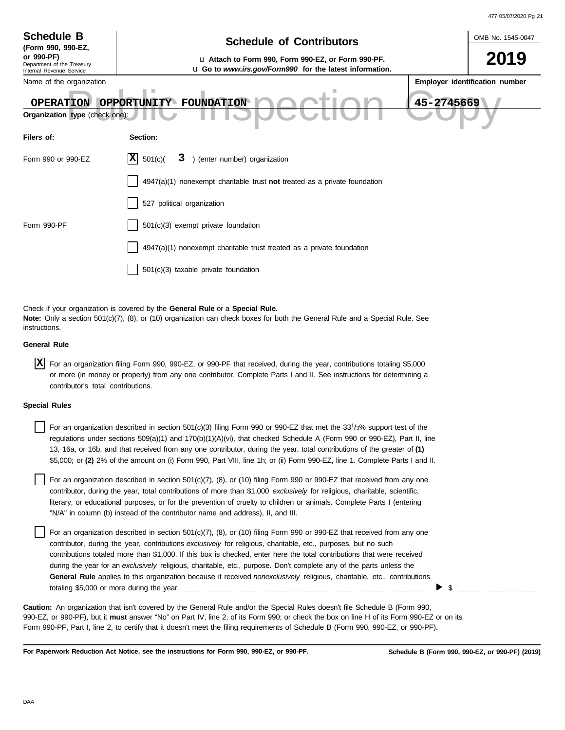|                                                                      |                                                                                                                                                                                                                                                                                                                                                                                                                                                                                                                                                                                                                        | 477 05/07/2020 Pg 21           |
|----------------------------------------------------------------------|------------------------------------------------------------------------------------------------------------------------------------------------------------------------------------------------------------------------------------------------------------------------------------------------------------------------------------------------------------------------------------------------------------------------------------------------------------------------------------------------------------------------------------------------------------------------------------------------------------------------|--------------------------------|
| <b>Schedule B</b><br>(Form 990, 990-EZ,                              | <b>Schedule of Contributors</b>                                                                                                                                                                                                                                                                                                                                                                                                                                                                                                                                                                                        | OMB No. 1545-0047              |
| or 990-PF)<br>Department of the Treasury<br>Internal Revenue Service | u Attach to Form 990, Form 990-EZ, or Form 990-PF.<br>u Go to www.irs.gov/Form990 for the latest information.                                                                                                                                                                                                                                                                                                                                                                                                                                                                                                          | 2019                           |
| Name of the organization<br>Organization type (check one):           | п<br>45-2745669<br>OPERATION OPPORTUNITY FOUNDATION                                                                                                                                                                                                                                                                                                                                                                                                                                                                                                                                                                    | Employer identification number |
| Filers of:                                                           | Section:                                                                                                                                                                                                                                                                                                                                                                                                                                                                                                                                                                                                               |                                |
| Form 990 or 990-EZ                                                   | 3 ) (enter number) organization<br>ΙXΙ<br>501(c)                                                                                                                                                                                                                                                                                                                                                                                                                                                                                                                                                                       |                                |
|                                                                      | $4947(a)(1)$ nonexempt charitable trust not treated as a private foundation                                                                                                                                                                                                                                                                                                                                                                                                                                                                                                                                            |                                |
|                                                                      | 527 political organization                                                                                                                                                                                                                                                                                                                                                                                                                                                                                                                                                                                             |                                |
| Form 990-PF                                                          | 501(c)(3) exempt private foundation                                                                                                                                                                                                                                                                                                                                                                                                                                                                                                                                                                                    |                                |
|                                                                      | 4947(a)(1) nonexempt charitable trust treated as a private foundation                                                                                                                                                                                                                                                                                                                                                                                                                                                                                                                                                  |                                |
|                                                                      | $501(c)(3)$ taxable private foundation                                                                                                                                                                                                                                                                                                                                                                                                                                                                                                                                                                                 |                                |
| instructions.<br><b>General Rule</b>                                 | Check if your organization is covered by the General Rule or a Special Rule.<br>Note: Only a section 501(c)(7), (8), or (10) organization can check boxes for both the General Rule and a Special Rule. See                                                                                                                                                                                                                                                                                                                                                                                                            |                                |
| ΙXΙ<br>contributor's total contributions.                            | For an organization filing Form 990, 990-EZ, or 990-PF that received, during the year, contributions totaling \$5,000<br>or more (in money or property) from any one contributor. Complete Parts I and II. See instructions for determining a                                                                                                                                                                                                                                                                                                                                                                          |                                |
| <b>Special Rules</b>                                                 |                                                                                                                                                                                                                                                                                                                                                                                                                                                                                                                                                                                                                        |                                |
|                                                                      | For an organization described in section 501(c)(3) filing Form 990 or 990-EZ that met the 33 <sup>-1</sup> /3% support test of the<br>regulations under sections $509(a)(1)$ and $170(b)(1)(A)(vi)$ , that checked Schedule A (Form 990 or 990-EZ), Part II, line<br>13, 16a, or 16b, and that received from any one contributor, during the year, total contributions of the greater of (1)<br>\$5,000; or (2) 2% of the amount on (i) Form 990, Part VIII, line 1h; or (ii) Form 990-EZ, line 1. Complete Parts I and II.                                                                                            |                                |
|                                                                      | For an organization described in section $501(c)(7)$ , (8), or (10) filing Form 990 or 990-EZ that received from any one<br>contributor, during the year, total contributions of more than \$1,000 exclusively for religious, charitable, scientific,<br>literary, or educational purposes, or for the prevention of cruelty to children or animals. Complete Parts I (entering<br>"N/A" in column (b) instead of the contributor name and address), II, and III.                                                                                                                                                      |                                |
|                                                                      | For an organization described in section $501(c)(7)$ , (8), or (10) filing Form 990 or 990-EZ that received from any one<br>contributor, during the year, contributions exclusively for religious, charitable, etc., purposes, but no such<br>contributions totaled more than \$1,000. If this box is checked, enter here the total contributions that were received<br>during the year for an exclusively religious, charitable, etc., purpose. Don't complete any of the parts unless the<br>General Rule applies to this organization because it received nonexclusively religious, charitable, etc., contributions |                                |

990-EZ, or 990-PF), but it **must** answer "No" on Part IV, line 2, of its Form 990; or check the box on line H of its Form 990-EZ or on its Form 990-PF, Part I, line 2, to certify that it doesn't meet the filing requirements of Schedule B (Form 990, 990-EZ, or 990-PF). **Caution:** An organization that isn't covered by the General Rule and/or the Special Rules doesn't file Schedule B (Form 990,

totaling \$5,000 or more during the year . . . . . . . . . . . . . . . . . . . . . . . . . . . . . . . . . . . . . . . . . . . . . . . . . . . . . . . . . . . . . . . . . . . . . . . . . . . . . . . . \$ . . . . . . . . . . . . . . . . . . . . . . . . . . .

**For Paperwork Reduction Act Notice, see the instructions for Form 990, 990-EZ, or 990-PF.**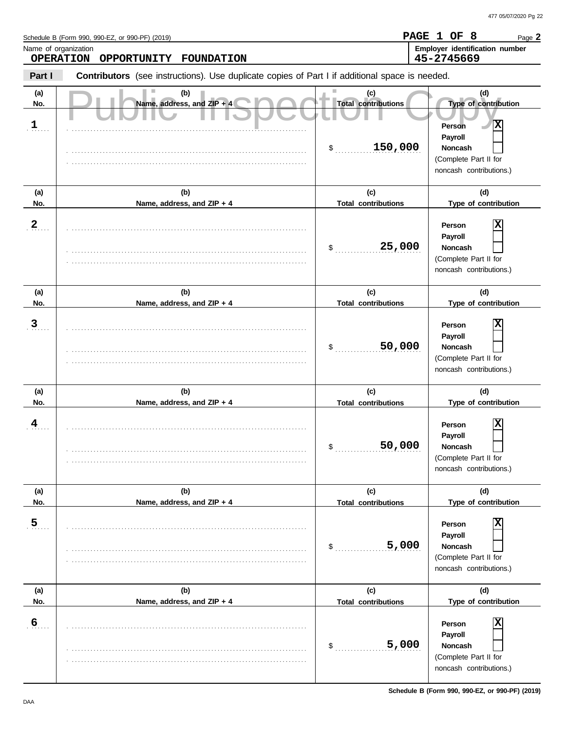**PAGE 1 OF 8**

Page **2**

Schedule B (Form 990, 990-EZ, or 990-PF) (2019)

Name, address, and ZIP + 4 S D C C Total contributions (c) (d)<br>Person X **Part I Type of contribution Person Payroll Noncash (a) (b) (c) (d) No. Name, address, and ZIP + 4 Type of contribution Person Payroll Noncash (a) (b) (c) (d) No. Name, address, and ZIP + 4 Type of contribution Person Payroll Noncash (a) (b) (c) (d)** No. **Name, address, and ZIP + 4 Total contributions** Type of contribution **Person Payroll Noncash** \$ . . . . . . . . . . . . . . . . . . . . . . . . . . . . **150,000** (Complete Part II for noncash contributions.) \$ . . . . . . . . . . . . . . . . . . . . . . . . . . . . (Complete Part II for noncash contributions.) \$ . . . . . . . . . . . . . . . . . . . . . . . . . . . . (Complete Part II for noncash contributions.)  $\frac{1}{2}$ (Complete Part II for noncash contributions.) \$ . . . . . . . . . . . . . . . . . . . . . . . . . . . . **5,000** (Complete Part II for noncash contributions.)  $\frac{1}{2}$ (Complete Part II for noncash contributions.) **Contributors** (see instructions). Use duplicate copies of Part I if additional space is needed. **(a) (b) (c) (d) No. Name, address, and ZIP + 4 Total contributions Type of contribution Person Payroll Noncash (a) (b) (c) (d)** No. **Name, address, and ZIP + 4 Total contributions** Type of contribution **Person Payroll Noncash (a) (b) (c) (d) No. Name, address, and ZIP + 4** Name of organization **Employer identification number Employer identification number** . . . . . . . **1** . **2** . . . . . . . **3** . 4 . . . . . . . **5** . 6<sub>. . . .</sub> . . . . . . . . . . . . . . . . . . . . . . . . . . . . . . . . . . . . . . . . . . . . . . . . . . . . . . . . . . . . . . . . . . . . . . . . . . . . . . . . . . . . . . . . . . . . . . . . . . . . . . . . . . . . . . . . . . . . . . . . . . . . . . . . . . . . . . . . . . . . . . . . . . . . . . . . . . . . . . . . . . . . . . . . . . . . . . . . . . . . . . . . . . . . . . . . . . . . . . . . . . . . . . . . . . . . . . . . . . . . . . . . . . . . . . . . . . . . . . . . . . . . . . . . . . . . . . . . . . . . . . . . . . . . . . . . . . . . . . . . . . . . . . . . . . . . . . . . . . . . . . . . . . . . . . . . . . . . . . . . . . . . . . . . . . . . . . . . . . . . . . . . . . . . . . . . . . . . . . . . . . . . . . . . . . . . . . . . . . . . . . . . . . . . . . . . . . . . . . . . . . . . . . . . . . . . . . . . . . . . . . . . . . . . . . . . . . . . . . . . . . . . . . . . . . . . . . . . . . . . . . . . . . . . . . . . . . . . . . . . . . . . . . . . . . . . . . . . . . . . . . . . . . . . . . . . . . . . . . . . . . . . . . . . . . . . . . . . . . . . . . . . . . . . . . . . . . . . . . . . . . . . . . . . . . . . . . . . . . . . . . . . . . . . . . . . . . . . . . . . . . . . . . . . . . . . . . . . . . . . . . . . . . . . . . . . . . . . . . . . . . . . . . . . . . . . . . . . . . . . . . . . . . . . . . . . . . . . . . . . . . . . . . . . . . . . . . . . . . . . . . . . . . . . . . . . . . . . . . . . . . . . . . . . . . . . . . . . . . . . . . . . . . . . . . . . . . . . . . . . . . . . . . . . . . . . . . . . . . . . . . . . . . . . . . . . . . . . . . . . . . . . . . . . . . . . . . . . . . . . . . . . . . . . . . . . . . . . . . . . . . . . . . . . . . . . . . . . . . . . . . . . . . . . . . . . . . . . . . . . . . . . . . . . . . . . . . . . . . . . . . . . . . . . . . . . . . . . . . . . . . . . . . . . . . . . . . . . . . . . . . . . . . . . . . . . . . . . . . . . . . . . . . . . . . . . . . . . . . . . . . . . . . . . . . . . . . . . . . . . . . . . . . . . . . . . . . . . . . . . . . . . . . . . . . . . . . . . . . . . . . . . . . . . . . . . . . . . . . . . . . . . . . . . . . . . . . . . . . . . . . . . . . . . . . . . . . . . . . . . . . . . . . . . . . . . . . . . . . . . . . . . . . . . . . . . . . . . . . . . . . . . . . . . . . . . . . . . . . . . . . . . . . . . . . . . . . . . . . . . . . . . . . . . . . . . . . . . . . . . . . . . . . . . . . . . . . . . . . . . . . . . . . . . . . . . . . . . . . . . . . . . . . . . . . . . . . . . . . . . . . . . . . . . . . . . . . . . . . . . . . . . . . . . . . . . . . . . . . . . . . . . . . . . . . . . . . . . . . . . . . . . . . . . . . . . . . . . . . . . . . . . . . . . . . . . . . . . . . . . . . . . . . . . . . . . . . . . . . . . . . . . . . **Total contributions Total contributions Total contributions Total contributions Total contributions OPERATION OPPORTUNITY FOUNDATION 45-2745669 X 25,000 X 50,000 X 50,000 X X 5,000 X**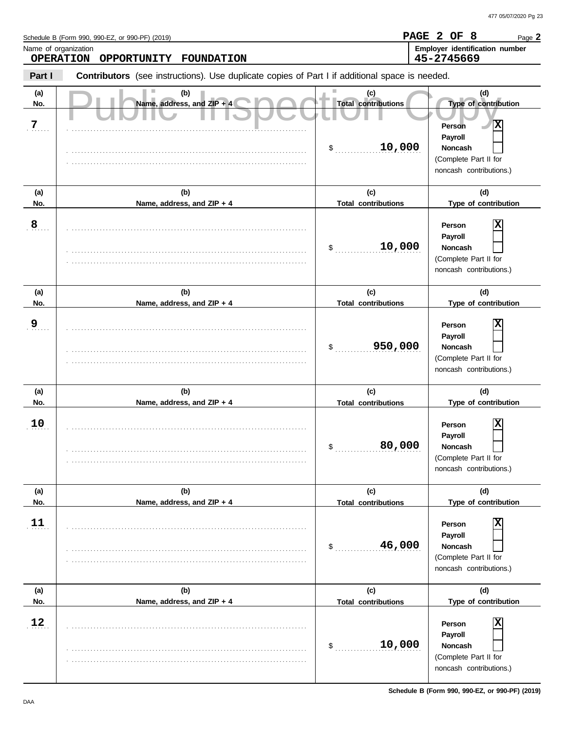**PAGE 2 OF 8**

Page **2**

Schedule B (Form 990, 990-EZ, or 990-PF) (2019)

Name, address, and ZIP + 4 S D C C Total contributions (c) (d)<br>Person X **Part I Type of contribution Person Payroll Noncash (a) (b) (c) (d) No. Name, address, and ZIP + 4 Type of contribution Person Payroll Noncash (a) (b) (c) (d) No. Name, address, and ZIP + 4 Type of contribution Person Payroll Noncash (a) (b) (c) (d)** No. No. Name, address, and ZIP + 4 **Total contributions** Type of contribution **Person Payroll Noncash** \$ . . . . . . . . . . . . . . . . . . . . . . . . . . . . **10,000** (Complete Part II for noncash contributions.) \$ . . . . . . . . . . . . . . . . . . . . . . . . . . . . (Complete Part II for noncash contributions.) \$ . . . . . . . . . . . . . . . . . . . . . . . . . . . . **950,000** (Complete Part II for noncash contributions.)  $\frac{1}{2}$ (Complete Part II for noncash contributions.) \$ . . . . . . . . . . . . . . . . . . . . . . . . . . . . (Complete Part II for noncash contributions.) \$ . . . . . . . . . . . . . . . . . . . . . . . . . . . . **10,000** (Complete Part II for noncash contributions.) **Contributors** (see instructions). Use duplicate copies of Part I if additional space is needed. **(a) (b) (c) (d) No. Name, address, and ZIP + 4 Total contributions Type of contribution Person Payroll Noncash (a) (b) (c) (d)** No. **Name, address, and ZIP + 4 Total contributions** Type of contribution **Person Payroll Noncash (a) (b) (c) (d) No. Name, address, and ZIP + 4** Name of organization **Employer identification number Employer identification number** . **7**. . . . . 8<br>. . . . . . . . . . . . **9** . . . . . . . **10** . . . . . . . **11** . . . . . . . **12** . . . . . . . . . . . . . . . . . . . . . . . . . . . . . . . . . . . . . . . . . . . . . . . . . . . . . . . . . . . . . . . . . . . . . . . . . . . . . . . . . . . . . . . . . . . . . . . . . . . . . . . . . . . . . . . . . . . . . . . . . . . . . . . . . . . . . . . . . . . . . . . . . . . . . . . . . . . . . . . . . . . . . . . . . . . . . . . . . . . . . . . . . . . . . . . . . . . . . . . . . . . . . . . . . . . . . . . . . . . . . . . . . . . . . . . . . . . . . . . . . . . . . . . . . . . . . . . . . . . . . . . . . . . . . . . . . . . . . . . . . . . . . . . . . . . . . . . . . . . . . . . . . . . . . . . . . . . . . . . . . . . . . . . . . . . . . . . . . . . . . . . . . . . . . . . . . . . . . . . . . . . . . . . . . . . . . . . . . . . . . . . . . . . . . . . . . . . . . . . . . . . . . . . . . . . . . . . . . . . . . . . . . . . . . . . . . . . . . . . . . . . . . . . . . . . . . . . . . . . . . . . . . . . . . . . . . . . . . . . . . . . . . . . . . . . . . . . . . . . . . . . . . . . . . . . . . . . . . . . . . . . . . . . . . . . . . . . . . . . . . . . . . . . . . . . . . . . . . . . . . . . . . . . . . . . . . . . . . . . . . . . . . . . . . . . . . . . . . . . . . . . . . . . . . . . . . . . . . . . . . . . . . . . . . . . . . . . . . . . . . . . . . . . . . . . . . . . . . . . . . . . . . . . . . . . . . . . . . . . . . . . . . . . . . . . . . . . . . . . . . . . . . . . . . . . . . . . . . . . . . . . . . . . . . . . . . . . . . . . . . . . . . . . . . . . . . . . . . . . . . . . . . . . . . . . . . . . . . . . . . . . . . . . . . . . . . . . . . . . . . . . . . . . . . . . . . . . . . . . . . . . . . . . . . . . . . . . . . . . . . . . . . . . . . . . . . . . . . . . . . . . . . . . . . . . . . . . . . . . . . . . . . . . . . . . . . . . . . . . . . . . . . . . . . . . . . . . . . . . . . . . . . . . . . . . . . . . . . . . . . . . . . . . . . . . . . . . . . . . . . . . . . . . . . . . . . . . . . . . . . . . . . . . . . . . . . . . . . . . . . . . . . . . . . . . . . . . . . . . . . . . . . . . . . . . . . . . . . . . . . . . . . . . . . . . . . . . . . . . . . . . . . . . . . . . . . . . . . . . . . . . . . . . . . . . . . . . . . . . . . . . . . . . . . . . . . . . . . . . . . . . . . . . . . . . . . . . . . . . . . . . . . . . . . . . . . . . . . . . . . . . . . . . . . . . . . . . . . . . . . . . . . . . . . . . . . . . . . . . . . . . . . . . . . . . . . . . . . . . . . . . . . . . . . . . . . . . . . . . . . . . . . . . . . . . . . . . . . . . . . . . . . . . . . . . . . . . . . . . . . . . . . . . . . . . . . . . . . . . . . . . . . . . . . . . . . . . . . . . . . . . . . . . . . . . . . . . . . . . . . . . . . . . . . . . . . . . . . . . . . . . . . . . . . . . . . . . . . . . . . . . . . . **Total contributions Total contributions Total contributions Total contributions Total contributions OPERATION OPPORTUNITY FOUNDATION 45-2745669 X 10,000 X X 80,000 X 46,000 X X**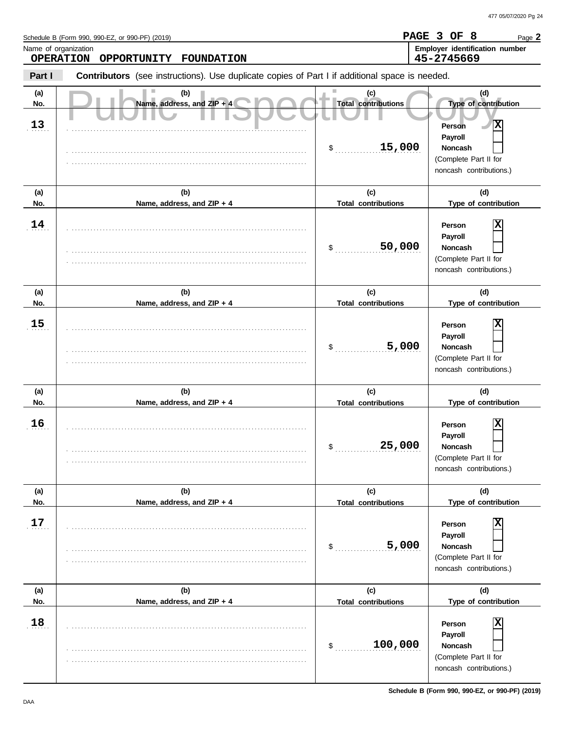**PAGE 3 OF 8**

Page **2**

Schedule B (Form 990, 990-EZ, or 990-PF) (2019)

Name, address, and ZIP + 4 S D C C Total contributions (c) (d)<br>Person X **Part I Type of contribution Person Payroll Noncash (a) (b) (c) (d) No. Name, address, and ZIP + 4 Type of contribution Person Payroll Noncash (a) (b) (c) (d) No. Name, address, and ZIP + 4 Type of contribution Person Payroll Noncash (a) (b) (c) (d)** No. No. Name, address, and ZIP + 4 **Total contributions** Type of contribution **Person Payroll Noncash** \$ . . . . . . . . . . . . . . . . . . . . . . . . . . . . **15,000** (Complete Part II for noncash contributions.) \$ . . . . . . . . . . . . . . . . . . . . . . . . . . . . (Complete Part II for noncash contributions.) \$ . . . . . . . . . . . . . . . . . . . . . . . . . . . . (Complete Part II for noncash contributions.)  $\frac{1}{2}$ (Complete Part II for noncash contributions.) \$ . . . . . . . . . . . . . . . . . . . . . . . . . . . . **5,000** (Complete Part II for noncash contributions.) \$ . . . . . . . . . . . . . . . . . . . . . . . . . . . . **100,000** (Complete Part II for noncash contributions.) **Contributors** (see instructions). Use duplicate copies of Part I if additional space is needed. **(a) (b) (c) (d) No. Name, address, and ZIP + 4 Total contributions Type of contribution Person Payroll Noncash (a) (b) (c) (d)** No. **Name, address, and ZIP + 4 Total contributions** Type of contribution **Person Payroll Noncash (a) (b) (c) (d) No. Name, address, and ZIP + 4** Name of organization **Employer identification number Employer identification number**  $\frac{13}{1}$  $\frac{14}{1}$  $\frac{15}{15}$ . **.** 16 . . . . . . . **17** . . . . . . . **18** . . . . . . . . . . . . . . . . . . . . . . . . . . . . . . . . . . . . . . . . . . . . . . . . . . . . . . . . . . . . . . . . . . . . . . . . . . . . . . . . . . . . . . . . . . . . . . . . . . . . . . . . . . . . . . . . . . . . . . . . . . . . . . . . . . . . . . . . . . . . . . . . . . . . . . . . . . . . . . . . . . . . . . . . . . . . . . . . . . . . . . . . . . . . . . . . . . . . . . . . . . . . . . . . . . . . . . . . . . . . . . . . . . . . . . . . . . . . . . . . . . . . . . . . . . . . . . . . . . . . . . . . . . . . . . . . . . . . . . . . . . . . . . . . . . . . . . . . . . . . . . . . . . . . . . . . . . . . . . . . . . . . . . . . . . . . . . . . . . . . . . . . . . . . . . . . . . . . . . . . . . . . . . . . . . . . . . . . . . . . . . . . . . . . . . . . . . . . . . . . . . . . . . . . . . . . . . . . . . . . . . . . . . . . . . . . . . . . . . . . . . . . . . . . . . . . . . . . . . . . . . . . . . . . . . . . . . . . . . . . . . . . . . . . . . . . . . . . . . . . . . . . . . . . . . . . . . . . . . . . . . . . . . . . . . . . . . . . . . . . . . . . . . . . . . . . . . . . . . . . . . . . . . . . . . . . . . . . . . . . . . . . . . . . . . . . . . . . . . . . . . . . . . . . . . . . . . . . . . . . . . . . . . . . . . . . . . . . . . . . . . . . . . . . . . . . . . . . . . . . . . . . . . . . . . . . . . . . . . . . . . . . . . . . . . . . . . . . . . . . . . . . . . . . . . . . . . . . . . . . . . . . . . . . . . . . . . . . . . . . . . . . . . . . . . . . . . . . . . . . . . . . . . . . . . . . . . . . . . . . . . . . . . . . . . . . . . . . . . . . . . . . . . . . . . . . . . . . . . . . . . . . . . . . . . . . . . . . . . . . . . . . . . . . . . . . . . . . . . . . . . . . . . . . . . . . . . . . . . . . . . . . . . . . . . . . . . . . . . . . . . . . . . . . . . . . . . . . . . . . . . . . . . . . . . . . . . . . . . . . . . . . . . . . . . . . . . . . . . . . . . . . . . . . . . . . . . . . . . . . . . . . . . . . . . . . . . . . . . . . . . . . . . . . . . . . . . . . . . . . . . . . . . . . . . . . . . . . . . . . . . . . . . . . . . . . . . . . . . . . . . . . . . . . . . . . . . . . . . . . . . . . . . . . . . . . . . . . . . . . . . . . . . . . . . . . . . . . . . . . . . . . . . . . . . . . . . . . . . . . . . . . . . . . . . . . . . . . . . . . . . . . . . . . . . . . . . . . . . . . . . . . . . . . . . . . . . . . . . . . . . . . . . . . . . . . . . . . . . . . . . . . . . . . . . . . . . . . . . . . . . . . . . . . . . . . . . . . . . . . . . . . . . . . . . . . . . . . . . . . . . . . . . . . . . . . . . . . . . . . . . . . . . . . . . . . . . . . . . . . . . . . . . . . . . . . . . . . . . . . . . . . . . . . . . . . . . . . . . . . . . . . . . . . . . . . . . . . . . . . . . . . . . **Total contributions Total contributions Total contributions Total contributions Total contributions OPERATION OPPORTUNITY FOUNDATION 45-2745669 X 50,000 X 5,000 X 25,000 X X X**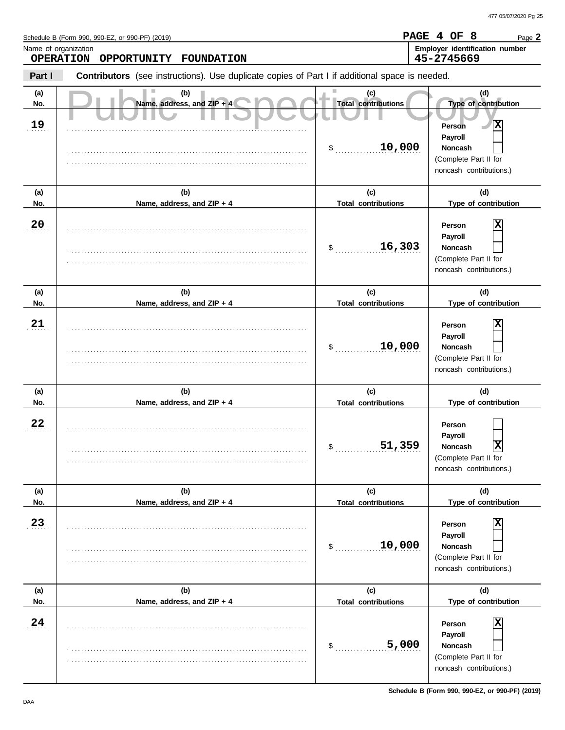**PAGE 4 OF 8**

Page **2**

Schedule B (Form 990, 990-EZ, or 990-PF) (2019)

Name, address, and ZIP + 4 S D C C Total contributions (c) (d)<br>Person X **Part I Type of contribution Person Payroll Noncash (a) (b) (c) (d) No. Name, address, and ZIP + 4 Type of contribution Person Payroll Noncash (a) (b) (c) (d) No. Name, address, and ZIP + 4 Type of contribution Person Payroll Noncash (a) (b) (c) (d)** No. No. Name, address, and ZIP + 4 **Total contributions** Type of contribution **Person Payroll Noncash** \$ . . . . . . . . . . . . . . . . . . . . . . . . . . . . **10,000** (Complete Part II for noncash contributions.)  $\frac{1}{2}$ (Complete Part II for noncash contributions.)  $\mathsf{\$}$  . . . . . . . . . . . . . (Complete Part II for noncash contributions.)  $\frac{1}{2}$ (Complete Part II for noncash contributions.) \$ . . . . . . . . . . . . . . . . . . . . . . . . . . . . **10,000** (Complete Part II for noncash contributions.) \$ . . . . . . . . . . . . . . . . . . . . . . . . . . . . (Complete Part II for noncash contributions.) **Contributors** (see instructions). Use duplicate copies of Part I if additional space is needed. **(a) (b) (c) (d) No. Name, address, and ZIP + 4 Total contributions Type of contribution Person Payroll Noncash (a) (b) (c) (d)** No. **Name, address, and ZIP + 4 Total contributions** Type of contribution **Person Payroll Noncash (a) (b) (c) (d) No. Name, address, and ZIP + 4** Name of organization **Employer identification number Employer identification number** . . . . . . . **19** . **20**  $\cdot$  21 . **22**  $\cdot$  . 23  $\frac{24}{1}$ . . . . . . . . . . . . . . . . . . . . . . . . . . . . . . . . . . . . . . . . . . . . . . . . . . . . . . . . . . . . . . . . . . . . . . . . . . . . . . . . . . . . . . . . . . . . . . . . . . . . . . . . . . . . . . . . . . . . . . . . . . . . . . . . . . . . . . . . . . . . . . . . . . . . . . . . . . . . . . . . . . . . . . . . . . . . . . . . . . . . . . . . . . . . . . . . . . . . . . . . . . . . . . . . . . . . . . . . . . . . . . . . . . . . . . . . . . . . . . . . . . . . . . . . . . . . . . . . . . . . . . . . . . . . . . . . . . . . . . . . . . . . . . . . . . . . . . . . . . . . . . . . . . . . . . . . . . . . . . . . . . . . . . . . . . . . . . . . . . . . . . . . . . . . . . . . . . . . . . . . . . . . . . . . . . . . . . . . . . . . . . . . . . . . . . . . . . . . . . . . . . . . . . . . . . . . . . . . . . . . . . . . . . . . . . . . . . . . . . . . . . . . . . . . . . . . . . . . . . . . . . . . . . . . . . . . . . . . . . . . . . . . . . . . . . . . . . . . . . . . . . . . . . . . . . . . . . . . . . . . . . . . . . . . . . . . . . . . . . . . . . . . . . . . . . . . . . . . . . . . . . . . . . . . . . . . . . . . . . . . . . . . . . . . . . . . . . . . . . . . . . . . . . . . . . . . . . . . . . . . . . . . . . . . . . . . . . . . . . . . . . . . . . . . . . . . . . . . . . . . . . . . . . . . . . . . . . . . . . . . . . . . . . . . . . . . . . . . . . . . . . . . . . . . . . . . . . . . . . . . . . . . . . . . . . . . . . . . . . . . . . . . . . . . . . . . . . . . . . . . . . . . . . . . . . . . . . . . . . . . . . . . . . . . . . . . . . . . . . . . . . . . . . . . . . . . . . . . . . . . . . . . . . . . . . . . . . . . . . . . . . . . . . . . . . . . . . . . . . . . . . . . . . . . . . . . . . . . . . . . . . . . . . . . . . . . . . . . . . . . . . . . . . . . . . . . . . . . . . . . . . . . . . . . . . . . . . . . . . . . . . . . . . . . . . . . . . . . . . . . . . . . . . . . . . . . . . . . . . . . . . . . . . . . . . . . . . . . . . . . . . . . . . . . . . . . . . . . . . . . . . . . . . . . . . . . . . . . . . . . . . . . . . . . . . . . . . . . . . . . . . . . . . . . . . . . . . . . . . . . . . . . . . . . . . . . . . . . . . . . . . . . . . . . . . . . . . . . . . . . . . . . . . . . . . . . . . . . . . . . . . . . . . . . . . . . . . . . . . . . . . . . . . . . . . . . . . . . . . . . . . . . . . . . . . . . . . . . . . . . . . . . . . . . . . . . . . . . . . . . . . . . . . . . . . . . . . . . . . . . . . . . . . . . . . . . . . . . . . . . . . . . . . . . . . . . . . . . . . . . . . . . . . . . . . . . . . . . . . . . . . . . . . . . . . . . . . . . . . . . . . . . . . . . . . . . . . . . . . . . . . . . . . . . . . . . . . . . . . . . . . . . . . . . . . . . . . . . . . . . . . . . . . **Total contributions Total contributions Total contributions Total contributions Total contributions OPERATION OPPORTUNITY FOUNDATION 45-2745669 X 16,303 X 10,000 X 51,359 X X 5,000 X**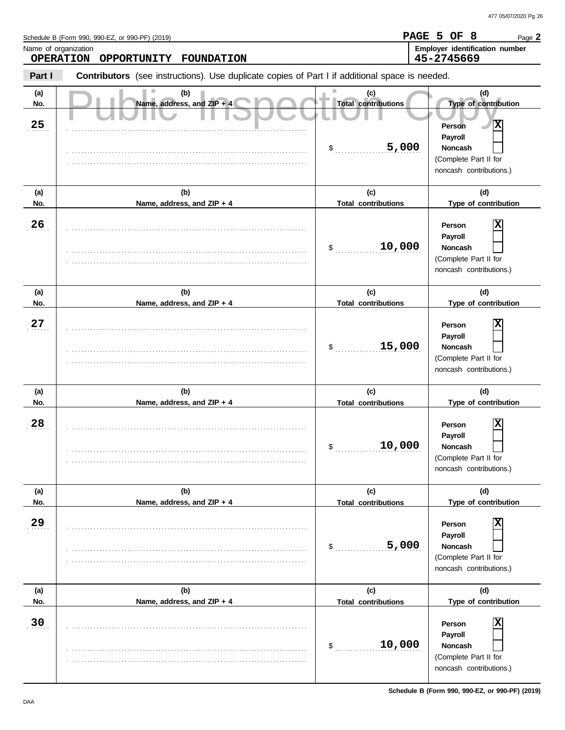**PAGE 5 OF 8**

Page **2**

Schedule B (Form 990, 990-EZ, or 990-PF) (2019)

Name, address, and ZIP + 4 S D C C Total contributions (c) (d)<br>Person X **Part I Type of contribution Person Payroll Noncash (a) (b) (c) (d) No. Name, address, and ZIP + 4 Type of contribution Person Payroll Noncash (a) (b) (c) (d) No. Name, address, and ZIP + 4 Type of contribution Person Payroll Noncash (a) (b) (c) (d)** No. No. Name, address, and ZIP + 4 **Total contributions** Type of contribution **Person Payroll Noncash**  $\$\quad$ (Complete Part II for noncash contributions.) \$ . . . . . . . . . . . . . . . . . . . . . . . . . . . . (Complete Part II for noncash contributions.)  $\mathsf{\$}$  . . . . . . . . . . . . . (Complete Part II for noncash contributions.)  $\frac{1}{2}$ (Complete Part II for noncash contributions.) \$ . . . . . . . . . . . . . . . . . . . . . . . . . . . . **5,000** (Complete Part II for noncash contributions.) \$ . . . . . . . . . . . . . . . . . . . . . . . . . . . . **10,000** (Complete Part II for noncash contributions.) **Contributors** (see instructions). Use duplicate copies of Part I if additional space is needed. **(a) (b) (c) (d) No. Name, address, and ZIP + 4 Total contributions Type of contribution Person Payroll Noncash (a) (b) (c) (d)** No. **Name, address, and ZIP + 4 Total contributions** Type of contribution **Person Payroll Noncash (a) (b) (c) (d) No. Name, address, and ZIP + 4** Name of organization **Employer identification number Employer identification number**  $\frac{25}{2}$ . . 26 . **27** . . . . . . . **28** . 29 . 30 . . . . . . . . . . . . . . . . . . . . . . . . . . . . . . . . . . . . . . . . . . . . . . . . . . . . . . . . . . . . . . . . . . . . . . . . . . . . . . . . . . . . . . . . . . . . . . . . . . . . . . . . . . . . . . . . . . . . . . . . . . . . . . . . . . . . . . . . . . . . . . . . . . . . . . . . . . . . . . . . . . . . . . . . . . . . . . . . . . . . . . . . . . . . . . . . . . . . . . . . . . . . . . . . . . . . . . . . . . . . . . . . . . . . . . . . . . . . . . . . . . . . . . . . . . . . . . . . . . . . . . . . . . . . . . . . . . . . . . . . . . . . . . . . . . . . . . . . . . . . . . . . . . . . . . . . . . . . . . . . . . . . . . . . . . . . . . . . . . . . . . . . . . . . . . . . . . . . . . . . . . . . . . . . . . . . . . . . . . . . . . . . . . . . . . . . . . . . . . . . . . . . . . . . . . . . . . . . . . . . . . . . . . . . . . . . . . . . . . . . . . . . . . . . . . . . . . . . . . . . . . . . . . . . . . . . . . . . . . . . . . . . . . . . . . . . . . . . . . . . . . . . . . . . . . . . . . . . . . . . . . . . . . . . . . . . . . . . . . . . . . . . . . . . . . . . . . . . . . . . . . . . . . . . . . . . . . . . . . . . . . . . . . . . . . . . . . . . . . . . . . . . . . . . . . . . . . . . . . . . . . . . . . . . . . . . . . . . . . . . . . . . . . . . . . . . . . . . . . . . . . . . . . . . . . . . . . . . . . . . . . . . . . . . . . . . . . . . . . . . . . . . . . . . . . . . . . . . . . . . . . . . . . . . . . . . . . . . . . . . . . . . . . . . . . . . . . . . . . . . . . . . . . . . . . . . . . . . . . . . . . . . . . . . . . . . . . . . . . . . . . . . . . . . . . . . . . . . . . . . . . . . . . . . . . . . . . . . . . . . . . . . . . . . . . . . . . . . . . . . . . . . . . . . . . . . . . . . . . . . . . . . . . . . . . . . . . . . . . . . . . . . . . . . . . . . . . . . . . . . . . . . . . . . . . . . . . . . . . . . . . . . . . . . . . . . . . . . . . . . . . . . . . . . . . . . . . . . . . . . . . . . . . . . . . . . . . . . . . . . . . . . . . . . . . . . . . . . . . . . . . . . . . . . . . . . . . . . . . . . . . . . . . . . . . . . . . . . . . . . . . . . . . . . . . . . . . . . . . . . . . . . . . . . . . . . . . . . . . . . . . . . . . . . . . . . . . . . . . . . . . . . . . . . . . . . . . . . . . . . . . . . . . . . . . . . . . . . . . . . . . . . . . . . . . . . . . . . . . . . . . . . . . . . . . . . . . . . . . . . . . . . . . . . . . . . . . . . . . . . . . . . . . . . . . . . . . . . . . . . . . . . . . . . . . . . . . . . . . . . . . . . . . . . . . . . . . . . . . . . . . . . . . . . . . . . . . . . . . . . . . . . . . . . . . . . . . . . . . . . . . . . . . . . . . . . . . . . . . . . . . . . . . . . . . . . . . . . . . . . . . . . . . . . . . . . . . . . . . . . . . . . . . **Total contributions Total contributions Total contributions Total contributions Total contributions OPERATION OPPORTUNITY FOUNDATION 45-2745669 5,000 X 10,000 X 15,000 X 10,000 X X X**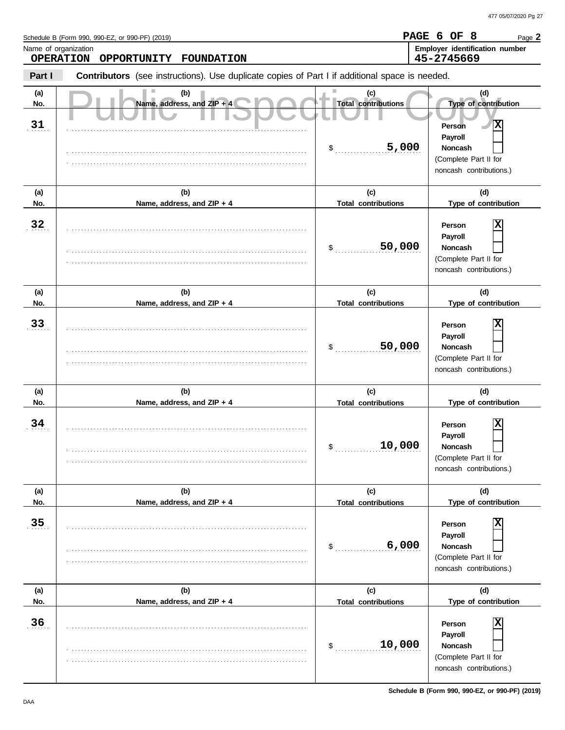**PAGE 6 OF 8**

Page **2**

Schedule B (Form 990, 990-EZ, or 990-PF) (2019)

Name, address, and ZIP + 4 S D C C Total contributions (c) (d)<br>Person X **Part I Type of contribution Person Payroll Noncash (a) (b) (c) (d) No. Name, address, and ZIP + 4 Type of contribution Person Payroll Noncash (a) (b) (c) (d) No. Name, address, and ZIP + 4 Type of contribution Person Payroll Noncash (a) (b) (c) (d)** No. No. Name, address, and ZIP + 4 **Total contributions** Type of contribution **Person Payroll Noncash**  $\$\quad$ (Complete Part II for noncash contributions.) \$ . . . . . . . . . . . . . . . . . . . . . . . . . . . . (Complete Part II for noncash contributions.)  $\mathsf{\$}$  . . . . . . . . . . . . . (Complete Part II for noncash contributions.)  $\frac{1}{2}$ (Complete Part II for noncash contributions.) \$ . . . . . . . . . . . . . . . . . . . . . . . . . . . . **6,000** (Complete Part II for noncash contributions.) \$ . . . . . . . . . . . . . . . . . . . . . . . . . . . . **10,000** (Complete Part II for noncash contributions.) **Contributors** (see instructions). Use duplicate copies of Part I if additional space is needed. **(a) (b) (c) (d) No. Name, address, and ZIP + 4 Total contributions Type of contribution Person Payroll Noncash (a) (b) (c) (d)** No. **Name, address, and ZIP + 4 Total contributions** Type of contribution **Person Payroll Noncash (a) (b) (c) (d) No. Name, address, and ZIP + 4** Name of organization **Employer identification number Employer identification number**  $\overline{31}$ . . 32  $\frac{33}{1}$ . 34  $\frac{35}{1}$ . 36 . . . . . . . . . . . . . . . . . . . . . . . . . . . . . . . . . . . . . . . . . . . . . . . . . . . . . . . . . . . . . . . . . . . . . . . . . . . . . . . . . . . . . . . . . . . . . . . . . . . . . . . . . . . . . . . . . . . . . . . . . . . . . . . . . . . . . . . . . . . . . . . . . . . . . . . . . . . . . . . . . . . . . . . . . . . . . . . . . . . . . . . . . . . . . . . . . . . . . . . . . . . . . . . . . . . . . . . . . . . . . . . . . . . . . . . . . . . . . . . . . . . . . . . . . . . . . . . . . . . . . . . . . . . . . . . . . . . . . . . . . . . . . . . . . . . . . . . . . . . . . . . . . . . . . . . . . . . . . . . . . . . . . . . . . . . . . . . . . . . . . . . . . . . . . . . . . . . . . . . . . . . . . . . . . . . . . . . . . . . . . . . . . . . . . . . . . . . . . . . . . . . . . . . . . . . . . . . . . . . . . . . . . . . . . . . . . . . . . . . . . . . . . . . . . . . . . . . . . . . . . . . . . . . . . . . . . . . . . . . . . . . . . . . . . . . . . . . . . . . . . . . . . . . . . . . . . . . . . . . . . . . . . . . . . . . . . . . . . . . . . . . . . . . . . . . . . . . . . . . . . . . . . . . . . . . . . . . . . . . . . . . . . . . . . . . . . . . . . . . . . . . . . . . . . . . . . . . . . . . . . . . . . . . . . . . . . . . . . . . . . . . . . . . . . . . . . . . . . . . . . . . . . . . . . . . . . . . . . . . . . . . . . . . . . . . . . . . . . . . . . . . . . . . . . . . . . . . . . . . . . . . . . . . . . . . . . . . . . . . . . . . . . . . . . . . . . . . . . . . . . . . . . . . . . . . . . . . . . . . . . . . . . . . . . . . . . . . . . . . . . . . . . . . . . . . . . . . . . . . . . . . . . . . . . . . . . . . . . . . . . . . . . . . . . . . . . . . . . . . . . . . . . . . . . . . . . . . . . . . . . . . . . . . . . . . . . . . . . . . . . . . . . . . . . . . . . . . . . . . . . . . . . . . . . . . . . . . . . . . . . . . . . . . . . . . . . . . . . . . . . . . . . . . . . . . . . . . . . . . . . . . . . . . . . . . . . . . . . . . . . . . . . . . . . . . . . . . . . . . . . . . . . . . . . . . . . . . . . . . . . . . . . . . . . . . . . . . . . . . . . . . . . . . . . . . . . . . . . . . . . . . . . . . . . . . . . . . . . . . . . . . . . . . . . . . . . . . . . . . . . . . . . . . . . . . . . . . . . . . . . . . . . . . . . . . . . . . . . . . . . . . . . . . . . . . . . . . . . . . . . . . . . . . . . . . . . . . . . . . . . . . . . . . . . . . . . . . . . . . . . . . . . . . . . . . . . . . . . . . . . . . . . . . . . . . . . . . . . . . . . . . . . . . . . . . . . . . . . . . . . . . . . . . . . . . . . . . . . . . . . . . . . . . . . . . . . . . . . . . . . . . . . . . . . . . . . . . . . . . . . . . . . . . . . . . . . . . . . . . . . . . . . . . . . . . . . . . . . . . . . . . . . . **Total contributions Total contributions Total contributions Total contributions Total contributions OPERATION OPPORTUNITY FOUNDATION 45-2745669 5,000 X 50,000 X 50,000 X 10,000 X X X**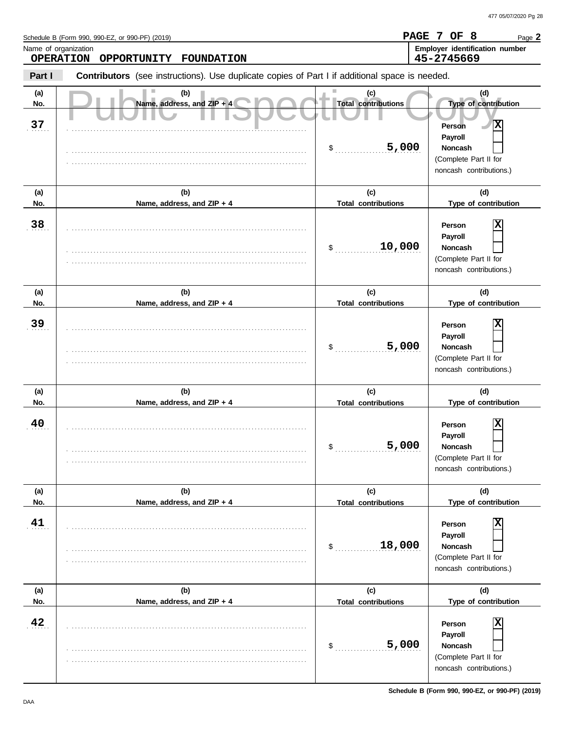**PAGE 7 OF 8**

Page **2**

Schedule B (Form 990, 990-EZ, or 990-PF) (2019)

Name, address, and ZIP + 4 S D C C Total contributions (c) (d)<br>Person X **Part I Type of contribution Person Payroll Noncash (a) (b) (c) (d) No. Name, address, and ZIP + 4 Type of contribution Person Payroll Noncash (a) (b) (c) (d) No. Name, address, and ZIP + 4 Type of contribution Person Payroll Noncash (a) (b) (c) (d)** No. No. Name, address, and ZIP + 4 **Total contributions** Type of contribution **Person Payroll Noncash**  $\$\quad$ (Complete Part II for noncash contributions.) \$ . . . . . . . . . . . . . . . . . . . . . . . . . . . . (Complete Part II for noncash contributions.) \$ . . . . . . . . . . . . . . . . . . . . . . . . . . . . (Complete Part II for noncash contributions.)  $\frac{1}{2}$ (Complete Part II for noncash contributions.) \$ . . . . . . . . . . . . . . . . . . . . . . . . . . . . **18,000** (Complete Part II for noncash contributions.)  $\mathsf{\$}$  . . . . . . . . . . . . (Complete Part II for noncash contributions.) **Contributors** (see instructions). Use duplicate copies of Part I if additional space is needed. **(a) (b) (c) (d) No. Name, address, and ZIP + 4 Total contributions Type of contribution Person Payroll Noncash (a) (b) (c) (d)** No. **Name, address, and ZIP + 4 Total contributions** Type of contribution **Person Payroll Noncash (a) (b) (c) (d) No. Name, address, and ZIP + 4** Name of organization **Employer identification number Employer identification number** . . . . . . . **37** . . . . . . . **38** . 39 . 40  $\frac{41}{1}$  $\frac{42}{1}$ . . . . . . . . . . . . . . . . . . . . . . . . . . . . . . . . . . . . . . . . . . . . . . . . . . . . . . . . . . . . . . . . . . . . . . . . . . . . . . . . . . . . . . . . . . . . . . . . . . . . . . . . . . . . . . . . . . . . . . . . . . . . . . . . . . . . . . . . . . . . . . . . . . . . . . . . . . . . . . . . . . . . . . . . . . . . . . . . . . . . . . . . . . . . . . . . . . . . . . . . . . . . . . . . . . . . . . . . . . . . . . . . . . . . . . . . . . . . . . . . . . . . . . . . . . . . . . . . . . . . . . . . . . . . . . . . . . . . . . . . . . . . . . . . . . . . . . . . . . . . . . . . . . . . . . . . . . . . . . . . . . . . . . . . . . . . . . . . . . . . . . . . . . . . . . . . . . . . . . . . . . . . . . . . . . . . . . . . . . . . . . . . . . . . . . . . . . . . . . . . . . . . . . . . . . . . . . . . . . . . . . . . . . . . . . . . . . . . . . . . . . . . . . . . . . . . . . . . . . . . . . . . . . . . . . . . . . . . . . . . . . . . . . . . . . . . . . . . . . . . . . . . . . . . . . . . . . . . . . . . . . . . . . . . . . . . . . . . . . . . . . . . . . . . . . . . . . . . . . . . . . . . . . . . . . . . . . . . . . . . . . . . . . . . . . . . . . . . . . . . . . . . . . . . . . . . . . . . . . . . . . . . . . . . . . . . . . . . . . . . . . . . . . . . . . . . . . . . . . . . . . . . . . . . . . . . . . . . . . . . . . . . . . . . . . . . . . . . . . . . . . . . . . . . . . . . . . . . . . . . . . . . . . . . . . . . . . . . . . . . . . . . . . . . . . . . . . . . . . . . . . . . . . . . . . . . . . . . . . . . . . . . . . . . . . . . . . . . . . . . . . . . . . . . . . . . . . . . . . . . . . . . . . . . . . . . . . . . . . . . . . . . . . . . . . . . . . . . . . . . . . . . . . . . . . . . . . . . . . . . . . . . . . . . . . . . . . . . . . . . . . . . . . . . . . . . . . . . . . . . . . . . . . . . . . . . . . . . . . . . . . . . . . . . . . . . . . . . . . . . . . . . . . . . . . . . . . . . . . . . . . . . . . . . . . . . . . . . . . . . . . . . . . . . . . . . . . . . . . . . . . . . . . . . . . . . . . . . . . . . . . . . . . . . . . . . . . . . . . . . . . . . . . . . . . . . . . . . . . . . . . . . . . . . . . . . . . . . . . . . . . . . . . . . . . . . . . . . . . . . . . . . . . . . . . . . . . . . . . . . . . . . . . . . . . . . . . . . . . . . . . . . . . . . . . . . . . . . . . . . . . . . . . . . . . . . . . . . . . . . . . . . . . . . . . . . . . . . . . . . . . . . . . . . . . . . . . . . . . . . . . . . . . . . . . . . . . . . . . . . . . . . . . . . . . . . . . . . . . . . . . . . . . . . . . . . . . . . . . . . . . . . . . . . . . . . . . . . . . . . . . . . . . . . . . . . . . . . . . . . . . . . . . . . . . . . . . . . . . . . . . . . . . . . . . . . . . . . . . . . . . . . . . **Total contributions Total contributions Total contributions Total contributions Total contributions OPERATION OPPORTUNITY FOUNDATION 45-2745669 5,000 X 10,000 X 5,000 X 5,000 X X 5,000 X**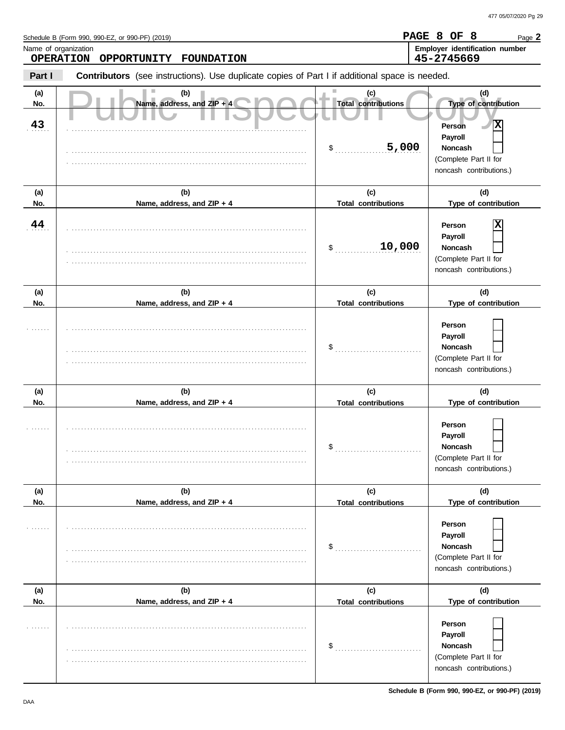**PAGE 8 OF 8**

Page **2**

Schedule B (Form 990, 990-EZ, or 990-PF) (2019)

Name, address, and ZIP + 4 S D C C Total contributions (c) (d)<br>Person X **Part I Type of contribution Person Payroll Noncash (a) (b) (c) (d) No. Name, address, and ZIP + 4 Type of contribution Person Payroll Noncash (a) (b) (c) (d) No. Name, address, and ZIP + 4 Type of contribution Person Payroll Noncash (a) (b) (c) (d)** No. No. Name, address, and ZIP + 4 **Total contributions** Type of contribution **Person Payroll Noncash** \$ . . . . . . . . . . . . . . . . . . . . . . . . . . . . (Complete Part II for noncash contributions.) \$ . . . . . . . . . . . . . . . . . . . . . . . . . . . . (Complete Part II for noncash contributions.)  $\frac{1}{2}$ (Complete Part II for noncash contributions.)  $\mathfrak s$ (Complete Part II for noncash contributions.)  $\mathfrak s$ (Complete Part II for noncash contributions.)  $\mathbb{S}$ (Complete Part II for noncash contributions.) **Contributors** (see instructions). Use duplicate copies of Part I if additional space is needed. **(a) (b) (c) (d) No. Name, address, and ZIP + 4 Total contributions Type of contribution Person Payroll Noncash (a) (b) (c) (d) No. Name, address, and ZIP + 4 Type of contribution Person Payroll Noncash (a) (b) (c) (d) No. Name, address, and ZIP + 4** Name of organization **Employer identification number Employer identification number**  $\frac{43}{1}$  $\frac{44}{1}$ . . . . . . . . . . . . . . . . . . . . . . . . . . . . . . . . . . . . . . . . . . . . . . . . . . . . . . . . . . . . . . . . . . . . . . . . . . . . . . . . . . . . . . . . . . . . . . . . . . . . . . . . . . . . . . . . . . . . . . . . . . . . . . . . . . . . . . . . . . . . . . . . . . . . . . . . . . . . . . . . . . . . . . . . . . . . . . . . . . . . . . . . . . . . . . . . . . . . . . . . . . . . . . . . . . . . . . . . . . . . . . . . . . . . . . . . . . . . . . . . . . . . . . . . . . . . . . . . . . . . . . . . . . . . . . . . . . . . . . . . . . . . . . . . . . . . . . . . . . . . . . . . . . . . . . . . . . . . . . . . . . . . . . . . . . . . . . . . . . . . . . . . . . . . . . . . . . . . . . . . . . . . . . . . . . . . . . . . . . . . . . . . . . . . . . . . . . . . . . . . . . . . . . . . . . . . . . . . . . . . . . . . . . . . . . . . . . . . . . . . . . . . . . . . . . . . . . . . . . . . . . . . . . . . . . . . . . . . . . . . . . . . . . . . . . . . . . . . . . . . . . . . . . . . . . . . . . . . . . . . . . . . . . . . . . . . . . . . . . . . . . . . . . . . . . . . . . . . . . . . . . . . . . . . . . . . . . . . . . . . . . . . . . . . . . . . . . . . . . . . . . . . . . . . . . . . . . . . . . . . . . . . . . . . . . . . . . . . . . . . . . . . . . . . . . . . . . . . . . . . . . . . . . . . . . . . . . . . . . . . . . . . . . . . . . . . . . . . . . . . . . . . . . . . . . . . . . . . . . . . . . . . . . . . . . . . . . . . . . . . . . . . . . . . . . . . . . . . . . . . . . . . . . . . . . . . . . . . . . . . . . . . . . . . . . . . . . . . . . . . . . . . . . . . . . . . . . . . . . . . . . . . . . . . . . . . . . . . . . . . . . . . . . . . . . . . . . . . . . . . . . . . . . . . . . . . . . . . . . . . . . . . . . . . . . . . . . . . . . . . . . . . . . . . . . . . . . . . . . . . . . . . . . . . . . . . . . . . . . . . . . . . . . . . . . . . . . . . . . . . . . . . . . . . . . . . . . . . . . . . . . . . . . . . . . . . . . . . . . . . . . . . . . . . . . . . . . . . . . . . . . . . . . . . . . . . . . . . . . . . . . . . . . . . . . . . . . . . . . . . . . . . . . . . . . . . . . . . . . . . . . . . . . . . . . . . . . . . . . . . . . . . . . . . . . . . . . . . . . . . . . . . . . . . . . . . . . . . . . . . . . . . . . . . . . . . . . . . . . . . . . . . . . . . . . . . . . . . . . . . . . . . . . . . . . . . . . . . . . . . . . . . . . . . . . . . . . . . . . . . . . . . . . . . . . . . . . . . . . . . . . . . . . . . . . . . . . . . . . . . . . . . . . . . . . . . . . . . . . . . . . . . . . . . . . . . . . . . . . . . . . . . . . . . . . . . . . . . . . . . . . . . . . . . . . . . . . . . . . . . . . . . . . . . . . . . . . . . . . . . . . . . . . . . . . . . . . . . . . . . . . . . . . . . . . . . . . . . . . . . . . . . . . . . . . . . . . **Total contributions Total contributions Total contributions Total contributions Total contributions OPERATION OPPORTUNITY FOUNDATION 45-2745669 5,000 X 10,000 X**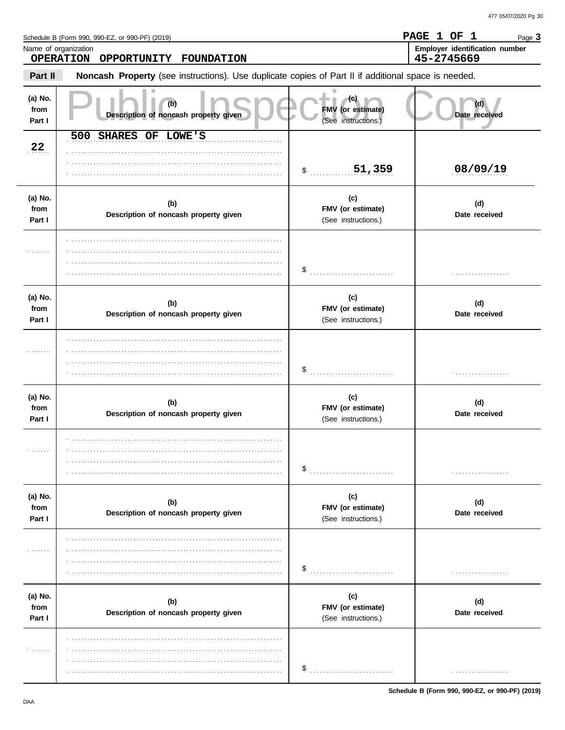Schedule B (Form 990, 990-EZ, or 990-PF) (2019)

PAGE 1 OF 1 Page 3 Employer identification number Name of organization OPPORTUNITY FOUNDATION 45-2745669 **OPERATION** Noncash Property (see instructions). Use duplicate copies of Part II if additional space is needed. Part II (a) No. (c)  $(b)$  $(d)$ FMV (or estimate) from Description of noncash property given Date\_received (See instructions.) Part I 500 SHARES OF LOWE'S  $22$  $$359$ 08/09/19 (a) No.  $(c)$  $(b)$  $(d)$ FMV (or estimate) from Description of noncash property given Date received Part I (See instructions.) a da adala . . . . . . . . . . . . . . . . . . (a) No.  $(c)$  $(b)$  $(d)$ FMV (or estimate) from Description of noncash property given Date received Part I (See instructions.) . . . . . . . . . . . . . . . . . . (a) No.  $(c)$  $(b)$  $(d)$ FMV (or estimate) from Description of noncash property given Date received Part I (See instructions.) . . . . . . .  $\sim$ (a) No.  $(c)$  $(d)$  $(b)$ from FMV (or estimate) Description of noncash property given Date received Part I (See instructions.) . . . . . . .  $\sim$ (a) No.  $(c)$  $(b)$  $(d)$ from FMV (or estimate) Description of noncash property given Date received Part I (See instructions.) . . . . . . . . . . . . . . . . .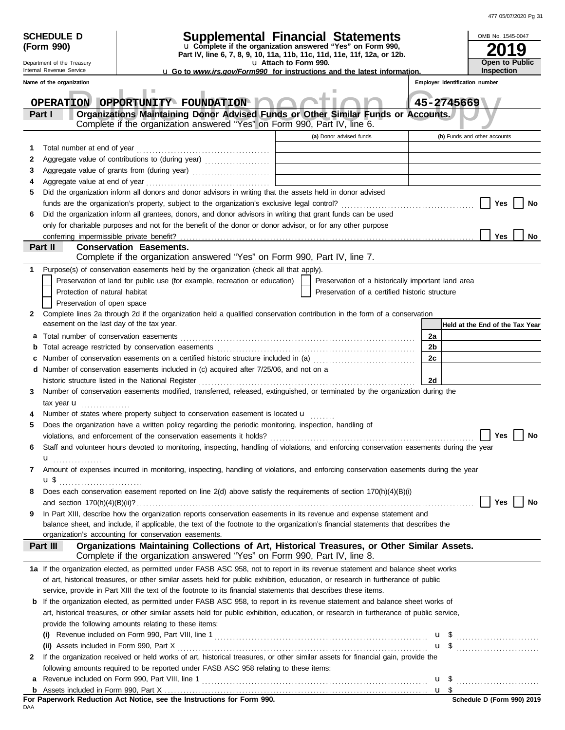| 477 05/07/2020 Pg 31 |  |
|----------------------|--|
|                      |  |

|        | <b>SCHEDULE D</b>                         | Supplemental Financial Statements                                                                                                                                                          |                      |                                | OMB No. 1545-0047                                        |
|--------|-------------------------------------------|--------------------------------------------------------------------------------------------------------------------------------------------------------------------------------------------|----------------------|--------------------------------|----------------------------------------------------------|
|        | (Form 990)                                | u Complete if the organization answered "Yes" on Form 990,                                                                                                                                 |                      |                                |                                                          |
|        | Department of the Treasury                | Part IV, line 6, 7, 8, 9, 10, 11a, 11b, 11c, 11d, 11e, 11f, 12a, or 12b.<br>La Attach to Form 990.                                                                                         |                      |                                | Open to Public                                           |
|        | Internal Revenue Service                  | <b>u</b> Go to www.irs.gov/Form990 for instructions and the latest information.                                                                                                            |                      |                                | Inspection                                               |
|        | Name of the organization                  |                                                                                                                                                                                            |                      | Employer identification number |                                                          |
|        |                                           | OPERATION OPPORTUNITY FOUNDATION                                                                                                                                                           |                      | 45-2745669                     |                                                          |
|        | Part I                                    | Organizations Maintaining Donor Advised Funds or Other Similar Funds or Accounts.                                                                                                          |                      |                                |                                                          |
|        |                                           | Complete if the organization answered "Yes" on Form 990, Part IV, line 6.                                                                                                                  |                      |                                |                                                          |
|        |                                           | (a) Donor advised funds                                                                                                                                                                    |                      |                                | (b) Funds and other accounts                             |
| 1<br>2 |                                           |                                                                                                                                                                                            |                      |                                |                                                          |
| 3      |                                           |                                                                                                                                                                                            |                      |                                |                                                          |
| 4      |                                           |                                                                                                                                                                                            |                      |                                |                                                          |
| 5      |                                           | Did the organization inform all donors and donor advisors in writing that the assets held in donor advised                                                                                 |                      |                                |                                                          |
|        |                                           |                                                                                                                                                                                            |                      |                                | Yes<br>No                                                |
| 6      |                                           | Did the organization inform all grantees, donors, and donor advisors in writing that grant funds can be used                                                                               |                      |                                |                                                          |
|        |                                           | only for charitable purposes and not for the benefit of the donor or donor advisor, or for any other purpose                                                                               |                      |                                |                                                          |
|        | conferring impermissible private benefit? |                                                                                                                                                                                            |                      |                                | <b>Yes</b><br>No                                         |
|        | Part II                                   | <b>Conservation Easements.</b>                                                                                                                                                             |                      |                                |                                                          |
|        |                                           | Complete if the organization answered "Yes" on Form 990, Part IV, line 7.                                                                                                                  |                      |                                |                                                          |
| 1.     |                                           | Purpose(s) of conservation easements held by the organization (check all that apply).                                                                                                      |                      |                                |                                                          |
|        |                                           | Preservation of land for public use (for example, recreation or education)<br>Preservation of a historically important land area                                                           |                      |                                |                                                          |
|        | Protection of natural habitat             | Preservation of a certified historic structure                                                                                                                                             |                      |                                |                                                          |
|        | Preservation of open space                |                                                                                                                                                                                            |                      |                                |                                                          |
| 2      | easement on the last day of the tax year. | Complete lines 2a through 2d if the organization held a qualified conservation contribution in the form of a conservation                                                                  |                      |                                |                                                          |
|        |                                           |                                                                                                                                                                                            |                      |                                | Held at the End of the Tax Year                          |
| а      |                                           |                                                                                                                                                                                            | 2a<br>2 <sub>b</sub> |                                |                                                          |
|        |                                           | Number of conservation easements on a certified historic structure included in (a) [[[[[ [ [ ]]]                                                                                           | 2c                   |                                |                                                          |
|        |                                           | d Number of conservation easements included in (c) acquired after 7/25/06, and not on a                                                                                                    |                      |                                |                                                          |
|        |                                           | historic structure listed in the National Register                                                                                                                                         | 2d                   |                                |                                                          |
| 3      |                                           | Number of conservation easements modified, transferred, released, extinguished, or terminated by the organization during the                                                               |                      |                                |                                                          |
|        | tax year $\mathbf u$                      |                                                                                                                                                                                            |                      |                                |                                                          |
|        |                                           | Number of states where property subject to conservation easement is located u                                                                                                              |                      |                                |                                                          |
| 5      |                                           | Does the organization have a written policy regarding the periodic monitoring, inspection, handling of                                                                                     |                      |                                |                                                          |
|        |                                           |                                                                                                                                                                                            |                      |                                | $\overline{\phantom{a}}$ Yes $\overline{\phantom{a}}$ No |
| 6      |                                           | Staff and volunteer hours devoted to monitoring, inspecting, handling of violations, and enforcing conservation easements during the year                                                  |                      |                                |                                                          |
|        | $\mathbf{u}$                              |                                                                                                                                                                                            |                      |                                |                                                          |
| 7      |                                           | Amount of expenses incurred in monitoring, inspecting, handling of violations, and enforcing conservation easements during the year                                                        |                      |                                |                                                          |
|        | u\$                                       |                                                                                                                                                                                            |                      |                                |                                                          |
| 8      |                                           | Does each conservation easement reported on line 2(d) above satisfy the requirements of section 170(h)(4)(B)(i)                                                                            |                      |                                |                                                          |
|        |                                           |                                                                                                                                                                                            |                      |                                | Yes<br>No                                                |
| 9      |                                           | In Part XIII, describe how the organization reports conservation easements in its revenue and expense statement and                                                                        |                      |                                |                                                          |
|        |                                           | balance sheet, and include, if applicable, the text of the footnote to the organization's financial statements that describes the<br>organization's accounting for conservation easements. |                      |                                |                                                          |
|        | Part III                                  | Organizations Maintaining Collections of Art, Historical Treasures, or Other Similar Assets.                                                                                               |                      |                                |                                                          |
|        |                                           | Complete if the organization answered "Yes" on Form 990, Part IV, line 8.                                                                                                                  |                      |                                |                                                          |
|        |                                           | 1a If the organization elected, as permitted under FASB ASC 958, not to report in its revenue statement and balance sheet works                                                            |                      |                                |                                                          |
|        |                                           | of art, historical treasures, or other similar assets held for public exhibition, education, or research in furtherance of public                                                          |                      |                                |                                                          |
|        |                                           | service, provide in Part XIII the text of the footnote to its financial statements that describes these items.                                                                             |                      |                                |                                                          |
|        |                                           | <b>b</b> If the organization elected, as permitted under FASB ASC 958, to report in its revenue statement and balance sheet works of                                                       |                      |                                |                                                          |
|        |                                           | art, historical treasures, or other similar assets held for public exhibition, education, or research in furtherance of public service,                                                    |                      |                                |                                                          |
|        |                                           | provide the following amounts relating to these items:                                                                                                                                     |                      |                                |                                                          |
|        |                                           |                                                                                                                                                                                            |                      |                                |                                                          |
|        | (ii) Assets included in Form 990, Part X  |                                                                                                                                                                                            |                      |                                | $\mathbf{u}$ \$ $\ldots$                                 |
| 2      |                                           | If the organization received or held works of art, historical treasures, or other similar assets for financial gain, provide the                                                           |                      |                                |                                                          |
|        |                                           | following amounts required to be reported under FASB ASC 958 relating to these items:                                                                                                      |                      |                                |                                                          |
| a      |                                           |                                                                                                                                                                                            |                      |                                | $\mathbf{u}$ \$                                          |
| b      |                                           |                                                                                                                                                                                            |                      | u \$                           |                                                          |
| DAA    |                                           | For Paperwork Reduction Act Notice, see the Instructions for Form 990.                                                                                                                     |                      |                                | Schedule D (Form 990) 2019                               |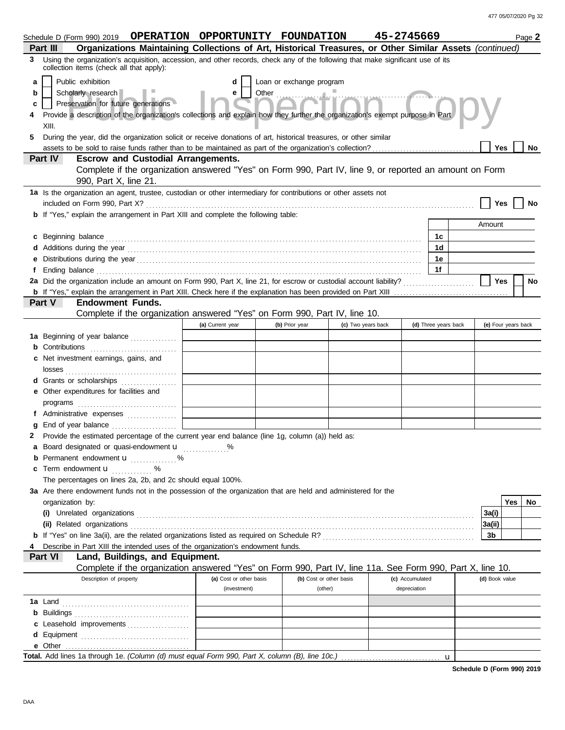| Schedule D (Form 990) 2019 OPERATION OPPORTUNITY FOUNDATION                                                                                                                                                                                                                                                                                          |                                       |                          |                    | 45-2745669           | Page 2              |
|------------------------------------------------------------------------------------------------------------------------------------------------------------------------------------------------------------------------------------------------------------------------------------------------------------------------------------------------------|---------------------------------------|--------------------------|--------------------|----------------------|---------------------|
| Organizations Maintaining Collections of Art, Historical Treasures, or Other Similar Assets (continued)<br>Part III                                                                                                                                                                                                                                  |                                       |                          |                    |                      |                     |
| Using the organization's acquisition, accession, and other records, check any of the following that make significant use of its<br>collection items (check all that apply):                                                                                                                                                                          |                                       |                          |                    |                      |                     |
| Public exhibition<br>a                                                                                                                                                                                                                                                                                                                               | d                                     | Loan or exchange program |                    |                      |                     |
| Scholarly research<br>b                                                                                                                                                                                                                                                                                                                              | е                                     |                          |                    |                      |                     |
| Preservation for future generations<br>c                                                                                                                                                                                                                                                                                                             |                                       |                          |                    |                      |                     |
| Provide a description of the organization's collections and explain how they further the organization's exempt purpose in Part                                                                                                                                                                                                                       |                                       |                          |                    |                      |                     |
| XIII.                                                                                                                                                                                                                                                                                                                                                |                                       |                          |                    |                      |                     |
| During the year, did the organization solicit or receive donations of art, historical treasures, or other similar                                                                                                                                                                                                                                    |                                       |                          |                    |                      |                     |
| assets to be sold to raise funds rather than to be maintained as part of the organization's collection?                                                                                                                                                                                                                                              |                                       |                          |                    |                      | Yes<br>No           |
| Part IV<br><b>Escrow and Custodial Arrangements.</b>                                                                                                                                                                                                                                                                                                 |                                       |                          |                    |                      |                     |
| Complete if the organization answered "Yes" on Form 990, Part IV, line 9, or reported an amount on Form<br>990, Part X, line 21.                                                                                                                                                                                                                     |                                       |                          |                    |                      |                     |
| 1a Is the organization an agent, trustee, custodian or other intermediary for contributions or other assets not                                                                                                                                                                                                                                      |                                       |                          |                    |                      |                     |
|                                                                                                                                                                                                                                                                                                                                                      |                                       |                          |                    |                      | Yes<br>No           |
| <b>b</b> If "Yes," explain the arrangement in Part XIII and complete the following table:                                                                                                                                                                                                                                                            |                                       |                          |                    |                      |                     |
|                                                                                                                                                                                                                                                                                                                                                      |                                       |                          |                    |                      | Amount              |
| c Beginning balance                                                                                                                                                                                                                                                                                                                                  |                                       |                          |                    | 1c                   |                     |
|                                                                                                                                                                                                                                                                                                                                                      |                                       |                          |                    | 1 <sub>d</sub>       |                     |
| Additions during the year contact the contact of the year contact the year contact the year contact the year contact the year contact the year contact the year contact the year contact the year of year and year and year an                                                                                                                       |                                       |                          |                    | 1e                   |                     |
|                                                                                                                                                                                                                                                                                                                                                      |                                       |                          |                    | 1f                   |                     |
| Ending balance contains and account of the contact of the contact of the contact of the contact of the contact of the contact of the contact of the contact of the contact of the contact of the contact of the contact of the<br>2a Did the organization include an amount on Form 990, Part X, line 21, for escrow or custodial account liability? |                                       |                          |                    |                      | Yes<br>No           |
|                                                                                                                                                                                                                                                                                                                                                      |                                       |                          |                    |                      |                     |
| Part V<br><b>Endowment Funds.</b>                                                                                                                                                                                                                                                                                                                    |                                       |                          |                    |                      |                     |
| Complete if the organization answered "Yes" on Form 990, Part IV, line 10.                                                                                                                                                                                                                                                                           |                                       |                          |                    |                      |                     |
|                                                                                                                                                                                                                                                                                                                                                      | (a) Current year                      | (b) Prior year           | (c) Two years back | (d) Three years back | (e) Four years back |
| 1a Beginning of year balance                                                                                                                                                                                                                                                                                                                         | <u> 1980 - John Barn Barn, mars a</u> |                          |                    |                      |                     |
| <b>b</b> Contributions <b>contributions</b>                                                                                                                                                                                                                                                                                                          |                                       |                          |                    |                      |                     |
| Net investment earnings, gains, and<br>c                                                                                                                                                                                                                                                                                                             |                                       |                          |                    |                      |                     |
| losses                                                                                                                                                                                                                                                                                                                                               |                                       |                          |                    |                      |                     |
| <b>d</b> Grants or scholarships<br>.                                                                                                                                                                                                                                                                                                                 |                                       |                          |                    |                      |                     |
| e Other expenditures for facilities and                                                                                                                                                                                                                                                                                                              |                                       |                          |                    |                      |                     |
| programs $\Box$                                                                                                                                                                                                                                                                                                                                      |                                       |                          |                    |                      |                     |
|                                                                                                                                                                                                                                                                                                                                                      |                                       |                          |                    |                      |                     |
| End of year balance <i>[[[[[[[[[[[[[[[[[[[[[[[[[[[[[]]]</i> ]]]                                                                                                                                                                                                                                                                                      |                                       |                          |                    |                      |                     |
| Provide the estimated percentage of the current year end balance (line 1g, column (a)) held as:                                                                                                                                                                                                                                                      |                                       |                          |                    |                      |                     |
| Board designated or quasi-endowment <b>u</b> %                                                                                                                                                                                                                                                                                                       |                                       |                          |                    |                      |                     |
| <b>b</b> Permanent endowment <b>u</b> %                                                                                                                                                                                                                                                                                                              |                                       |                          |                    |                      |                     |
| Term endowment <b>u</b><br>$\%$<br>c                                                                                                                                                                                                                                                                                                                 |                                       |                          |                    |                      |                     |
| The percentages on lines 2a, 2b, and 2c should equal 100%.                                                                                                                                                                                                                                                                                           |                                       |                          |                    |                      |                     |
| 3a Are there endowment funds not in the possession of the organization that are held and administered for the                                                                                                                                                                                                                                        |                                       |                          |                    |                      |                     |
| organization by:                                                                                                                                                                                                                                                                                                                                     |                                       |                          |                    |                      | Yes<br>No           |
|                                                                                                                                                                                                                                                                                                                                                      |                                       |                          |                    |                      | 3a(i)               |
|                                                                                                                                                                                                                                                                                                                                                      |                                       |                          |                    |                      | 3a(ii)              |
|                                                                                                                                                                                                                                                                                                                                                      |                                       |                          |                    |                      | 3 <sub>b</sub>      |
| Describe in Part XIII the intended uses of the organization's endowment funds.                                                                                                                                                                                                                                                                       |                                       |                          |                    |                      |                     |
| Part VI<br>Land, Buildings, and Equipment.                                                                                                                                                                                                                                                                                                           |                                       |                          |                    |                      |                     |
| Complete if the organization answered "Yes" on Form 990, Part IV, line 11a. See Form 990, Part X, line 10.                                                                                                                                                                                                                                           |                                       |                          |                    |                      |                     |
| Description of property                                                                                                                                                                                                                                                                                                                              | (a) Cost or other basis               | (b) Cost or other basis  |                    | (c) Accumulated      | (d) Book value      |
|                                                                                                                                                                                                                                                                                                                                                      | (investment)                          | (other)                  |                    | depreciation         |                     |
| <b>1a</b> Land                                                                                                                                                                                                                                                                                                                                       |                                       |                          |                    |                      |                     |
|                                                                                                                                                                                                                                                                                                                                                      |                                       |                          |                    |                      |                     |
| c Leasehold improvements                                                                                                                                                                                                                                                                                                                             |                                       |                          |                    |                      |                     |
|                                                                                                                                                                                                                                                                                                                                                      |                                       |                          |                    |                      |                     |
|                                                                                                                                                                                                                                                                                                                                                      |                                       |                          |                    |                      |                     |
|                                                                                                                                                                                                                                                                                                                                                      |                                       |                          |                    |                      |                     |

**Schedule D (Form 990) 2019**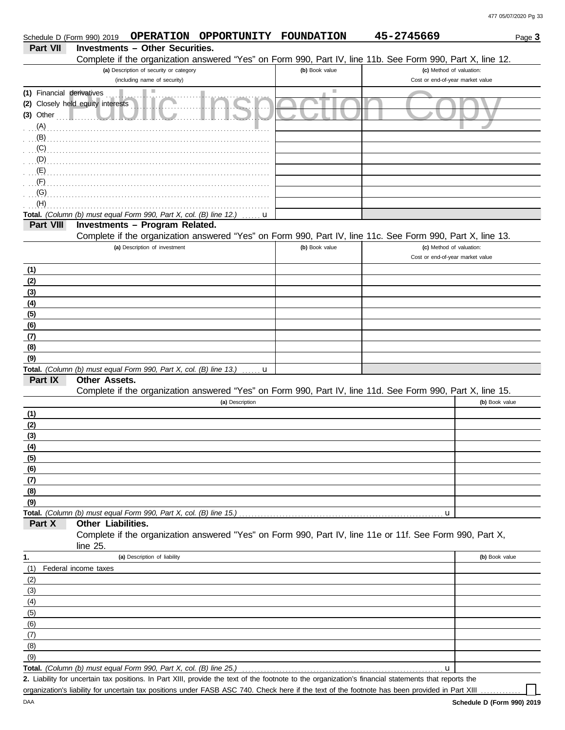| Schedule D (Form 990) 2019 |                                   |                                                                                                      | OPERATION OPPORTUNITY FOUNDATION |                | 45-2745669                                                                                                                                           | Page 3         |
|----------------------------|-----------------------------------|------------------------------------------------------------------------------------------------------|----------------------------------|----------------|------------------------------------------------------------------------------------------------------------------------------------------------------|----------------|
| <b>Part VII</b>            |                                   | <b>Investments - Other Securities.</b>                                                               |                                  |                |                                                                                                                                                      |                |
|                            |                                   |                                                                                                      |                                  |                | Complete if the organization answered "Yes" on Form 990, Part IV, line 11b. See Form 990, Part X, line 12.                                           |                |
|                            |                                   | (a) Description of security or category                                                              |                                  | (b) Book value | (c) Method of valuation:<br>Cost or end-of-year market value                                                                                         |                |
| (1) Financial derivatives  |                                   | (including name of security)                                                                         |                                  |                |                                                                                                                                                      |                |
|                            | (2) Closely held equity interests |                                                                                                      |                                  |                |                                                                                                                                                      |                |
| $(3)$ Other                |                                   |                                                                                                      |                                  |                |                                                                                                                                                      |                |
| (A)                        |                                   |                                                                                                      |                                  |                |                                                                                                                                                      |                |
| (B)                        |                                   |                                                                                                      |                                  |                |                                                                                                                                                      |                |
| (C)                        |                                   |                                                                                                      |                                  |                |                                                                                                                                                      |                |
| (D)                        |                                   |                                                                                                      |                                  |                |                                                                                                                                                      |                |
| (E)                        |                                   |                                                                                                      |                                  |                |                                                                                                                                                      |                |
| (F)                        |                                   |                                                                                                      |                                  |                |                                                                                                                                                      |                |
| (G)                        |                                   |                                                                                                      |                                  |                |                                                                                                                                                      |                |
| (H)                        |                                   |                                                                                                      |                                  |                |                                                                                                                                                      |                |
| Part VIII                  |                                   | Total. (Column (b) must equal Form 990, Part X, col. (B) line 12.)<br>Investments - Program Related. | u                                |                |                                                                                                                                                      |                |
|                            |                                   |                                                                                                      |                                  |                | Complete if the organization answered "Yes" on Form 990, Part IV, line 11c. See Form 990, Part X, line 13.                                           |                |
|                            |                                   | (a) Description of investment                                                                        |                                  | (b) Book value | (c) Method of valuation:                                                                                                                             |                |
|                            |                                   |                                                                                                      |                                  |                | Cost or end-of-year market value                                                                                                                     |                |
| (1)                        |                                   |                                                                                                      |                                  |                |                                                                                                                                                      |                |
| (2)                        |                                   |                                                                                                      |                                  |                |                                                                                                                                                      |                |
| (3)                        |                                   |                                                                                                      |                                  |                |                                                                                                                                                      |                |
| (4)                        |                                   |                                                                                                      |                                  |                |                                                                                                                                                      |                |
| (5)                        |                                   |                                                                                                      |                                  |                |                                                                                                                                                      |                |
| (6)                        |                                   |                                                                                                      |                                  |                |                                                                                                                                                      |                |
| (7)                        |                                   |                                                                                                      |                                  |                |                                                                                                                                                      |                |
| (8)                        |                                   |                                                                                                      |                                  |                |                                                                                                                                                      |                |
| (9)                        |                                   |                                                                                                      |                                  |                |                                                                                                                                                      |                |
| Part IX                    | Other Assets.                     | Total. (Column (b) must equal Form 990, Part X, col. (B) line 13.)                                   | u                                |                |                                                                                                                                                      |                |
|                            |                                   |                                                                                                      |                                  |                | Complete if the organization answered "Yes" on Form 990, Part IV, line 11d. See Form 990, Part X, line 15.                                           |                |
|                            |                                   |                                                                                                      | (a) Description                  |                |                                                                                                                                                      | (b) Book value |
| (1)                        |                                   |                                                                                                      |                                  |                |                                                                                                                                                      |                |
| (2)                        |                                   |                                                                                                      |                                  |                |                                                                                                                                                      |                |
| (3)                        |                                   |                                                                                                      |                                  |                |                                                                                                                                                      |                |
| (4)                        |                                   |                                                                                                      |                                  |                |                                                                                                                                                      |                |
| (5)                        |                                   |                                                                                                      |                                  |                |                                                                                                                                                      |                |
| (6)                        |                                   |                                                                                                      |                                  |                |                                                                                                                                                      |                |
| (7)                        |                                   |                                                                                                      |                                  |                |                                                                                                                                                      |                |
| (8)<br>(9)                 |                                   |                                                                                                      |                                  |                |                                                                                                                                                      |                |
|                            |                                   | Total. (Column (b) must equal Form 990, Part X, col. (B) line 15.)                                   |                                  |                | u                                                                                                                                                    |                |
| Part X                     | Other Liabilities.                |                                                                                                      |                                  |                |                                                                                                                                                      |                |
|                            |                                   |                                                                                                      |                                  |                | Complete if the organization answered "Yes" on Form 990, Part IV, line 11e or 11f. See Form 990, Part X,                                             |                |
|                            | line $25$ .                       |                                                                                                      |                                  |                |                                                                                                                                                      |                |
| 1.                         |                                   | (a) Description of liability                                                                         |                                  |                |                                                                                                                                                      | (b) Book value |
| (1)                        | Federal income taxes              |                                                                                                      |                                  |                |                                                                                                                                                      |                |
| (2)                        |                                   |                                                                                                      |                                  |                |                                                                                                                                                      |                |
| (3)                        |                                   |                                                                                                      |                                  |                |                                                                                                                                                      |                |
| (4)                        |                                   |                                                                                                      |                                  |                |                                                                                                                                                      |                |
| (5)                        |                                   |                                                                                                      |                                  |                |                                                                                                                                                      |                |
| (6)<br>(7)                 |                                   |                                                                                                      |                                  |                |                                                                                                                                                      |                |
| (8)                        |                                   |                                                                                                      |                                  |                |                                                                                                                                                      |                |
| (9)                        |                                   |                                                                                                      |                                  |                |                                                                                                                                                      |                |
|                            |                                   | Total. (Column (b) must equal Form 990, Part X, col. (B) line 25.)                                   |                                  |                | u                                                                                                                                                    |                |
|                            |                                   |                                                                                                      |                                  |                | 2. Liability for uncertain tax positions. In Part XIII, provide the text of the footnote to the organization's financial statements that reports the |                |
|                            |                                   |                                                                                                      |                                  |                | organization's liability for uncertain tax positions under FASB ASC 740. Check here if the text of the footnote has been provided in Part XIII       |                |

**Schedule D (Form 990) 2019**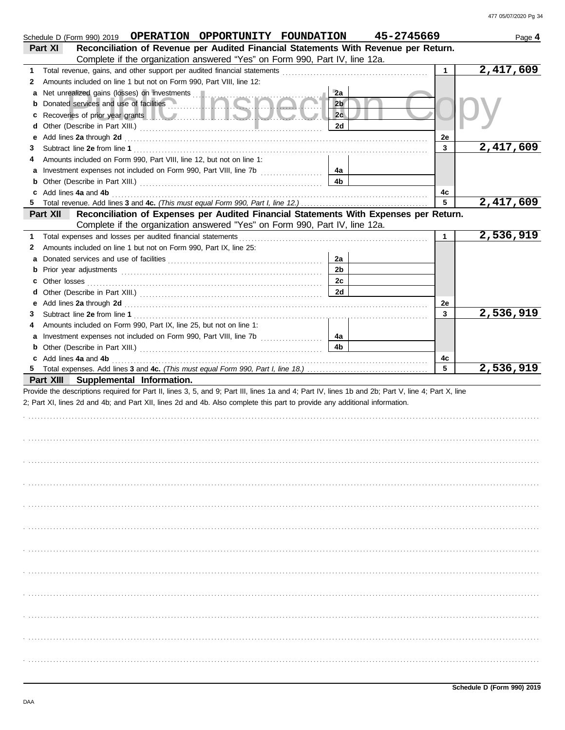| Schedule D (Form 990) 2019  OPERATION  OPPORTUNITY  FOUNDATION                                                                                                                                                                |                      | 45-2745669   | Page 4                 |
|-------------------------------------------------------------------------------------------------------------------------------------------------------------------------------------------------------------------------------|----------------------|--------------|------------------------|
| Reconciliation of Revenue per Audited Financial Statements With Revenue per Return.<br>Part XI                                                                                                                                |                      |              |                        |
| Complete if the organization answered "Yes" on Form 990, Part IV, line 12a.                                                                                                                                                   |                      |              |                        |
| 1                                                                                                                                                                                                                             |                      | $\mathbf{1}$ | 2,417,609              |
| Amounts included on line 1 but not on Form 990, Part VIII, line 12:<br>2                                                                                                                                                      |                      |              |                        |
|                                                                                                                                                                                                                               | 2a                   |              |                        |
| b                                                                                                                                                                                                                             | 2 <sub>b</sub>       |              |                        |
| Recoveries of prior year grants <b>All Constitution</b> and the set of prior year grants <b>All Constitution</b>                                                                                                              | 2c                   |              |                        |
|                                                                                                                                                                                                                               | 2d                   |              |                        |
| Add lines 2a through 2d [11] Additional Property and Property and Property and Property and Property and Property and Property and Property and Property and Property and Property and Property and Property and Property and |                      | 2e           |                        |
| 3                                                                                                                                                                                                                             |                      | 3            | 2,417,609              |
| Amounts included on Form 990, Part VIII, line 12, but not on line 1:<br>4                                                                                                                                                     |                      |              |                        |
|                                                                                                                                                                                                                               | 4a                   |              |                        |
|                                                                                                                                                                                                                               | 4b                   |              |                        |
| Add lines 4a and 4b<br>c                                                                                                                                                                                                      |                      | 4c           |                        |
|                                                                                                                                                                                                                               |                      | 5            | 2,417,609              |
| Reconciliation of Expenses per Audited Financial Statements With Expenses per Return.<br>Part XII                                                                                                                             |                      |              |                        |
| Complete if the organization answered "Yes" on Form 990, Part IV, line 12a.                                                                                                                                                   |                      |              |                        |
| Total expenses and losses per audited financial statements<br>1                                                                                                                                                               |                      | $\mathbf{1}$ | $\overline{2,}536,919$ |
| Amounts included on line 1 but not on Form 990, Part IX, line 25:<br>2                                                                                                                                                        |                      |              |                        |
|                                                                                                                                                                                                                               | 2a                   |              |                        |
| b                                                                                                                                                                                                                             | 2 <sub>b</sub>       |              |                        |
|                                                                                                                                                                                                                               | 2c                   |              |                        |
|                                                                                                                                                                                                                               | 2d                   |              |                        |
|                                                                                                                                                                                                                               |                      | 2e           | 2,536,919              |
| 3                                                                                                                                                                                                                             |                      | 3            |                        |
| Amounts included on Form 990, Part IX, line 25, but not on line 1:<br>4                                                                                                                                                       |                      |              |                        |
|                                                                                                                                                                                                                               | 4a<br>4 <sub>b</sub> |              |                        |
|                                                                                                                                                                                                                               |                      |              |                        |
| c Add lines 4a and 4b                                                                                                                                                                                                         |                      | 4c<br>5      | 2,536,919              |
| Part XIII Supplemental Information.                                                                                                                                                                                           |                      |              |                        |
| Provide the descriptions required for Part II, lines 3, 5, and 9; Part III, lines 1a and 4; Part IV, lines 1b and 2b; Part V, line 4; Part X, line                                                                            |                      |              |                        |
| 2; Part XI, lines 2d and 4b; and Part XII, lines 2d and 4b. Also complete this part to provide any additional information.                                                                                                    |                      |              |                        |
|                                                                                                                                                                                                                               |                      |              |                        |
|                                                                                                                                                                                                                               |                      |              |                        |
|                                                                                                                                                                                                                               |                      |              |                        |
|                                                                                                                                                                                                                               |                      |              |                        |
|                                                                                                                                                                                                                               |                      |              |                        |
|                                                                                                                                                                                                                               |                      |              |                        |
|                                                                                                                                                                                                                               |                      |              |                        |
|                                                                                                                                                                                                                               |                      |              |                        |
|                                                                                                                                                                                                                               |                      |              |                        |
|                                                                                                                                                                                                                               |                      |              |                        |
|                                                                                                                                                                                                                               |                      |              |                        |
|                                                                                                                                                                                                                               |                      |              |                        |
|                                                                                                                                                                                                                               |                      |              |                        |
|                                                                                                                                                                                                                               |                      |              |                        |
|                                                                                                                                                                                                                               |                      |              |                        |
|                                                                                                                                                                                                                               |                      |              |                        |
|                                                                                                                                                                                                                               |                      |              |                        |
|                                                                                                                                                                                                                               |                      |              |                        |
|                                                                                                                                                                                                                               |                      |              |                        |
|                                                                                                                                                                                                                               |                      |              |                        |
|                                                                                                                                                                                                                               |                      |              |                        |
|                                                                                                                                                                                                                               |                      |              |                        |
|                                                                                                                                                                                                                               |                      |              |                        |
|                                                                                                                                                                                                                               |                      |              |                        |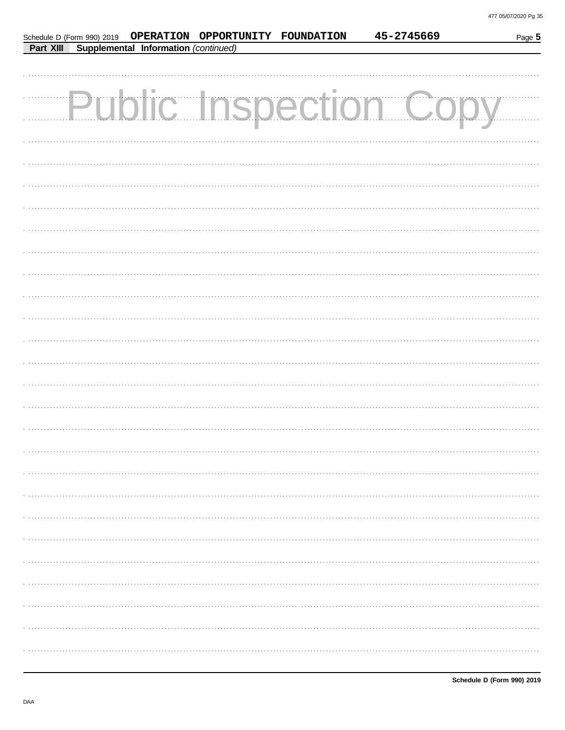|                  |                                      | Schedule D (Form 990) 2019  OPERATION  OPPORTUNITY  FOUNDATION | 45-2745669            | Page 5 |
|------------------|--------------------------------------|----------------------------------------------------------------|-----------------------|--------|
| <b>Part XIII</b> | Supplemental Information (continued) |                                                                |                       |        |
|                  |                                      |                                                                |                       |        |
|                  |                                      |                                                                | Public Inspection Cop |        |
|                  |                                      |                                                                |                       |        |
|                  |                                      |                                                                |                       |        |
|                  |                                      |                                                                |                       |        |
|                  |                                      |                                                                |                       |        |
|                  |                                      |                                                                |                       |        |
|                  |                                      |                                                                |                       |        |
|                  |                                      |                                                                |                       |        |
|                  |                                      |                                                                |                       |        |
|                  |                                      |                                                                |                       |        |
|                  |                                      |                                                                |                       |        |
|                  |                                      |                                                                |                       |        |
|                  |                                      |                                                                |                       |        |
|                  |                                      |                                                                |                       |        |
|                  |                                      |                                                                |                       |        |
|                  |                                      |                                                                |                       |        |
|                  |                                      |                                                                |                       |        |
|                  |                                      |                                                                |                       |        |
|                  |                                      |                                                                |                       |        |
|                  |                                      |                                                                |                       |        |
|                  |                                      |                                                                |                       |        |
|                  |                                      |                                                                |                       |        |
|                  |                                      |                                                                |                       |        |
|                  |                                      |                                                                |                       |        |
|                  |                                      |                                                                |                       |        |
|                  |                                      |                                                                |                       |        |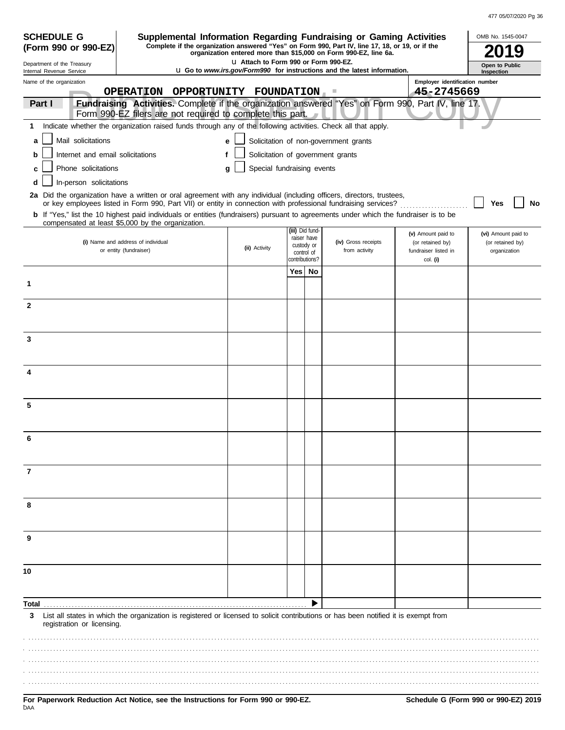| <b>SCHEDULE G</b>                                                                        |                                  | Supplemental Information Regarding Fundraising or Gaming Activities<br>Complete if the organization answered "Yes" on Form 990, Part IV, line 17, 18, or 19, or if the |                                                            |               |                            |     |                              | OMB No. 1545-0047                                                                                                                                                                                                                        |                                  |                              |
|------------------------------------------------------------------------------------------|----------------------------------|------------------------------------------------------------------------------------------------------------------------------------------------------------------------|------------------------------------------------------------|---------------|----------------------------|-----|------------------------------|------------------------------------------------------------------------------------------------------------------------------------------------------------------------------------------------------------------------------------------|----------------------------------|------------------------------|
| (Form 990 or 990-EZ)<br>organization entered more than \$15,000 on Form 990-EZ, line 6a. |                                  |                                                                                                                                                                        |                                                            |               |                            |     |                              | 2019                                                                                                                                                                                                                                     |                                  |                              |
| Department of the Treasury<br>Internal Revenue Service                                   |                                  |                                                                                                                                                                        |                                                            |               |                            |     |                              | LI Attach to Form 990 or Form 990-EZ.<br><b>u</b> Go to <i>www.irs.gov/Form990</i> for instructions and the latest information.                                                                                                          |                                  | Open to Public<br>Inspection |
| Name of the organization                                                                 |                                  |                                                                                                                                                                        |                                                            |               |                            |     |                              |                                                                                                                                                                                                                                          | Employer identification number   |                              |
|                                                                                          |                                  | <b>OPERATION</b>                                                                                                                                                       | OPPORTUNITY FOUNDATION                                     |               |                            |     |                              |                                                                                                                                                                                                                                          | 45-2745669                       |                              |
| Part I                                                                                   |                                  |                                                                                                                                                                        | Form 990-EZ filers are not required to complete this part. |               |                            |     |                              | Fundraising Activities. Complete if the organization answered "Yes" on Form 990, Part IV, line 17.                                                                                                                                       |                                  |                              |
| 1                                                                                        |                                  |                                                                                                                                                                        |                                                            |               |                            |     |                              | Indicate whether the organization raised funds through any of the following activities. Check all that apply.                                                                                                                            |                                  |                              |
| a                                                                                        | Mail solicitations               |                                                                                                                                                                        |                                                            | e             |                            |     |                              | Solicitation of non-government grants                                                                                                                                                                                                    |                                  |                              |
| b                                                                                        | Internet and email solicitations |                                                                                                                                                                        | f                                                          |               |                            |     |                              | Solicitation of government grants                                                                                                                                                                                                        |                                  |                              |
| c                                                                                        | Phone solicitations              |                                                                                                                                                                        |                                                            | g             | Special fundraising events |     |                              |                                                                                                                                                                                                                                          |                                  |                              |
| d                                                                                        | In-person solicitations          |                                                                                                                                                                        |                                                            |               |                            |     |                              |                                                                                                                                                                                                                                          |                                  |                              |
|                                                                                          |                                  |                                                                                                                                                                        |                                                            |               |                            |     |                              | 2a Did the organization have a written or oral agreement with any individual (including officers, directors, trustees,<br>or key employees listed in Form 990, Part VII) or entity in connection with professional fundraising services? |                                  | No<br>Yes                    |
|                                                                                          |                                  |                                                                                                                                                                        |                                                            |               |                            |     |                              | b If "Yes," list the 10 highest paid individuals or entities (fundraisers) pursuant to agreements under which the fundraiser is to be                                                                                                    |                                  |                              |
|                                                                                          |                                  | compensated at least \$5,000 by the organization.                                                                                                                      |                                                            |               |                            |     | (iii) Did fund-              |                                                                                                                                                                                                                                          | (v) Amount paid to               | (vi) Amount paid to          |
|                                                                                          |                                  | (i) Name and address of individual                                                                                                                                     |                                                            |               |                            |     | raiser have<br>custody or    | (iv) Gross receipts                                                                                                                                                                                                                      | (or retained by)                 | (or retained by)             |
|                                                                                          |                                  | or entity (fundraiser)                                                                                                                                                 |                                                            | (ii) Activity |                            |     | control of<br>contributions? | from activity                                                                                                                                                                                                                            | fundraiser listed in<br>col. (i) | organization                 |
|                                                                                          |                                  |                                                                                                                                                                        |                                                            |               |                            | Yes | No                           |                                                                                                                                                                                                                                          |                                  |                              |
| 1                                                                                        |                                  |                                                                                                                                                                        |                                                            |               |                            |     |                              |                                                                                                                                                                                                                                          |                                  |                              |
| $\mathbf{2}$                                                                             |                                  |                                                                                                                                                                        |                                                            |               |                            |     |                              |                                                                                                                                                                                                                                          |                                  |                              |
|                                                                                          |                                  |                                                                                                                                                                        |                                                            |               |                            |     |                              |                                                                                                                                                                                                                                          |                                  |                              |
| 3                                                                                        |                                  |                                                                                                                                                                        |                                                            |               |                            |     |                              |                                                                                                                                                                                                                                          |                                  |                              |
|                                                                                          |                                  |                                                                                                                                                                        |                                                            |               |                            |     |                              |                                                                                                                                                                                                                                          |                                  |                              |
|                                                                                          |                                  |                                                                                                                                                                        |                                                            |               |                            |     |                              |                                                                                                                                                                                                                                          |                                  |                              |
| 4                                                                                        |                                  |                                                                                                                                                                        |                                                            |               |                            |     |                              |                                                                                                                                                                                                                                          |                                  |                              |
|                                                                                          |                                  |                                                                                                                                                                        |                                                            |               |                            |     |                              |                                                                                                                                                                                                                                          |                                  |                              |
| 5                                                                                        |                                  |                                                                                                                                                                        |                                                            |               |                            |     |                              |                                                                                                                                                                                                                                          |                                  |                              |
|                                                                                          |                                  |                                                                                                                                                                        |                                                            |               |                            |     |                              |                                                                                                                                                                                                                                          |                                  |                              |
| 6                                                                                        |                                  |                                                                                                                                                                        |                                                            |               |                            |     |                              |                                                                                                                                                                                                                                          |                                  |                              |
|                                                                                          |                                  |                                                                                                                                                                        |                                                            |               |                            |     |                              |                                                                                                                                                                                                                                          |                                  |                              |
|                                                                                          |                                  |                                                                                                                                                                        |                                                            |               |                            |     |                              |                                                                                                                                                                                                                                          |                                  |                              |
| 7                                                                                        |                                  |                                                                                                                                                                        |                                                            |               |                            |     |                              |                                                                                                                                                                                                                                          |                                  |                              |
|                                                                                          |                                  |                                                                                                                                                                        |                                                            |               |                            |     |                              |                                                                                                                                                                                                                                          |                                  |                              |
| 8                                                                                        |                                  |                                                                                                                                                                        |                                                            |               |                            |     |                              |                                                                                                                                                                                                                                          |                                  |                              |
|                                                                                          |                                  |                                                                                                                                                                        |                                                            |               |                            |     |                              |                                                                                                                                                                                                                                          |                                  |                              |
| 9                                                                                        |                                  |                                                                                                                                                                        |                                                            |               |                            |     |                              |                                                                                                                                                                                                                                          |                                  |                              |
|                                                                                          |                                  |                                                                                                                                                                        |                                                            |               |                            |     |                              |                                                                                                                                                                                                                                          |                                  |                              |
| 10                                                                                       |                                  |                                                                                                                                                                        |                                                            |               |                            |     |                              |                                                                                                                                                                                                                                          |                                  |                              |
|                                                                                          |                                  |                                                                                                                                                                        |                                                            |               |                            |     |                              |                                                                                                                                                                                                                                          |                                  |                              |
|                                                                                          |                                  |                                                                                                                                                                        |                                                            |               |                            |     |                              |                                                                                                                                                                                                                                          |                                  |                              |
| Total<br>3                                                                               |                                  |                                                                                                                                                                        |                                                            |               |                            |     |                              | List all states in which the organization is registered or licensed to solicit contributions or has been notified it is exempt from                                                                                                      |                                  |                              |
|                                                                                          | registration or licensing.       |                                                                                                                                                                        |                                                            |               |                            |     |                              |                                                                                                                                                                                                                                          |                                  |                              |
|                                                                                          |                                  |                                                                                                                                                                        |                                                            |               |                            |     |                              |                                                                                                                                                                                                                                          |                                  |                              |
|                                                                                          |                                  |                                                                                                                                                                        |                                                            |               |                            |     |                              |                                                                                                                                                                                                                                          |                                  |                              |
|                                                                                          |                                  |                                                                                                                                                                        |                                                            |               |                            |     |                              |                                                                                                                                                                                                                                          |                                  |                              |
|                                                                                          |                                  |                                                                                                                                                                        |                                                            |               |                            |     |                              |                                                                                                                                                                                                                                          |                                  |                              |
|                                                                                          |                                  |                                                                                                                                                                        |                                                            |               |                            |     |                              |                                                                                                                                                                                                                                          |                                  |                              |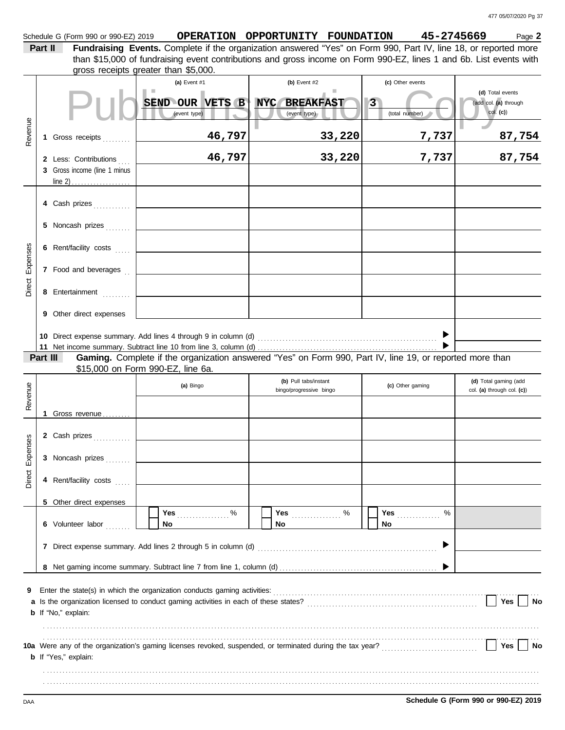|                   | Part II | Schedule G (Form 990 or 990-EZ) 2019 | Fundraising Events. Complete if the organization answered "Yes" on Form 990, Part IV, line 18, or reported more<br>than \$15,000 of fundraising event contributions and gross income on Form 990-EZ, lines 1 and 6b. List events with | OPERATION OPPORTUNITY FOUNDATION       |                                 | 45-2745669<br>Page 2                                  |
|-------------------|---------|--------------------------------------|---------------------------------------------------------------------------------------------------------------------------------------------------------------------------------------------------------------------------------------|----------------------------------------|---------------------------------|-------------------------------------------------------|
|                   |         |                                      | gross receipts greater than \$5,000.                                                                                                                                                                                                  |                                        |                                 |                                                       |
|                   |         |                                      | (a) Event #1                                                                                                                                                                                                                          | (b) Event $#2$                         | (c) Other events                |                                                       |
|                   |         |                                      | SEND OUR VETS B<br>(event type)                                                                                                                                                                                                       | ш<br>NYC BREAKFAST<br>(event type)     | $\mathbf{3}$<br>(total number)  | (d) Total events<br>(add col. (a) through<br>col. (c) |
| Revenue           | 1       | Gross receipts                       | 46,797                                                                                                                                                                                                                                | 33,220                                 | 7,737                           | 87,754                                                |
|                   |         | 2 Less: Contributions                | 46,797                                                                                                                                                                                                                                | 33,220                                 | 7,737                           | 87,754                                                |
|                   |         | 3 Gross income (line 1 minus         |                                                                                                                                                                                                                                       |                                        |                                 |                                                       |
|                   |         | 4 Cash prizes                        |                                                                                                                                                                                                                                       |                                        |                                 |                                                       |
|                   |         | 5 Noncash prizes                     |                                                                                                                                                                                                                                       |                                        |                                 |                                                       |
| Expenses          |         | 6 Rent/facility costs                |                                                                                                                                                                                                                                       |                                        |                                 |                                                       |
|                   |         | 7 Food and beverages                 |                                                                                                                                                                                                                                       |                                        |                                 |                                                       |
| Direct            |         | 8 Entertainment                      |                                                                                                                                                                                                                                       |                                        |                                 |                                                       |
|                   |         | 9 Other direct expenses              |                                                                                                                                                                                                                                       |                                        |                                 |                                                       |
|                   |         |                                      |                                                                                                                                                                                                                                       |                                        |                                 |                                                       |
|                   |         |                                      |                                                                                                                                                                                                                                       |                                        |                                 |                                                       |
|                   |         |                                      |                                                                                                                                                                                                                                       |                                        |                                 |                                                       |
|                   |         | Part III                             | Gaming. Complete if the organization answered "Yes" on Form 990, Part IV, line 19, or reported more than<br>\$15,000 on Form 990-EZ, line 6a.                                                                                         |                                        |                                 |                                                       |
|                   |         |                                      | (a) Bingo                                                                                                                                                                                                                             | (b) Pull tabs/instant                  | (c) Other gaming                | (d) Total gaming (add                                 |
|                   |         |                                      |                                                                                                                                                                                                                                       | bingo/progressive bingo                |                                 | col. (a) through col. (c))                            |
| Revenue           |         | 1 Gross revenue                      |                                                                                                                                                                                                                                       |                                        |                                 |                                                       |
| 8                 |         | 2 Cash prizes                        |                                                                                                                                                                                                                                       |                                        |                                 |                                                       |
|                   |         | 3 Noncash prizes                     |                                                                                                                                                                                                                                       |                                        |                                 |                                                       |
| Expense<br>Direct |         | 4 Rent/facility costs                |                                                                                                                                                                                                                                       |                                        |                                 |                                                       |
|                   |         | 5 Other direct expenses              |                                                                                                                                                                                                                                       |                                        |                                 |                                                       |
|                   |         | 6 Volunteer labor                    | Yes $%$<br>No                                                                                                                                                                                                                         | %<br><b>Yes</b> ________________<br>No | $\%$<br>Yes <b>Market</b><br>No |                                                       |
|                   |         |                                      |                                                                                                                                                                                                                                       |                                        | ▶                               |                                                       |
|                   |         |                                      |                                                                                                                                                                                                                                       |                                        |                                 |                                                       |
| 9                 |         |                                      |                                                                                                                                                                                                                                       |                                        |                                 |                                                       |
|                   |         | <b>b</b> If "No," explain:           |                                                                                                                                                                                                                                       |                                        |                                 | Yes<br>No                                             |
|                   |         |                                      |                                                                                                                                                                                                                                       |                                        |                                 |                                                       |
|                   |         | <b>b</b> If "Yes," explain:          | 10a Were any of the organization's gaming licenses revoked, suspended, or terminated during the tax year?<br>10a Were any of the organization's gaming licenses revoked, suspended, or terminated during the tax year?                |                                        |                                 | Yes<br>No                                             |

. . . . . . . . . . . . . . . . . . . . . . . . . . . . . . . . . . . . . . . . . . . . . . . . . . . . . . . . . . . . . . . . . . . . . . . . . . . . . . . . . . . . . . . . . . . . . . . . . . . . . . . . . . . . . . . . . . . . . . . . . . . . . . . . . . . . . . . . . . . . . . . . . . . . . . . . . . . . . . . .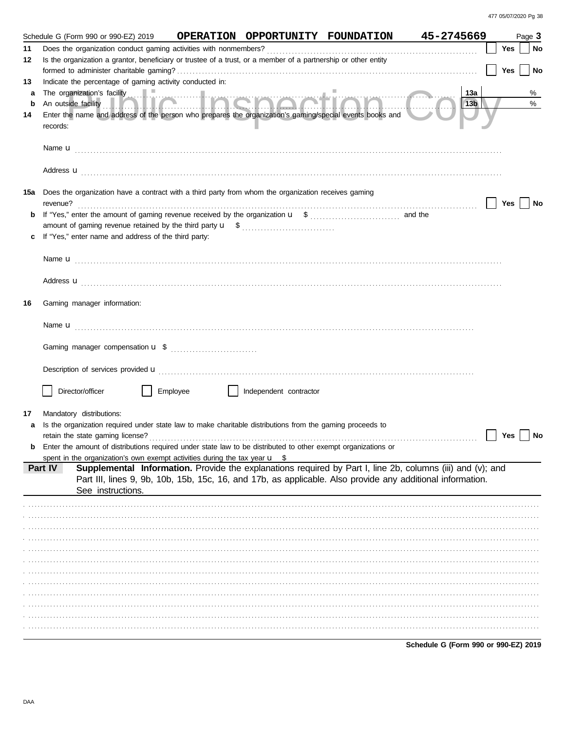|    | Schedule G (Form 990 or 990-EZ) 2019                                                                                                                                                                                                |          | OPERATION OPPORTUNITY FOUNDATION | 45-2745669 |            | Page 3 |
|----|-------------------------------------------------------------------------------------------------------------------------------------------------------------------------------------------------------------------------------------|----------|----------------------------------|------------|------------|--------|
| 11 | Does the organization conduct gaming activities with nonmembers?                                                                                                                                                                    |          |                                  |            | Yes        | No     |
| 12 | Is the organization a grantor, beneficiary or trustee of a trust, or a member of a partnership or other entity                                                                                                                      |          |                                  |            |            |        |
|    |                                                                                                                                                                                                                                     |          |                                  |            | <b>Yes</b> | No     |
| 13 | Indicate the percentage of gaming activity conducted in:                                                                                                                                                                            |          |                                  |            |            |        |
| а  |                                                                                                                                                                                                                                     |          |                                  | 13а        |            | %      |
| b  |                                                                                                                                                                                                                                     |          |                                  | 13b        |            | %      |
| 14 | Enter the name and address of the person who prepares the organization's gaming/special events books and                                                                                                                            |          |                                  |            |            |        |
|    | records:                                                                                                                                                                                                                            |          |                                  |            |            |        |
|    |                                                                                                                                                                                                                                     |          |                                  |            |            |        |
|    |                                                                                                                                                                                                                                     |          |                                  |            |            |        |
|    | Address <b>u</b>                                                                                                                                                                                                                    |          |                                  |            |            |        |
|    | 15a Does the organization have a contract with a third party from whom the organization receives gaming<br>revenue?                                                                                                                 |          |                                  |            | Yes        | No     |
|    |                                                                                                                                                                                                                                     |          |                                  |            |            |        |
|    |                                                                                                                                                                                                                                     |          |                                  |            |            |        |
|    | If "Yes," enter name and address of the third party:                                                                                                                                                                                |          |                                  |            |            |        |
|    |                                                                                                                                                                                                                                     |          |                                  |            |            |        |
|    |                                                                                                                                                                                                                                     |          |                                  |            |            |        |
|    | Address <b>u</b>                                                                                                                                                                                                                    |          |                                  |            |            |        |
| 16 | Gaming manager information:                                                                                                                                                                                                         |          |                                  |            |            |        |
|    |                                                                                                                                                                                                                                     |          |                                  |            |            |        |
|    |                                                                                                                                                                                                                                     |          |                                  |            |            |        |
|    | Description of services provided <b>u</b> electron contract the contract of the contract of the contract of the contract of the contract of the contract of the contract of the contract of the contract of the contract of the con |          |                                  |            |            |        |
|    | Director/officer                                                                                                                                                                                                                    | Employee | Independent contractor           |            |            |        |
| 17 | Mandatory distributions:                                                                                                                                                                                                            |          |                                  |            |            |        |
| a  | Is the organization required under state law to make charitable distributions from the gaming proceeds to                                                                                                                           |          |                                  |            |            |        |
|    |                                                                                                                                                                                                                                     |          |                                  |            | Yes        | No     |
|    | Enter the amount of distributions required under state law to be distributed to other exempt organizations or                                                                                                                       |          |                                  |            |            |        |
|    | spent in the organization's own exempt activities during the tax year $\mathbf{u}$ \$                                                                                                                                               |          |                                  |            |            |        |
|    | Supplemental Information. Provide the explanations required by Part I, line 2b, columns (iii) and (v); and<br>Part IV                                                                                                               |          |                                  |            |            |        |
|    | Part III, lines 9, 9b, 10b, 15b, 15c, 16, and 17b, as applicable. Also provide any additional information.                                                                                                                          |          |                                  |            |            |        |
|    | See instructions.                                                                                                                                                                                                                   |          |                                  |            |            |        |
|    |                                                                                                                                                                                                                                     |          |                                  |            |            |        |
|    |                                                                                                                                                                                                                                     |          |                                  |            |            |        |
|    |                                                                                                                                                                                                                                     |          |                                  |            |            |        |
|    |                                                                                                                                                                                                                                     |          |                                  |            |            |        |
|    |                                                                                                                                                                                                                                     |          |                                  |            |            |        |
|    |                                                                                                                                                                                                                                     |          |                                  |            |            |        |
|    |                                                                                                                                                                                                                                     |          |                                  |            |            |        |
|    |                                                                                                                                                                                                                                     |          |                                  |            |            |        |
|    |                                                                                                                                                                                                                                     |          |                                  |            |            |        |
|    |                                                                                                                                                                                                                                     |          |                                  |            |            |        |
|    |                                                                                                                                                                                                                                     |          |                                  |            |            |        |
|    |                                                                                                                                                                                                                                     |          |                                  |            |            |        |
|    |                                                                                                                                                                                                                                     |          |                                  |            |            |        |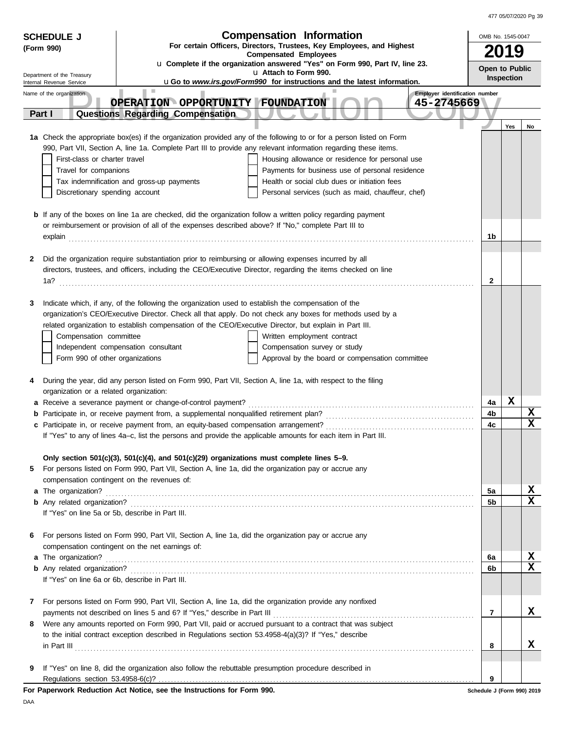| <b>SCHEDULE J</b><br>(Form 990)                                                                               |                                                        |                               | <b>Compensation Information</b><br>For certain Officers, Directors, Trustees, Key Employees, and Highest            | OMB No. 1545-0047                                                                                                    |                            |                   |                  |  |
|---------------------------------------------------------------------------------------------------------------|--------------------------------------------------------|-------------------------------|---------------------------------------------------------------------------------------------------------------------|----------------------------------------------------------------------------------------------------------------------|----------------------------|-------------------|------------------|--|
|                                                                                                               |                                                        |                               | <b>Compensated Employees</b>                                                                                        | 19                                                                                                                   |                            |                   |                  |  |
|                                                                                                               |                                                        |                               | u Complete if the organization answered "Yes" on Form 990, Part IV, line 23.                                        | Open to Public                                                                                                       |                            |                   |                  |  |
|                                                                                                               | Department of the Treasury<br>Internal Revenue Service |                               |                                                                                                                     | u Attach to Form 990.<br>uGo to www.irs.gov/Form990 for instructions and the latest information.                     |                            | <b>Inspection</b> |                  |  |
|                                                                                                               | Name of the organization                               |                               |                                                                                                                     | Employer identification number                                                                                       |                            |                   |                  |  |
|                                                                                                               |                                                        |                               | OPERATION OPPORTUNITY FOUNDATION                                                                                    | 45-2745669                                                                                                           |                            |                   |                  |  |
|                                                                                                               | Part I                                                 |                               | Questions Regarding Compensation                                                                                    |                                                                                                                      |                            |                   |                  |  |
|                                                                                                               |                                                        |                               |                                                                                                                     | 1a Check the appropriate box(es) if the organization provided any of the following to or for a person listed on Form |                            | Yes               | No               |  |
|                                                                                                               |                                                        |                               |                                                                                                                     | 990, Part VII, Section A, line 1a. Complete Part III to provide any relevant information regarding these items.      |                            |                   |                  |  |
|                                                                                                               |                                                        | First-class or charter travel |                                                                                                                     | Housing allowance or residence for personal use                                                                      |                            |                   |                  |  |
|                                                                                                               |                                                        | Travel for companions         |                                                                                                                     | Payments for business use of personal residence                                                                      |                            |                   |                  |  |
|                                                                                                               |                                                        |                               | Tax indemnification and gross-up payments                                                                           | Health or social club dues or initiation fees                                                                        |                            |                   |                  |  |
|                                                                                                               |                                                        |                               | Discretionary spending account                                                                                      | Personal services (such as maid, chauffeur, chef)                                                                    |                            |                   |                  |  |
|                                                                                                               |                                                        |                               |                                                                                                                     |                                                                                                                      |                            |                   |                  |  |
|                                                                                                               |                                                        |                               | <b>b</b> If any of the boxes on line 1a are checked, did the organization follow a written policy regarding payment |                                                                                                                      |                            |                   |                  |  |
|                                                                                                               |                                                        |                               | or reimbursement or provision of all of the expenses described above? If "No," complete Part III to                 |                                                                                                                      |                            |                   |                  |  |
|                                                                                                               |                                                        |                               |                                                                                                                     |                                                                                                                      | 1b                         |                   |                  |  |
|                                                                                                               |                                                        |                               |                                                                                                                     |                                                                                                                      |                            |                   |                  |  |
| 2                                                                                                             |                                                        |                               | Did the organization require substantiation prior to reimbursing or allowing expenses incurred by all               | directors, trustees, and officers, including the CEO/Executive Director, regarding the items checked on line         |                            |                   |                  |  |
|                                                                                                               | 1a?                                                    |                               |                                                                                                                     |                                                                                                                      | 2                          |                   |                  |  |
|                                                                                                               |                                                        |                               |                                                                                                                     |                                                                                                                      |                            |                   |                  |  |
| 3                                                                                                             |                                                        |                               | Indicate which, if any, of the following the organization used to establish the compensation of the                 |                                                                                                                      |                            |                   |                  |  |
|                                                                                                               |                                                        |                               |                                                                                                                     | organization's CEO/Executive Director. Check all that apply. Do not check any boxes for methods used by a            |                            |                   |                  |  |
|                                                                                                               |                                                        |                               | related organization to establish compensation of the CEO/Executive Director, but explain in Part III.              |                                                                                                                      |                            |                   |                  |  |
|                                                                                                               |                                                        | Compensation committee        |                                                                                                                     | Written employment contract                                                                                          |                            |                   |                  |  |
|                                                                                                               |                                                        |                               | Independent compensation consultant                                                                                 | Compensation survey or study                                                                                         |                            |                   |                  |  |
|                                                                                                               |                                                        |                               | Form 990 of other organizations                                                                                     | Approval by the board or compensation committee                                                                      |                            |                   |                  |  |
|                                                                                                               |                                                        |                               |                                                                                                                     |                                                                                                                      |                            |                   |                  |  |
| 4                                                                                                             |                                                        |                               | During the year, did any person listed on Form 990, Part VII, Section A, line 1a, with respect to the filing        |                                                                                                                      |                            |                   |                  |  |
|                                                                                                               |                                                        |                               | organization or a related organization:<br>a Receive a severance payment or change-of-control payment?              |                                                                                                                      | 4a                         | X                 |                  |  |
|                                                                                                               |                                                        |                               | <b>b</b> Participate in, or receive payment from, a supplemental nonqualified retirement plan?                      |                                                                                                                      | 4b                         |                   | X                |  |
|                                                                                                               |                                                        |                               |                                                                                                                     |                                                                                                                      | 4c                         |                   | X                |  |
| If "Yes" to any of lines 4a-c, list the persons and provide the applicable amounts for each item in Part III. |                                                        |                               |                                                                                                                     |                                                                                                                      |                            |                   |                  |  |
|                                                                                                               |                                                        |                               |                                                                                                                     |                                                                                                                      |                            |                   |                  |  |
|                                                                                                               |                                                        |                               | Only section $501(c)(3)$ , $501(c)(4)$ , and $501(c)(29)$ organizations must complete lines $5-9$ .                 |                                                                                                                      |                            |                   |                  |  |
| 5                                                                                                             |                                                        |                               | For persons listed on Form 990, Part VII, Section A, line 1a, did the organization pay or accrue any                |                                                                                                                      |                            |                   |                  |  |
|                                                                                                               |                                                        |                               | compensation contingent on the revenues of:                                                                         |                                                                                                                      |                            |                   |                  |  |
|                                                                                                               |                                                        |                               |                                                                                                                     |                                                                                                                      | 5a                         |                   | x<br>$\mathbf x$ |  |
|                                                                                                               |                                                        |                               | If "Yes" on line 5a or 5b, describe in Part III.                                                                    |                                                                                                                      | 5b                         |                   |                  |  |
|                                                                                                               |                                                        |                               |                                                                                                                     |                                                                                                                      |                            |                   |                  |  |
| 6                                                                                                             |                                                        |                               | For persons listed on Form 990, Part VII, Section A, line 1a, did the organization pay or accrue any                |                                                                                                                      |                            |                   |                  |  |
|                                                                                                               |                                                        |                               | compensation contingent on the net earnings of:                                                                     |                                                                                                                      |                            |                   |                  |  |
|                                                                                                               |                                                        |                               |                                                                                                                     |                                                                                                                      | 6а                         |                   | x                |  |
|                                                                                                               |                                                        |                               |                                                                                                                     |                                                                                                                      | 6b                         |                   | x                |  |
|                                                                                                               |                                                        |                               | If "Yes" on line 6a or 6b, describe in Part III.                                                                    |                                                                                                                      |                            |                   |                  |  |
|                                                                                                               |                                                        |                               |                                                                                                                     |                                                                                                                      |                            |                   |                  |  |
| 7                                                                                                             |                                                        |                               | For persons listed on Form 990, Part VII, Section A, line 1a, did the organization provide any nonfixed             |                                                                                                                      |                            |                   |                  |  |
|                                                                                                               |                                                        |                               | payments not described on lines 5 and 6? If "Yes," describe in Part III                                             |                                                                                                                      | 7                          |                   | x                |  |
| 8.                                                                                                            |                                                        |                               | to the initial contract exception described in Regulations section 53.4958-4(a)(3)? If "Yes," describe              | Were any amounts reported on Form 990, Part VII, paid or accrued pursuant to a contract that was subject             |                            |                   |                  |  |
|                                                                                                               |                                                        |                               |                                                                                                                     |                                                                                                                      | 8                          |                   | x                |  |
|                                                                                                               |                                                        |                               |                                                                                                                     | $\ $ n Part III $\ $                                                                                                 |                            |                   |                  |  |
| 9                                                                                                             |                                                        |                               | If "Yes" on line 8, did the organization also follow the rebuttable presumption procedure described in              |                                                                                                                      |                            |                   |                  |  |
|                                                                                                               |                                                        |                               |                                                                                                                     |                                                                                                                      | 9                          |                   |                  |  |
|                                                                                                               |                                                        |                               | For Paperwork Reduction Act Notice, see the Instructions for Form 990.                                              |                                                                                                                      | Schedule J (Form 990) 2019 |                   |                  |  |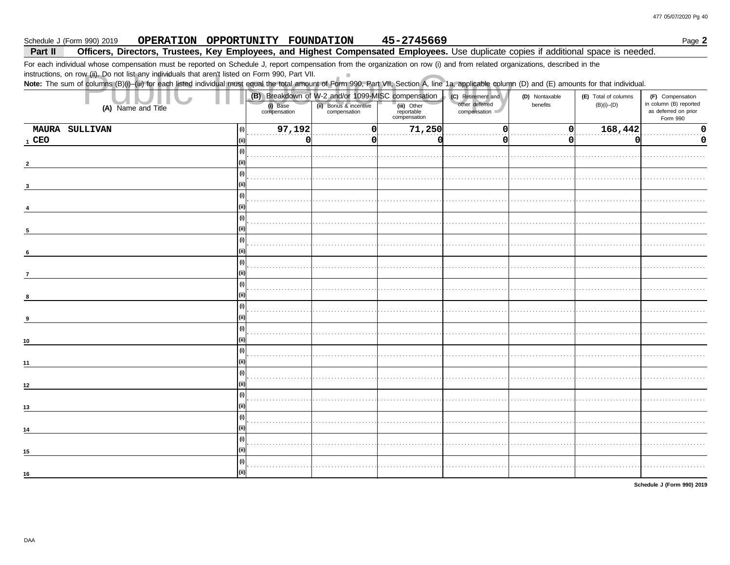#### 45-2745669 Schedule J (Form 990) 2019 OPERATION OPPORTUNITY FOUNDATION

### Part II Officers, Directors, Trustees, Key Employees, and Highest Compensated Employees. Use duplicate copies if additional space is needed.

 $\mathbb{R}^2$ 

For each individual whose compensation must be reported on Schedule J, report compensation from the organization on row (i) and from related organizations, described in the

instructions, on row (ii). Do not list any individuals that aren't listed on Form 990, Part VII.

Note: The sum of columns (B)(i)-(iii) for each listed individual must equal the total amount of Form 990, Part VII, Section A, line 1a, applicable column (D) and (E) amounts for that individual.

| (A) Name and Title        | (i) Base<br>compensation | (ii) Bonus & incentive<br>compensation | (B) Breakdown of W-2 and/or 1099-MISC compensation | (C) Retirement and<br>other deferred | (D) Nontaxable<br>benefits | (E) Total of columns<br>$(B)(i)$ - $(D)$ | (F) Compensation<br>in column (B) reported |
|---------------------------|--------------------------|----------------------------------------|----------------------------------------------------|--------------------------------------|----------------------------|------------------------------------------|--------------------------------------------|
|                           |                          |                                        | (iii) Other<br>reportable<br>compensation          | compensation                         |                            |                                          | as deferred on prior<br>Form 990           |
| MAURA SULLIVAN<br>$1$ CEO | 97,192<br>0              |                                        | 71,250                                             | 0                                    | $\Omega$<br>$\Omega$       | 168,442<br>0                             | n<br>0                                     |
|                           |                          |                                        |                                                    |                                      |                            |                                          |                                            |
|                           |                          |                                        |                                                    |                                      |                            |                                          |                                            |
|                           |                          |                                        |                                                    |                                      |                            |                                          |                                            |
| -li                       |                          |                                        |                                                    |                                      |                            |                                          |                                            |
|                           |                          |                                        |                                                    |                                      |                            |                                          |                                            |
| $5\phantom{.0}$           |                          |                                        |                                                    |                                      |                            |                                          |                                            |
|                           |                          |                                        |                                                    |                                      |                            |                                          |                                            |
| 6                         |                          |                                        |                                                    |                                      |                            |                                          |                                            |
|                           |                          |                                        |                                                    |                                      |                            |                                          |                                            |
| 8                         |                          |                                        |                                                    |                                      |                            |                                          |                                            |
| 9                         |                          |                                        |                                                    |                                      |                            |                                          |                                            |
| 10                        |                          |                                        |                                                    |                                      |                            |                                          |                                            |
| 11                        |                          |                                        |                                                    |                                      |                            |                                          |                                            |
| 12                        |                          |                                        |                                                    |                                      |                            |                                          |                                            |
| 13                        |                          |                                        |                                                    |                                      |                            |                                          |                                            |
| 14                        |                          |                                        |                                                    |                                      |                            |                                          |                                            |
| 15                        |                          |                                        |                                                    |                                      |                            |                                          |                                            |
| 16                        |                          |                                        |                                                    |                                      |                            |                                          |                                            |

Schedule J (Form 990) 2019

Page 2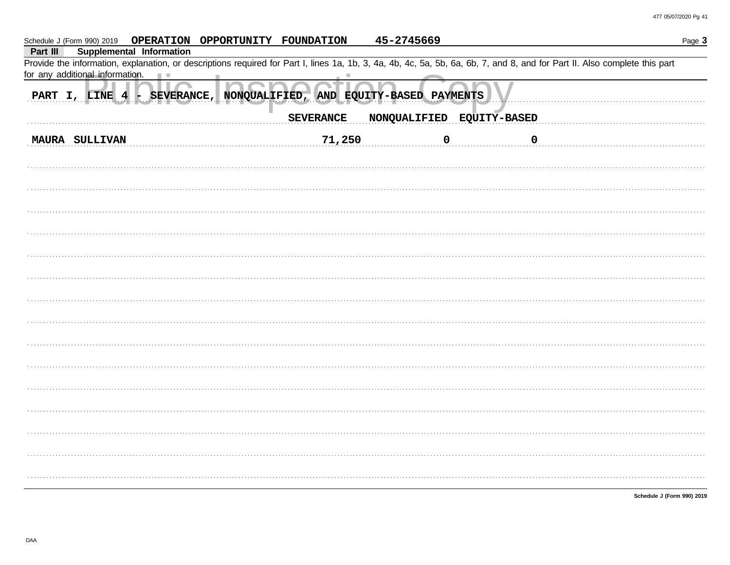| <b>Supplemental Information</b><br>Part III<br>Provide the information, explanation, or descriptions required for Part I, lines 1a, 1b, 3, 4a, 4b, 4c, 5a, 5b, 6a, 6b, 7, and 8, and for Part II. Also complete this part<br>a a<br>PART I, LINE 4 - SEVERANCE, NONQUALIFIED, AND EQUITY-BASED PAYMENTS<br>NONQUALIFIED EQUITY-BASED<br><b>SEVERANCE</b><br>71,250<br>$\mathbf 0$<br>$\mathbf 0$<br><b>MAURA SULLIVAN</b> | Schedule J (Form 990) 2019  OPERATION  OPPORTUNITY  FOUNDATION | 45-2745669 | Page 3 |
|---------------------------------------------------------------------------------------------------------------------------------------------------------------------------------------------------------------------------------------------------------------------------------------------------------------------------------------------------------------------------------------------------------------------------|----------------------------------------------------------------|------------|--------|
|                                                                                                                                                                                                                                                                                                                                                                                                                           | for any additional information.                                |            |        |
|                                                                                                                                                                                                                                                                                                                                                                                                                           |                                                                |            |        |
|                                                                                                                                                                                                                                                                                                                                                                                                                           |                                                                |            |        |
|                                                                                                                                                                                                                                                                                                                                                                                                                           |                                                                |            |        |
|                                                                                                                                                                                                                                                                                                                                                                                                                           |                                                                |            |        |
|                                                                                                                                                                                                                                                                                                                                                                                                                           |                                                                |            |        |
|                                                                                                                                                                                                                                                                                                                                                                                                                           |                                                                |            |        |
|                                                                                                                                                                                                                                                                                                                                                                                                                           |                                                                |            |        |
|                                                                                                                                                                                                                                                                                                                                                                                                                           |                                                                |            |        |
|                                                                                                                                                                                                                                                                                                                                                                                                                           |                                                                |            |        |
|                                                                                                                                                                                                                                                                                                                                                                                                                           |                                                                |            |        |
|                                                                                                                                                                                                                                                                                                                                                                                                                           |                                                                |            |        |
|                                                                                                                                                                                                                                                                                                                                                                                                                           |                                                                |            |        |
|                                                                                                                                                                                                                                                                                                                                                                                                                           |                                                                |            |        |
|                                                                                                                                                                                                                                                                                                                                                                                                                           |                                                                |            |        |
|                                                                                                                                                                                                                                                                                                                                                                                                                           |                                                                |            |        |
|                                                                                                                                                                                                                                                                                                                                                                                                                           |                                                                |            |        |
|                                                                                                                                                                                                                                                                                                                                                                                                                           |                                                                |            |        |

Schedule J (Form 990) 2019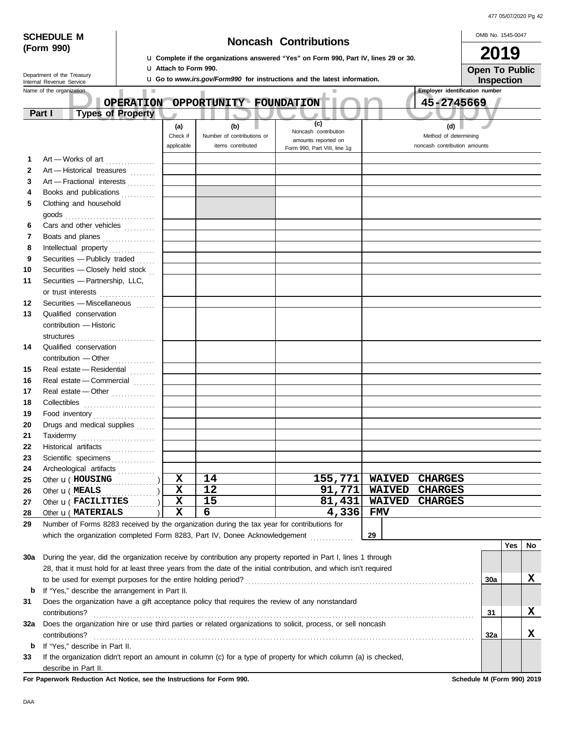| 477 05/07/2020 Pg 42 |  |
|----------------------|--|
|                      |  |

| <b>SCHEDULE M</b><br>(Form 990) |                                                      |                                                                                                                                                                                                                                                                                                                                                                                                                                                                                | <b>Noncash Contributions</b>                   |             |                                                                                             |                                                                                                                    |               | OMB No. 1545-0047              |                                     |     |    |
|---------------------------------|------------------------------------------------------|--------------------------------------------------------------------------------------------------------------------------------------------------------------------------------------------------------------------------------------------------------------------------------------------------------------------------------------------------------------------------------------------------------------------------------------------------------------------------------|------------------------------------------------|-------------|---------------------------------------------------------------------------------------------|--------------------------------------------------------------------------------------------------------------------|---------------|--------------------------------|-------------------------------------|-----|----|
|                                 |                                                      |                                                                                                                                                                                                                                                                                                                                                                                                                                                                                |                                                |             |                                                                                             |                                                                                                                    |               |                                | 2019                                |     |    |
|                                 |                                                      |                                                                                                                                                                                                                                                                                                                                                                                                                                                                                | <b>LI Attach to Form 990.</b>                  |             | La Complete if the organizations answered "Yes" on Form 990, Part IV, lines 29 or 30.       |                                                                                                                    |               |                                |                                     |     |    |
|                                 | Department of the Treasury                           |                                                                                                                                                                                                                                                                                                                                                                                                                                                                                |                                                |             |                                                                                             | <b>u</b> Go to www.irs.gov/Form990 for instructions and the latest information.                                    |               |                                | <b>Open To Public</b><br>Inspection |     |    |
|                                 | Internal Revenue Service<br>Name of the organization |                                                                                                                                                                                                                                                                                                                                                                                                                                                                                |                                                |             |                                                                                             |                                                                                                                    |               | Employer identification number |                                     |     |    |
|                                 |                                                      |                                                                                                                                                                                                                                                                                                                                                                                                                                                                                | <b>OPERATION</b>                               |             | OPPORTUNITY FOUNDATION                                                                      |                                                                                                                    |               | 45-2745669                     |                                     |     |    |
|                                 | Part I                                               | <b>Types of Property</b>                                                                                                                                                                                                                                                                                                                                                                                                                                                       |                                                |             | $\blacksquare$                                                                              |                                                                                                                    |               |                                |                                     |     |    |
|                                 |                                                      |                                                                                                                                                                                                                                                                                                                                                                                                                                                                                |                                                | (a)         | (b)                                                                                         | (c)                                                                                                                |               | (d)                            |                                     |     |    |
|                                 |                                                      |                                                                                                                                                                                                                                                                                                                                                                                                                                                                                |                                                | Check if    | Number of contributions or                                                                  | Noncash contribution<br>amounts reported on                                                                        |               | Method of determining          |                                     |     |    |
|                                 |                                                      |                                                                                                                                                                                                                                                                                                                                                                                                                                                                                |                                                | applicable  | items contributed                                                                           | Form 990, Part VIII, line 1g                                                                                       |               | noncash contribution amounts   |                                     |     |    |
| 1                               |                                                      | Art - Works of art                                                                                                                                                                                                                                                                                                                                                                                                                                                             |                                                |             |                                                                                             |                                                                                                                    |               |                                |                                     |     |    |
| 2                               |                                                      | Art - Historical treasures                                                                                                                                                                                                                                                                                                                                                                                                                                                     |                                                |             |                                                                                             |                                                                                                                    |               |                                |                                     |     |    |
| 3                               |                                                      | Art - Fractional interests                                                                                                                                                                                                                                                                                                                                                                                                                                                     |                                                |             |                                                                                             |                                                                                                                    |               |                                |                                     |     |    |
| 4                               |                                                      | Books and publications                                                                                                                                                                                                                                                                                                                                                                                                                                                         |                                                |             |                                                                                             |                                                                                                                    |               |                                |                                     |     |    |
| 5                               |                                                      | Clothing and household                                                                                                                                                                                                                                                                                                                                                                                                                                                         |                                                |             |                                                                                             |                                                                                                                    |               |                                |                                     |     |    |
| 6                               |                                                      | Cars and other vehicles                                                                                                                                                                                                                                                                                                                                                                                                                                                        | $\mathsf{goods}\xrightarrow{\hspace{0.5cm}}$   |             |                                                                                             |                                                                                                                    |               |                                |                                     |     |    |
| 7                               |                                                      | Boats and planes                                                                                                                                                                                                                                                                                                                                                                                                                                                               |                                                |             |                                                                                             |                                                                                                                    |               |                                |                                     |     |    |
| 8                               |                                                      |                                                                                                                                                                                                                                                                                                                                                                                                                                                                                |                                                |             |                                                                                             |                                                                                                                    |               |                                |                                     |     |    |
| 9                               |                                                      | Securities - Publicly traded                                                                                                                                                                                                                                                                                                                                                                                                                                                   |                                                |             |                                                                                             |                                                                                                                    |               |                                |                                     |     |    |
| 10                              |                                                      | Securities - Closely held stock                                                                                                                                                                                                                                                                                                                                                                                                                                                |                                                |             |                                                                                             |                                                                                                                    |               |                                |                                     |     |    |
| 11                              |                                                      | Securities - Partnership, LLC,                                                                                                                                                                                                                                                                                                                                                                                                                                                 |                                                |             |                                                                                             |                                                                                                                    |               |                                |                                     |     |    |
|                                 |                                                      | or trust interests                                                                                                                                                                                                                                                                                                                                                                                                                                                             |                                                |             |                                                                                             |                                                                                                                    |               |                                |                                     |     |    |
| 12                              |                                                      | Securities - Miscellaneous                                                                                                                                                                                                                                                                                                                                                                                                                                                     |                                                |             |                                                                                             |                                                                                                                    |               |                                |                                     |     |    |
| 13                              |                                                      | Qualified conservation                                                                                                                                                                                                                                                                                                                                                                                                                                                         |                                                |             |                                                                                             |                                                                                                                    |               |                                |                                     |     |    |
|                                 |                                                      | contribution - Historic                                                                                                                                                                                                                                                                                                                                                                                                                                                        |                                                |             |                                                                                             |                                                                                                                    |               |                                |                                     |     |    |
|                                 |                                                      |                                                                                                                                                                                                                                                                                                                                                                                                                                                                                |                                                |             |                                                                                             |                                                                                                                    |               |                                |                                     |     |    |
| 14                              |                                                      | Qualified conservation                                                                                                                                                                                                                                                                                                                                                                                                                                                         |                                                |             |                                                                                             |                                                                                                                    |               |                                |                                     |     |    |
|                                 |                                                      | contribution - Other                                                                                                                                                                                                                                                                                                                                                                                                                                                           |                                                |             |                                                                                             |                                                                                                                    |               |                                |                                     |     |    |
| 15                              |                                                      | Real estate - Residential                                                                                                                                                                                                                                                                                                                                                                                                                                                      |                                                |             |                                                                                             |                                                                                                                    |               |                                |                                     |     |    |
| 16                              |                                                      | Real estate - Commercial                                                                                                                                                                                                                                                                                                                                                                                                                                                       |                                                |             |                                                                                             |                                                                                                                    |               |                                |                                     |     |    |
| 17<br>18                        |                                                      | Real estate - Other                                                                                                                                                                                                                                                                                                                                                                                                                                                            |                                                |             |                                                                                             |                                                                                                                    |               |                                |                                     |     |    |
| 19                              |                                                      |                                                                                                                                                                                                                                                                                                                                                                                                                                                                                | Food inventory                                 |             |                                                                                             |                                                                                                                    |               |                                |                                     |     |    |
| 20                              |                                                      | Drugs and medical supplies                                                                                                                                                                                                                                                                                                                                                                                                                                                     |                                                |             |                                                                                             |                                                                                                                    |               |                                |                                     |     |    |
| 21                              |                                                      | $\begin{minipage}[c]{0.9\linewidth} \textbf{Taxidermy} \end{minipage}[t]{\begin{minipage}[c]{0.9\linewidth} \textbf{Taxidermy} \end{minipage}[t]{\begin{minipage}[c]{0.9\linewidth} \textbf{C} & \textbf{0.13}\end{minipage}[t]{\begin{minipage}[c]{0.9\linewidth} \textbf{C} & \textbf{0.13}\end{minipage}[t]{\begin{minipage}[c]{0.9\linewidth} \textbf{C} & \textbf{0.13}\end{minipage}[t]{\begin{minipage}[c]{0.9\linewidth} \textbf{C} & \textbf{0.13}\end{minipage}[t]{$ |                                                |             |                                                                                             |                                                                                                                    |               |                                |                                     |     |    |
| 22                              |                                                      | Historical artifacts [11] [11] Historical artifacts                                                                                                                                                                                                                                                                                                                                                                                                                            |                                                |             |                                                                                             |                                                                                                                    |               |                                |                                     |     |    |
| 23                              |                                                      | Scientific specimens                                                                                                                                                                                                                                                                                                                                                                                                                                                           |                                                |             |                                                                                             |                                                                                                                    |               |                                |                                     |     |    |
| 24                              |                                                      | Archeological artifacts                                                                                                                                                                                                                                                                                                                                                                                                                                                        |                                                |             |                                                                                             |                                                                                                                    |               |                                |                                     |     |    |
| 25                              |                                                      | Other <b>u</b> ( HOUSING                                                                                                                                                                                                                                                                                                                                                                                                                                                       |                                                | $\mathbf x$ | 14                                                                                          | 155,771                                                                                                            | <b>WAIVED</b> | <b>CHARGES</b>                 |                                     |     |    |
| 26                              | Other <b>u</b> (MEALS                                |                                                                                                                                                                                                                                                                                                                                                                                                                                                                                |                                                | $\mathbf x$ | 12                                                                                          | 91,771                                                                                                             | <b>WAIVED</b> | <b>CHARGES</b>                 |                                     |     |    |
| 27                              |                                                      | Other <b>u</b> (FACILITIES                                                                                                                                                                                                                                                                                                                                                                                                                                                     |                                                | $\mathbf x$ | 15                                                                                          | 81,431                                                                                                             | <b>WAIVED</b> | <b>CHARGES</b>                 |                                     |     |    |
| 28                              |                                                      | Other <b>u</b> ( MATERIALS                                                                                                                                                                                                                                                                                                                                                                                                                                                     |                                                | $\mathbf x$ | 6                                                                                           | 4,336                                                                                                              | <b>FMV</b>    |                                |                                     |     |    |
| 29                              |                                                      |                                                                                                                                                                                                                                                                                                                                                                                                                                                                                |                                                |             | Number of Forms 8283 received by the organization during the tax year for contributions for |                                                                                                                    |               |                                |                                     |     |    |
|                                 |                                                      |                                                                                                                                                                                                                                                                                                                                                                                                                                                                                |                                                |             | which the organization completed Form 8283, Part IV, Donee Acknowledgement                  |                                                                                                                    | 29            |                                |                                     | Yes | No |
| 30a                             |                                                      |                                                                                                                                                                                                                                                                                                                                                                                                                                                                                |                                                |             |                                                                                             | During the year, did the organization receive by contribution any property reported in Part I, lines 1 through     |               |                                |                                     |     |    |
|                                 |                                                      |                                                                                                                                                                                                                                                                                                                                                                                                                                                                                |                                                |             |                                                                                             | 28, that it must hold for at least three years from the date of the initial contribution, and which isn't required |               |                                |                                     |     |    |
|                                 |                                                      |                                                                                                                                                                                                                                                                                                                                                                                                                                                                                |                                                |             |                                                                                             |                                                                                                                    |               |                                | 30a                                 |     | х  |
| b                               |                                                      |                                                                                                                                                                                                                                                                                                                                                                                                                                                                                | If "Yes," describe the arrangement in Part II. |             |                                                                                             |                                                                                                                    |               |                                |                                     |     |    |
| 31                              |                                                      |                                                                                                                                                                                                                                                                                                                                                                                                                                                                                |                                                |             |                                                                                             | Does the organization have a gift acceptance policy that requires the review of any nonstandard                    |               |                                |                                     |     |    |
|                                 | contributions?                                       |                                                                                                                                                                                                                                                                                                                                                                                                                                                                                |                                                |             |                                                                                             |                                                                                                                    |               |                                | 31                                  |     | X  |
| 32a                             |                                                      |                                                                                                                                                                                                                                                                                                                                                                                                                                                                                |                                                |             |                                                                                             | Does the organization hire or use third parties or related organizations to solicit, process, or sell noncash      |               |                                |                                     |     |    |
|                                 | contributions?                                       |                                                                                                                                                                                                                                                                                                                                                                                                                                                                                |                                                |             |                                                                                             |                                                                                                                    |               |                                | 32a                                 |     | X  |
| b                               |                                                      | If "Yes," describe in Part II.                                                                                                                                                                                                                                                                                                                                                                                                                                                 |                                                |             |                                                                                             |                                                                                                                    |               |                                |                                     |     |    |
| 33                              |                                                      |                                                                                                                                                                                                                                                                                                                                                                                                                                                                                |                                                |             |                                                                                             | If the organization didn't report an amount in column (c) for a type of property for which column (a) is checked,  |               |                                |                                     |     |    |
|                                 | describe in Part II.                                 |                                                                                                                                                                                                                                                                                                                                                                                                                                                                                |                                                |             |                                                                                             |                                                                                                                    |               |                                |                                     |     |    |

**For Paperwork Reduction Act Notice, see the Instructions for Form 990. Schedule M (Form 990) 2019**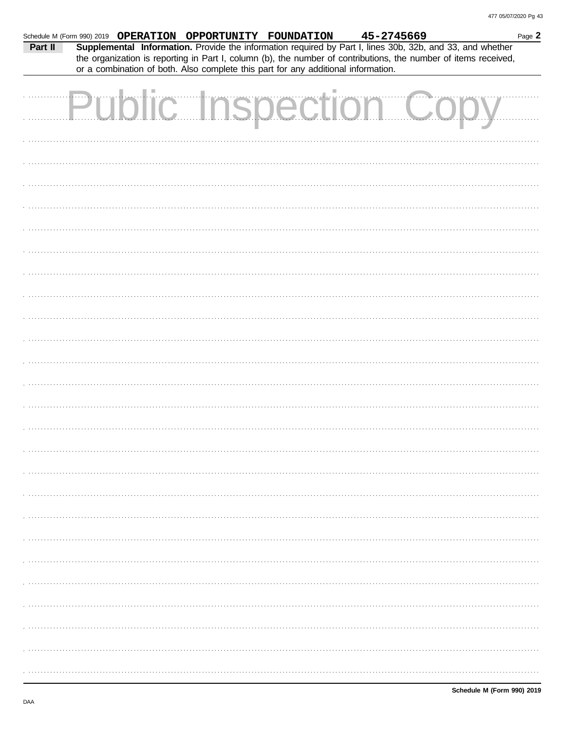|         | Schedule M (Form 990) 2019 OPERATION OPPORTUNITY FOUNDATION                       |  |  | 45-2745669                                                                                                      | Page 2 |
|---------|-----------------------------------------------------------------------------------|--|--|-----------------------------------------------------------------------------------------------------------------|--------|
| Part II |                                                                                   |  |  | Supplemental Information. Provide the information required by Part I, lines 30b, 32b, and 33, and whether       |        |
|         |                                                                                   |  |  | the organization is reporting in Part I, column (b), the number of contributions, the number of items received, |        |
|         | or a combination of both. Also complete this part for any additional information. |  |  |                                                                                                                 |        |
|         |                                                                                   |  |  |                                                                                                                 |        |
|         |                                                                                   |  |  | <b>Public Inspection Copy</b>                                                                                   |        |
|         |                                                                                   |  |  |                                                                                                                 |        |
|         |                                                                                   |  |  |                                                                                                                 |        |
|         |                                                                                   |  |  |                                                                                                                 |        |
|         |                                                                                   |  |  |                                                                                                                 |        |
|         |                                                                                   |  |  |                                                                                                                 |        |
|         |                                                                                   |  |  |                                                                                                                 |        |
|         |                                                                                   |  |  |                                                                                                                 |        |
|         |                                                                                   |  |  |                                                                                                                 |        |
|         |                                                                                   |  |  |                                                                                                                 |        |
|         |                                                                                   |  |  |                                                                                                                 |        |
|         |                                                                                   |  |  |                                                                                                                 |        |
|         |                                                                                   |  |  |                                                                                                                 |        |
|         |                                                                                   |  |  |                                                                                                                 |        |
|         |                                                                                   |  |  |                                                                                                                 |        |
|         |                                                                                   |  |  |                                                                                                                 |        |
|         |                                                                                   |  |  |                                                                                                                 |        |
|         |                                                                                   |  |  |                                                                                                                 |        |
|         |                                                                                   |  |  |                                                                                                                 |        |
|         |                                                                                   |  |  |                                                                                                                 |        |
|         |                                                                                   |  |  |                                                                                                                 |        |
|         |                                                                                   |  |  |                                                                                                                 |        |
|         |                                                                                   |  |  |                                                                                                                 |        |
|         |                                                                                   |  |  |                                                                                                                 |        |
|         |                                                                                   |  |  |                                                                                                                 |        |
|         |                                                                                   |  |  |                                                                                                                 |        |
|         |                                                                                   |  |  |                                                                                                                 |        |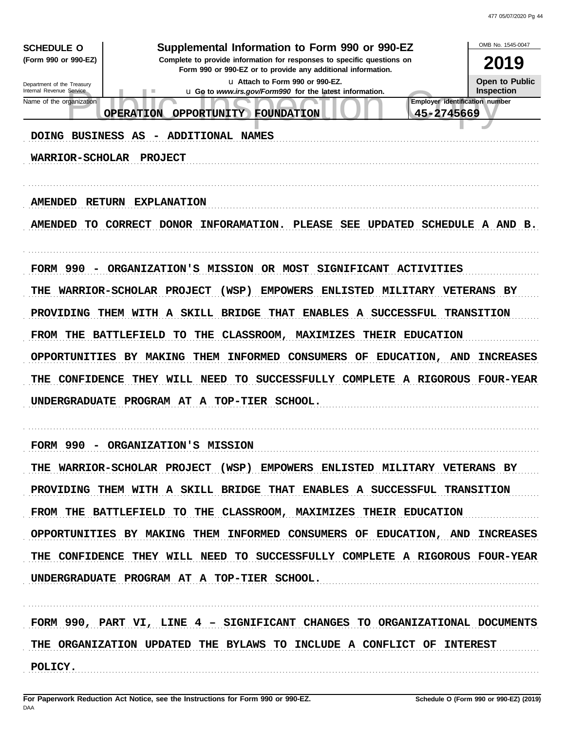| <b>SCHEDULE O</b>                                    | Supplemental Information to Form 990 or 990-EZ                                                  | OMB No. 1545-0047                                          |
|------------------------------------------------------|-------------------------------------------------------------------------------------------------|------------------------------------------------------------|
| (Form 990 or 990-EZ)                                 | Complete to provide information for responses to specific questions on                          | 2019                                                       |
| Department of the Treasury                           | Form 990 or 990-EZ or to provide any additional information.<br>u Attach to Form 990 or 990-EZ. | <b>Open to Public</b>                                      |
| Internal Revenue Service<br>Name of the organization | u Go to www.irs.gov/Form990 for the latest information.<br>٠                                    | <b>Inspection</b><br><b>Employer identification number</b> |
|                                                      | 45-2745669<br><b>OPERATION</b><br><b>OPPORTUNITY</b><br><b>FOUNDATION</b>                       |                                                            |
| DOING BUSINESS AS                                    | ADDITIONAL NAMES<br>$\sim$                                                                      |                                                            |
| <b>WARRIOR-SCHOLAR</b>                               | <b>PROJECT</b>                                                                                  |                                                            |
|                                                      |                                                                                                 |                                                            |
| <b>AMENDED</b><br>RETURN                             | <b>EXPLANATION</b>                                                                              |                                                            |
|                                                      |                                                                                                 |                                                            |
| <b>AMENDED</b><br>TO CORRECT                         | DONOR INFORAMATION. PLEASE SEE UPDATED SCHEDULE A AND B.                                        |                                                            |
|                                                      |                                                                                                 |                                                            |
|                                                      | FORM 990 - ORGANIZATION'S MISSION OR MOST SIGNIFICANT ACTIVITIES                                |                                                            |
| THE                                                  | WARRIOR-SCHOLAR PROJECT<br>(WSP)<br><b>EMPOWERS</b><br><b>ENLISTED</b>                          | <b>MILITARY VETERANS BY</b>                                |
| <b>PROVIDING</b>                                     | THEM WITH A SKILL<br><b>BRIDGE</b><br><b>THAT</b><br>ENABLES A SUCCESSFUL                       | <b>TRANSITION</b>                                          |
| FROM THE BATTLEFIELD                                 | THE<br>CLASSROOM,<br><b>MAXIMIZES</b><br>THEIR EDUCATION<br>TO.                                 |                                                            |
| OPPORTUNITIES BY MAKING                              | THEM<br><b>INFORMED</b><br><b>CONSUMERS</b><br>OF<br>EDUCATION, AND                             | <b>INCREASES</b>                                           |
| THE<br><b>CONFIDENCE</b>                             | SUCCESSFULLY COMPLETE A RIGOROUS<br>THEY WILL NEED<br>TO.                                       | <b>FOUR-YEAR</b>                                           |
|                                                      | UNDERGRADUATE PROGRAM AT A TOP-TIER SCHOOL.                                                     |                                                            |
|                                                      |                                                                                                 |                                                            |
| FORM 990 - ORGANIZATION'S                            | S MISSION                                                                                       |                                                            |
|                                                      | THE WARRIOR-SCHOLAR PROJECT (WSP) EMPOWERS ENLISTED MILITARY VETERANS BY                        |                                                            |
|                                                      | PROVIDING THEM WITH A SKILL BRIDGE THAT ENABLES A SUCCESSFUL TRANSITION                         |                                                            |
|                                                      | FROM THE BATTLEFIELD TO THE CLASSROOM, MAXIMIZES THEIR EDUCATION                                |                                                            |
|                                                      | OPPORTUNITIES BY MAKING THEM INFORMED CONSUMERS OF EDUCATION, AND INCREASES                     |                                                            |
|                                                      | THE CONFIDENCE THEY WILL NEED TO SUCCESSFULLY COMPLETE A RIGOROUS FOUR-YEAR                     |                                                            |
|                                                      |                                                                                                 |                                                            |
|                                                      | UNDERGRADUATE PROGRAM AT A TOP-TIER SCHOOL.                                                     |                                                            |
|                                                      |                                                                                                 |                                                            |
|                                                      | FORM 990, PART VI, LINE 4 - SIGNIFICANT CHANGES TO ORGANIZATIONAL DOCUMENTS                     |                                                            |
|                                                      | THE ORGANIZATION UPDATED THE BYLAWS TO INCLUDE A CONFLICT OF INTEREST                           |                                                            |
| POLICY.                                              |                                                                                                 |                                                            |